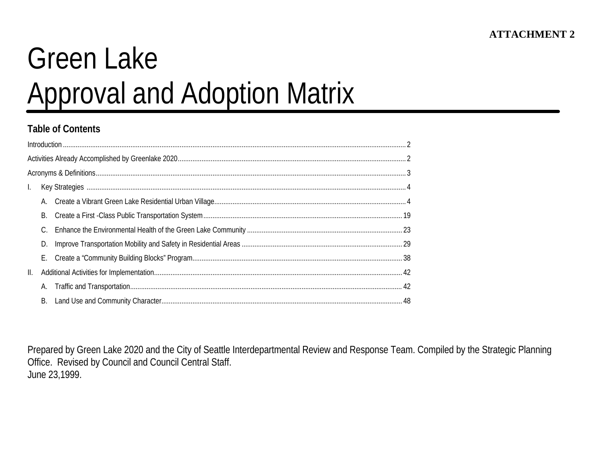# **Green Lake Approval and Adoption Matrix**

#### **Table of Contents**

|    | В. |  |
|----|----|--|
|    |    |  |
|    | D. |  |
|    | Е. |  |
| Ш. |    |  |
|    |    |  |
|    | В. |  |

Prepared by Green Lake 2020 and the City of Seattle Interdepartmental Review and Response Team. Compiled by the Strategic Planning Office. Revised by Council and Council Central Staff. June 23,1999.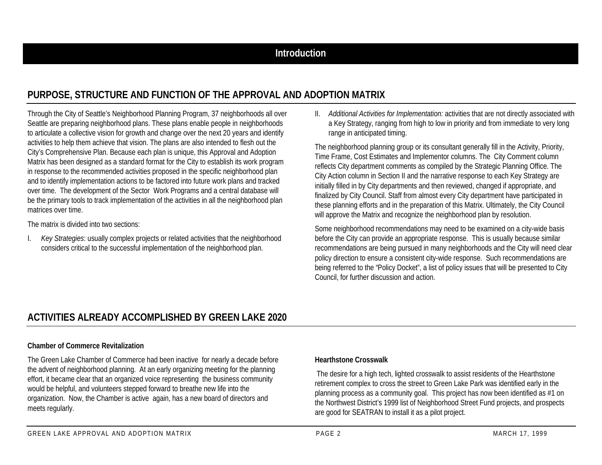## **PURPOSE, STRUCTURE AND FUNCTION OF THE APPROVAL AND ADOPTION MATRIX**

Through the City of Seattle's Neighborhood Planning Program, 37 neighborhoods all over Seattle are preparing neighborhood plans. These plans enable people in neighborhoods to articulate a collective vision for growth and change over the next 20 years and identify activities to help them achieve that vision. The plans are also intended to flesh out the City's Comprehensive Plan. Because each plan is unique, this Approval and Adoption Matrix has been designed as a standard format for the City to establish its work program in response to the recommended activities proposed in the specific neighborhood plan and to identify implementation actions to be factored into future work plans and tracked over time. The development of the Sector Work Programs and a central database will be the primary tools to track implementation of the activities in all the neighborhood plan matrices over time.

The matrix is divided into two sections:

I. *Key Strategies*: usually complex projects or related activities that the neighborhood considers critical to the successful implementation of the neighborhood plan.

II. *Additional Activities for Implementation:* activities that are not directly associated with a Key Strategy, ranging from high to low in priority and from immediate to very long range in anticipated timing.

The neighborhood planning group or its consultant generally fill in the Activity, Priority, Time Frame, Cost Estimates and Implementor columns. The City Comment column reflects City department comments as compiled by the Strategic Planning Office. The City Action column in Section II and the narrative response to each Key Strategy are initially filled in by City departments and then reviewed, changed if appropriate, and finalized by City Council. Staff from almost every City department have participated in these planning efforts and in the preparation of this Matrix. Ultimately, the City Council will approve the Matrix and recognize the neighborhood plan by resolution.

Some neighborhood recommendations may need to be examined on a city-wide basis before the City can provide an appropriate response. This is usually because similar recommendations are being pursued in many neighborhoods and the City will need clear policy direction to ensure a consistent city-wide response. Such recommendations are being referred to the "Policy Docket", a list of policy issues that will be presented to City Council, for further discussion and action.

## **ACTIVITIES ALREADY ACCOMPLISHED BY GREEN LAKE 2020**

#### **Chamber of Commerce Revitalization**

The Green Lake Chamber of Commerce had been inactive for nearly a decade before the advent of neighborhood planning. At an early organizing meeting for the planning effort, it became clear that an organized voice representing the business community would be helpful, and volunteers stepped forward to breathe new life into the organization. Now, the Chamber is active again, has a new board of directors and meets regularly.

#### **Hearthstone Crosswalk**

 The desire for a high tech, lighted crosswalk to assist residents of the Hearthstone retirement complex to cross the street to Green Lake Park was identified early in the planning process as a community goal. This project has now been identified as #1 on the Northwest District's 1999 list of Neighborhood Street Fund projects, and prospects are good for SEATRAN to install it as a pilot project.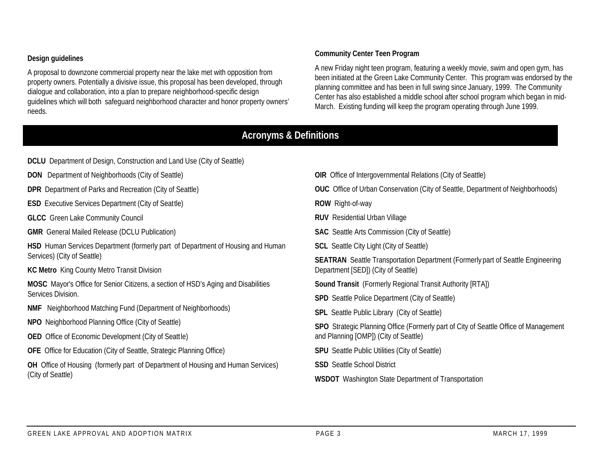#### **Design guidelines**

A proposal to downzone commercial property near the lake met with opposition from property owners. Potentially a divisive issue, this proposal has been developed, through dialogue and collaboration, into a plan to prepare neighborhood-specific design guidelines which will both safeguard neighborhood character and honor property owners' needs.

#### **Community Center Teen Program**

A new Friday night teen program, featuring a weekly movie, swim and open gym, has been initiated at the Green Lake Community Center. This program was endorsed by the planning committee and has been in full swing since January, 1999. The Community Center has also established a middle school after school program which began in mid-March. Existing funding will keep the program operating through June 1999.

#### **Acronyms & Definitions**

| <b>DCLU</b> Department of Design, Construction and Land Use (City of Seattle)             |                                                                                                                               |  |  |  |  |
|-------------------------------------------------------------------------------------------|-------------------------------------------------------------------------------------------------------------------------------|--|--|--|--|
| <b>DON</b> Department of Neighborhoods (City of Seattle)                                  | <b>OIR</b> Office of Intergovernmental Relations (City of Seattle)                                                            |  |  |  |  |
| <b>DPR</b> Department of Parks and Recreation (City of Seattle)                           | <b>OUC</b> Office of Urban Conservation (City of Seattle, Department of Neighborhoods)                                        |  |  |  |  |
| <b>ESD</b> Executive Services Department (City of Seattle)                                | <b>ROW</b> Right-of-way                                                                                                       |  |  |  |  |
| <b>GLCC</b> Green Lake Community Council                                                  | <b>RUV</b> Residential Urban Village                                                                                          |  |  |  |  |
| <b>GMR</b> General Mailed Release (DCLU Publication)                                      | <b>SAC</b> Seattle Arts Commission (City of Seattle)                                                                          |  |  |  |  |
| HSD Human Services Department (formerly part of Department of Housing and Human           | <b>SCL</b> Seattle City Light (City of Seattle)                                                                               |  |  |  |  |
| Services) (City of Seattle)                                                               | <b>SEATRAN</b> Seattle Transportation Department (Formerly part of Seattle Engineering<br>Department [SED]) (City of Seattle) |  |  |  |  |
| <b>KC Metro</b> King County Metro Transit Division                                        |                                                                                                                               |  |  |  |  |
| <b>MOSC</b> Mayor's Office for Senior Citizens, a section of HSD's Aging and Disabilities | <b>Sound Transit</b> (Formerly Regional Transit Authority [RTA])                                                              |  |  |  |  |
| Services Division.                                                                        | <b>SPD</b> Seattle Police Department (City of Seattle)                                                                        |  |  |  |  |
| <b>NMF</b> Neighborhood Matching Fund (Department of Neighborhoods)                       | <b>SPL</b> Seattle Public Library (City of Seattle)                                                                           |  |  |  |  |
| NPO Neighborhood Planning Office (City of Seattle)                                        | SPO Strategic Planning Office (Formerly part of City of Seattle Office of Management                                          |  |  |  |  |
| <b>OED</b> Office of Economic Development (City of Seattle)                               | and Planning [OMP]) (City of Seattle)                                                                                         |  |  |  |  |
| <b>OFE</b> Office for Education (City of Seattle, Strategic Planning Office)              | <b>SPU</b> Seattle Public Utilities (City of Seattle)                                                                         |  |  |  |  |
| <b>OH</b> Office of Housing (formerly part of Department of Housing and Human Services)   | <b>SSD</b> Seattle School District                                                                                            |  |  |  |  |
| (City of Seattle)                                                                         | <b>WSDOT</b> Washington State Department of Transportation                                                                    |  |  |  |  |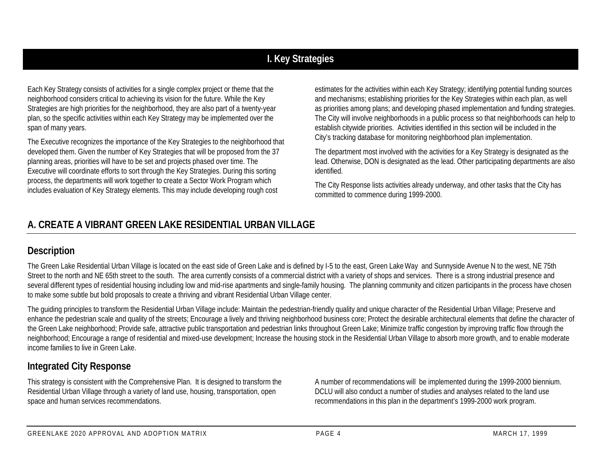# **I. Key Strategies**

Each Key Strategy consists of activities for a single complex project or theme that the neighborhood considers critical to achieving its vision for the future. While the Key Strategies are high priorities for the neighborhood, they are also part of a twenty-year plan, so the specific activities within each Key Strategy may be implemented over the span of many years.

The Executive recognizes the importance of the Key Strategies to the neighborhood that developed them. Given the number of Key Strategies that will be proposed from the 37 planning areas, priorities will have to be set and projects phased over time. The Executive will coordinate efforts to sort through the Key Strategies. During this sorting process, the departments will work together to create a Sector Work Program which includes evaluation of Key Strategy elements. This may include developing rough cost

estimates for the activities within each Key Strategy; identifying potential funding sources and mechanisms; establishing priorities for the Key Strategies within each plan, as well as priorities among plans; and developing phased implementation and funding strategies. The City will involve neighborhoods in a public process so that neighborhoods can help to establish citywide priorities. Activities identified in this section will be included in the City's tracking database for monitoring neighborhood plan implementation.

The department most involved with the activities for a Key Strategy is designated as the lead. Otherwise, DON is designated as the lead. Other participating departments are also identified.

The City Response lists activities already underway, and other tasks that the City has committed to commence during 1999-2000.

# **A. CREATE A VIBRANT GREEN LAKE RESIDENTIAL URBAN VILLAGE**

#### **Description**

The Green Lake Residential Urban Village is located on the east side of Green Lake and is defined by I-5 to the east, Green Lake Way and Sunnyside Avenue N to the west, NE 75th Street to the north and NE 65th street to the south. The area currently consists of a commercial district with a variety of shops and services. There is a strong industrial presence and several different types of residential housing including low and mid-rise apartments and single-family housing. The planning community and citizen participants in the process have chosen to make some subtle but bold proposals to create a thriving and vibrant Residential Urban Village center.

The guiding principles to transform the Residential Urban Village include: Maintain the pedestrian-friendly quality and unique character of the Residential Urban Village; Preserve and enhance the pedestrian scale and quality of the streets; Encourage a lively and thriving neighborhood business core; Protect the desirable architectural elements that define the character of the Green Lake neighborhood; Provide safe, attractive public transportation and pedestrian links throughout Green Lake; Minimize traffic congestion by improving traffic flow through the neighborhood; Encourage a range of residential and mixed-use development; Increase the housing stock in the Residential Urban Village to absorb more growth, and to enable moderate income families to live in Green Lake.

## **Integrated City Response**

This strategy is consistent with the Comprehensive Plan. It is designed to transform the Residential Urban Village through a variety of land use, housing, transportation, open space and human services recommendations.

A number of recommendations will be implemented during the 1999-2000 biennium. DCLU will also conduct a number of studies and analyses related to the land use recommendations in this plan in the department's 1999-2000 work program.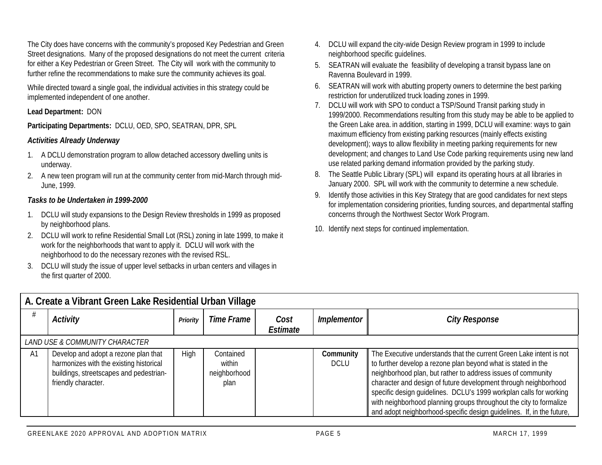The City does have concerns with the community's proposed Key Pedestrian and Green Street designations. Many of the proposed designations do not meet the current criteria for either a Key Pedestrian or Green Street. The City will work with the community to further refine the recommendations to make sure the community achieves its goal.

While directed toward a single goal, the individual activities in this strategy could be implemented independent of one another.

#### **Lead Department:** DON

**Participating Departments:** DCLU, OED, SPO, SEATRAN, DPR, SPL

#### *Activities Already Underway*

- 1. A DCLU demonstration program to allow detached accessory dwelling units is underway.
- 2. A new teen program will run at the community center from mid-March through mid-June, 1999.

- 1. DCLU will study expansions to the Design Review thresholds in 1999 as proposed by neighborhood plans.
- 2. DCLU will work to refine Residential Small Lot (RSL) zoning in late 1999, to make it work for the neighborhoods that want to apply it. DCLU will work with the neighborhood to do the necessary rezones with the revised RSL.
- 3. DCLU will study the issue of upper level setbacks in urban centers and villages in the first quarter of 2000.
- 4. DCLU will expand the city-wide Design Review program in 1999 to include neighborhood specific guidelines.
- 5. SEATRAN will evaluate the feasibility of developing a transit bypass lane on Ravenna Boulevard in 1999.
- 6. SEATRAN will work with abutting property owners to determine the best parking restriction for underutilized truck loading zones in 1999.
- 7. DCLU will work with SPO to conduct a TSP/Sound Transit parking study in 1999/2000. Recommendations resulting from this study may be able to be applied to the Green Lake area. in addition, starting in 1999, DCLU will examine: ways to gain maximum efficiency from existing parking resources (mainly effects existing development); ways to allow flexibility in meeting parking requirements for new development; and changes to Land Use Code parking requirements using new land use related parking demand information provided by the parking study.
- 8. The Seattle Public Library (SPL) will expand its operating hours at all libraries in January 2000. SPL will work with the community to determine a new schedule.
- 9. Identify those activities in this Key Strategy that are good candidates for next steps for implementation considering priorities, funding sources, and departmental staffing concerns through the Northwest Sector Work Program.
- 10. Identify next steps for continued implementation.

|    | A. Create a Vibrant Green Lake Residential Urban Village                                                                                          |                 |                                             |                  |                          |                                                                                                                                                                                                                                                                                                                                                                                                                                                                                              |  |  |  |
|----|---------------------------------------------------------------------------------------------------------------------------------------------------|-----------------|---------------------------------------------|------------------|--------------------------|----------------------------------------------------------------------------------------------------------------------------------------------------------------------------------------------------------------------------------------------------------------------------------------------------------------------------------------------------------------------------------------------------------------------------------------------------------------------------------------------|--|--|--|
|    | Activity                                                                                                                                          | <b>Priority</b> | Time Frame                                  | Cost<br>Estimate | <i>Implementor</i>       | <b>City Response</b>                                                                                                                                                                                                                                                                                                                                                                                                                                                                         |  |  |  |
|    | <b>LAND USE &amp; COMMUNITY CHARACTER</b>                                                                                                         |                 |                                             |                  |                          |                                                                                                                                                                                                                                                                                                                                                                                                                                                                                              |  |  |  |
| A1 | Develop and adopt a rezone plan that<br>harmonizes with the existing historical<br>buildings, streetscapes and pedestrian-<br>friendly character. | High            | Contained<br>within<br>neighborhood<br>plan |                  | Community<br><b>DCLU</b> | The Executive understands that the current Green Lake intent is not<br>to further develop a rezone plan beyond what is stated in the<br>neighborhood plan, but rather to address issues of community<br>character and design of future development through neighborhood<br>specific design guidelines. DCLU's 1999 workplan calls for working<br>with neighborhood planning groups throughout the city to formalize<br>and adopt neighborhood-specific design guidelines. If, in the future, |  |  |  |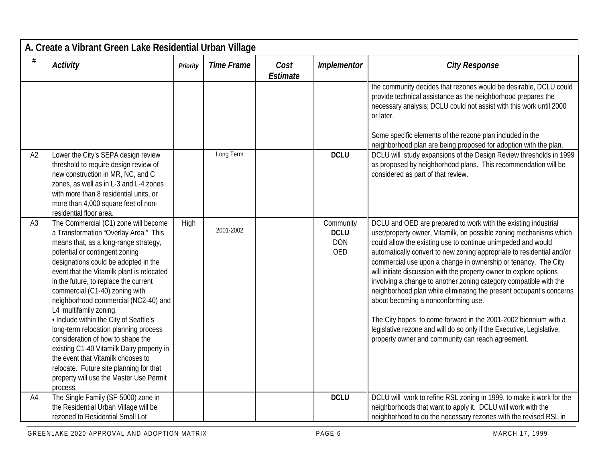|                | A. Create a Vibrant Green Lake Residential Urban Village                                                                                                                                                                                                                                                                                                                                                                                                                                                                                                                                                                                                                                                 |          |                   |                         |                                               |                                                                                                                                                                                                                                                                                                                                                                                                                                                                                                                                                                                                                                                                                                                                                                                                            |  |  |  |
|----------------|----------------------------------------------------------------------------------------------------------------------------------------------------------------------------------------------------------------------------------------------------------------------------------------------------------------------------------------------------------------------------------------------------------------------------------------------------------------------------------------------------------------------------------------------------------------------------------------------------------------------------------------------------------------------------------------------------------|----------|-------------------|-------------------------|-----------------------------------------------|------------------------------------------------------------------------------------------------------------------------------------------------------------------------------------------------------------------------------------------------------------------------------------------------------------------------------------------------------------------------------------------------------------------------------------------------------------------------------------------------------------------------------------------------------------------------------------------------------------------------------------------------------------------------------------------------------------------------------------------------------------------------------------------------------------|--|--|--|
| #              | Activity                                                                                                                                                                                                                                                                                                                                                                                                                                                                                                                                                                                                                                                                                                 | Priority | <b>Time Frame</b> | Cost<br><b>Estimate</b> | Implementor                                   | <b>City Response</b>                                                                                                                                                                                                                                                                                                                                                                                                                                                                                                                                                                                                                                                                                                                                                                                       |  |  |  |
|                |                                                                                                                                                                                                                                                                                                                                                                                                                                                                                                                                                                                                                                                                                                          |          |                   |                         |                                               | the community decides that rezones would be desirable, DCLU could<br>provide technical assistance as the neighborhood prepares the<br>necessary analysis; DCLU could not assist with this work until 2000<br>or later.<br>Some specific elements of the rezone plan included in the<br>neighborhood plan are being proposed for adoption with the plan.                                                                                                                                                                                                                                                                                                                                                                                                                                                    |  |  |  |
| A2             | Lower the City's SEPA design review<br>threshold to require design review of<br>new construction in MR, NC, and C<br>zones, as well as in L-3 and L-4 zones<br>with more than 8 residential units, or<br>more than 4,000 square feet of non-<br>residential floor area.                                                                                                                                                                                                                                                                                                                                                                                                                                  |          | Long Term         |                         | <b>DCLU</b>                                   | DCLU will study expansions of the Design Review thresholds in 1999<br>as proposed by neighborhood plans. This recommendation will be<br>considered as part of that review.                                                                                                                                                                                                                                                                                                                                                                                                                                                                                                                                                                                                                                 |  |  |  |
| A3             | The Commercial (C1) zone will become<br>a Transformation "Overlay Area." This<br>means that, as a long-range strategy,<br>potential or contingent zoning<br>designations could be adopted in the<br>event that the Vitamilk plant is relocated<br>in the future, to replace the current<br>commercial (C1-40) zoning with<br>neighborhood commercial (NC2-40) and<br>L4 multifamily zoning.<br>• Include within the City of Seattle's<br>long-term relocation planning process<br>consideration of how to shape the<br>existing C1-40 Vitamilk Dairy property in<br>the event that Vitamilk chooses to<br>relocate. Future site planning for that<br>property will use the Master Use Permit<br>process. | High     | 2001-2002         |                         | Community<br><b>DCLU</b><br><b>DON</b><br>OED | DCLU and OED are prepared to work with the existing industrial<br>user/property owner, Vitamilk, on possible zoning mechanisms which<br>could allow the existing use to continue unimpeded and would<br>automatically convert to new zoning appropriate to residential and/or<br>commercial use upon a change in ownership or tenancy. The City<br>will initiate discussion with the property owner to explore options<br>involving a change to another zoning category compatible with the<br>neighborhood plan while eliminating the present occupant's concerns<br>about becoming a nonconforming use.<br>The City hopes to come forward in the 2001-2002 biennium with a<br>legislative rezone and will do so only if the Executive, Legislative,<br>property owner and community can reach agreement. |  |  |  |
| A <sub>4</sub> | The Single Family (SF-5000) zone in<br>the Residential Urban Village will be<br>rezoned to Residential Small Lot                                                                                                                                                                                                                                                                                                                                                                                                                                                                                                                                                                                         |          |                   |                         | <b>DCLU</b>                                   | DCLU will work to refine RSL zoning in 1999, to make it work for the<br>neighborhoods that want to apply it. DCLU will work with the<br>neighborhood to do the necessary rezones with the revised RSL in                                                                                                                                                                                                                                                                                                                                                                                                                                                                                                                                                                                                   |  |  |  |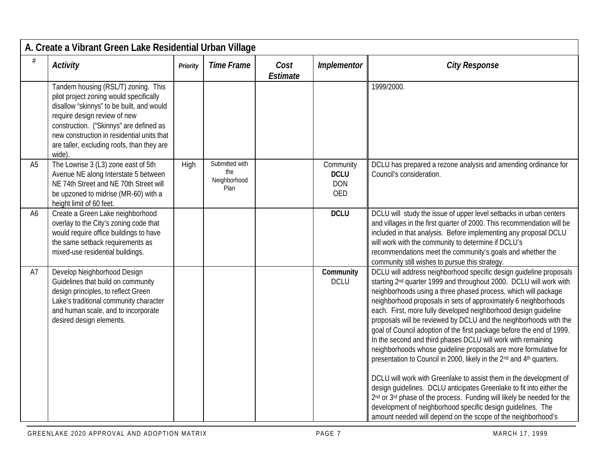|                | A. Create a Vibrant Green Lake Residential Urban Village                                                                                                                                                                                                                                                    |          |                                               |                         |                                               |                                                                                                                                                                                                                                                                                                                                                                                                                                                                                                                                                                                                                                                                                                                                                                                                                                                                                                                                                                                                                                                                               |  |  |  |
|----------------|-------------------------------------------------------------------------------------------------------------------------------------------------------------------------------------------------------------------------------------------------------------------------------------------------------------|----------|-----------------------------------------------|-------------------------|-----------------------------------------------|-------------------------------------------------------------------------------------------------------------------------------------------------------------------------------------------------------------------------------------------------------------------------------------------------------------------------------------------------------------------------------------------------------------------------------------------------------------------------------------------------------------------------------------------------------------------------------------------------------------------------------------------------------------------------------------------------------------------------------------------------------------------------------------------------------------------------------------------------------------------------------------------------------------------------------------------------------------------------------------------------------------------------------------------------------------------------------|--|--|--|
| #              | <b>Activity</b>                                                                                                                                                                                                                                                                                             | Priority | <b>Time Frame</b>                             | Cost<br><b>Estimate</b> | Implementor                                   | <b>City Response</b>                                                                                                                                                                                                                                                                                                                                                                                                                                                                                                                                                                                                                                                                                                                                                                                                                                                                                                                                                                                                                                                          |  |  |  |
|                | Tandem housing (RSL/T) zoning. This<br>pilot project zoning would specifically<br>disallow "skinnys" to be built, and would<br>require design review of new<br>construction. ("Skinnys" are defined as<br>new construction in residential units that<br>are taller, excluding roofs, than they are<br>wide) |          |                                               |                         |                                               | 1999/2000.                                                                                                                                                                                                                                                                                                                                                                                                                                                                                                                                                                                                                                                                                                                                                                                                                                                                                                                                                                                                                                                                    |  |  |  |
| A <sub>5</sub> | The Lowrise 3 (L3) zone east of 5th<br>Avenue NE along Interstate 5 between<br>NE 74th Street and NE 70th Street will<br>be upzoned to midrise (MR-60) with a<br>height limit of 60 feet.                                                                                                                   | High     | Submitted with<br>the<br>Neighborhood<br>Plan |                         | Community<br><b>DCLU</b><br><b>DON</b><br>OED | DCLU has prepared a rezone analysis and amending ordinance for<br>Council's consideration.                                                                                                                                                                                                                                                                                                                                                                                                                                                                                                                                                                                                                                                                                                                                                                                                                                                                                                                                                                                    |  |  |  |
| A <sub>6</sub> | Create a Green Lake neighborhood<br>overlay to the City's zoning code that<br>would require office buildings to have<br>the same setback requirements as<br>mixed-use residential buildings.                                                                                                                |          |                                               |                         | <b>DCLU</b>                                   | DCLU will study the issue of upper level setbacks in urban centers<br>and villages in the first quarter of 2000. This recommendation will be<br>included in that analysis. Before implementing any proposal DCLU<br>will work with the community to determine if DCLU's<br>recommendations meet the community's goals and whether the<br>community still wishes to pursue this strategy.                                                                                                                                                                                                                                                                                                                                                                                                                                                                                                                                                                                                                                                                                      |  |  |  |
| A7             | Develop Neighborhood Design<br>Guidelines that build on community<br>design principles, to reflect Green<br>Lake's traditional community character<br>and human scale, and to incorporate<br>desired design elements.                                                                                       |          |                                               |                         | Community<br><b>DCLU</b>                      | DCLU will address neighborhood specific design guideline proposals<br>starting 2 <sup>nd</sup> quarter 1999 and throughout 2000. DCLU will work with<br>neighborhoods using a three phased process, which will package<br>neighborhood proposals in sets of approximately 6 neighborhoods<br>each. First, more fully developed neighborhood design guideline<br>proposals will be reviewed by DCLU and the neighborhoods with the<br>goal of Council adoption of the first package before the end of 1999.<br>In the second and third phases DCLU will work with remaining<br>neighborhoods whose guideline proposals are more formulative for<br>presentation to Council in 2000, likely in the 2nd and 4th quarters.<br>DCLU will work with Greenlake to assist them in the development of<br>design quidelines. DCLU anticipates Greenlake to fit into either the<br>2nd or 3rd phase of the process. Funding will likely be needed for the<br>development of neighborhood specific design guidelines. The<br>amount needed will depend on the scope of the neighborhood's |  |  |  |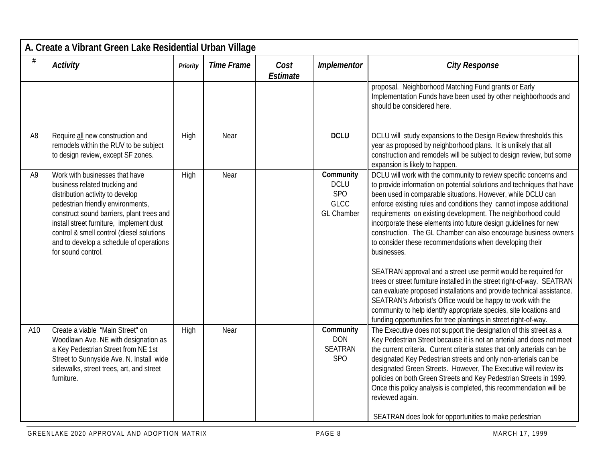|                | A. Create a Vibrant Green Lake Residential Urban Village                                                                                                                                                                                                                                                                                        |          |                   |                         |                                                                     |                                                                                                                                                                                                                                                                                                                                                                                                                                                                                                                                                                                                                                                                                                                                                                                                                                                                                                                                                                                                   |  |  |  |  |
|----------------|-------------------------------------------------------------------------------------------------------------------------------------------------------------------------------------------------------------------------------------------------------------------------------------------------------------------------------------------------|----------|-------------------|-------------------------|---------------------------------------------------------------------|---------------------------------------------------------------------------------------------------------------------------------------------------------------------------------------------------------------------------------------------------------------------------------------------------------------------------------------------------------------------------------------------------------------------------------------------------------------------------------------------------------------------------------------------------------------------------------------------------------------------------------------------------------------------------------------------------------------------------------------------------------------------------------------------------------------------------------------------------------------------------------------------------------------------------------------------------------------------------------------------------|--|--|--|--|
| #              | Activity                                                                                                                                                                                                                                                                                                                                        | Priority | <b>Time Frame</b> | Cost<br><b>Estimate</b> | Implementor                                                         | <b>City Response</b>                                                                                                                                                                                                                                                                                                                                                                                                                                                                                                                                                                                                                                                                                                                                                                                                                                                                                                                                                                              |  |  |  |  |
|                |                                                                                                                                                                                                                                                                                                                                                 |          |                   |                         |                                                                     | proposal. Neighborhood Matching Fund grants or Early<br>Implementation Funds have been used by other neighborhoods and<br>should be considered here.                                                                                                                                                                                                                                                                                                                                                                                                                                                                                                                                                                                                                                                                                                                                                                                                                                              |  |  |  |  |
| A <sub>8</sub> | Require all new construction and<br>remodels within the RUV to be subject<br>to design review, except SF zones.                                                                                                                                                                                                                                 | High     | Near              |                         | <b>DCLU</b>                                                         | DCLU will study expansions to the Design Review thresholds this<br>year as proposed by neighborhood plans. It is unlikely that all<br>construction and remodels will be subject to design review, but some<br>expansion is likely to happen.                                                                                                                                                                                                                                                                                                                                                                                                                                                                                                                                                                                                                                                                                                                                                      |  |  |  |  |
| A <sub>9</sub> | Work with businesses that have<br>business related trucking and<br>distribution activity to develop<br>pedestrian friendly environments,<br>construct sound barriers, plant trees and<br>install street furniture, implement dust<br>control & smell control (diesel solutions<br>and to develop a schedule of operations<br>for sound control. | High     | Near              |                         | Community<br><b>DCLU</b><br>SPO<br><b>GLCC</b><br><b>GL Chamber</b> | DCLU will work with the community to review specific concerns and<br>to provide information on potential solutions and techniques that have<br>been used in comparable situations. However, while DCLU can<br>enforce existing rules and conditions they cannot impose additional<br>requirements on existing development. The neighborhood could<br>incorporate these elements into future design guidelines for new<br>construction. The GL Chamber can also encourage business owners<br>to consider these recommendations when developing their<br>businesses.<br>SEATRAN approval and a street use permit would be required for<br>trees or street furniture installed in the street right-of-way. SEATRAN<br>can evaluate proposed installations and provide technical assistance.<br>SEATRAN's Arborist's Office would be happy to work with the<br>community to help identify appropriate species, site locations and<br>funding opportunities for tree plantings in street right-of-way. |  |  |  |  |
| A10            | Create a viable 'Main Street" on<br>Woodlawn Ave. NE with designation as<br>a Key Pedestrian Street from NE 1st<br>Street to Sunnyside Ave. N. Install wide<br>sidewalks, street trees, art, and street<br>furniture.                                                                                                                           | High     | Near              |                         | Community<br><b>DON</b><br><b>SEATRAN</b><br><b>SPO</b>             | The Executive does not support the designation of this street as a<br>Key Pedestrian Street because it is not an arterial and does not meet<br>the current criteria. Current criteria states that only arterials can be<br>designated Key Pedestrian streets and only non-arterials can be<br>designated Green Streets. However, The Executive will review its<br>policies on both Green Streets and Key Pedestrian Streets in 1999.<br>Once this policy analysis is completed, this recommendation will be<br>reviewed again.<br>SEATRAN does look for opportunities to make pedestrian                                                                                                                                                                                                                                                                                                                                                                                                          |  |  |  |  |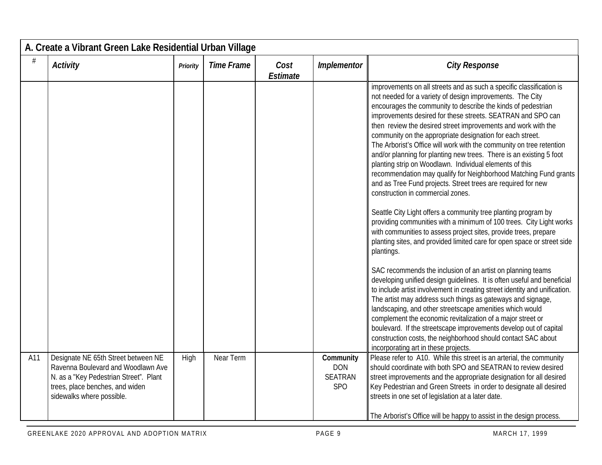|      | A. Create a Vibrant Green Lake Residential Urban Village                                                                                                                            |          |                   |                         |                                                         |                                                                                                                                                                                                                                                                                                                                                                                                                                                                                                                                                                                                                                                                                                                                                                                                                                                                                                                                                                                                                                                                                                                                                                                                                                                                                                                                                                                                                                                                                                                                                                                                                                                                                         |  |  |  |
|------|-------------------------------------------------------------------------------------------------------------------------------------------------------------------------------------|----------|-------------------|-------------------------|---------------------------------------------------------|-----------------------------------------------------------------------------------------------------------------------------------------------------------------------------------------------------------------------------------------------------------------------------------------------------------------------------------------------------------------------------------------------------------------------------------------------------------------------------------------------------------------------------------------------------------------------------------------------------------------------------------------------------------------------------------------------------------------------------------------------------------------------------------------------------------------------------------------------------------------------------------------------------------------------------------------------------------------------------------------------------------------------------------------------------------------------------------------------------------------------------------------------------------------------------------------------------------------------------------------------------------------------------------------------------------------------------------------------------------------------------------------------------------------------------------------------------------------------------------------------------------------------------------------------------------------------------------------------------------------------------------------------------------------------------------------|--|--|--|
| $\#$ | <b>Activity</b>                                                                                                                                                                     | Priority | <b>Time Frame</b> | Cost<br><b>Estimate</b> | Implementor                                             | <b>City Response</b>                                                                                                                                                                                                                                                                                                                                                                                                                                                                                                                                                                                                                                                                                                                                                                                                                                                                                                                                                                                                                                                                                                                                                                                                                                                                                                                                                                                                                                                                                                                                                                                                                                                                    |  |  |  |
|      |                                                                                                                                                                                     |          |                   |                         |                                                         | improvements on all streets and as such a specific classification is<br>not needed for a variety of design improvements. The City<br>encourages the community to describe the kinds of pedestrian<br>improvements desired for these streets. SEATRAN and SPO can<br>then review the desired street improvements and work with the<br>community on the appropriate designation for each street.<br>The Arborist's Office will work with the community on tree retention<br>and/or planning for planting new trees. There is an existing 5 foot<br>planting strip on Woodlawn. Individual elements of this<br>recommendation may qualify for Neighborhood Matching Fund grants<br>and as Tree Fund projects. Street trees are required for new<br>construction in commercial zones.<br>Seattle City Light offers a community tree planting program by<br>providing communities with a minimum of 100 trees. City Light works<br>with communities to assess project sites, provide trees, prepare<br>planting sites, and provided limited care for open space or street side<br>plantings.<br>SAC recommends the inclusion of an artist on planning teams<br>developing unified design guidelines. It is often useful and beneficial<br>to include artist involvement in creating street identity and unification.<br>The artist may address such things as gateways and signage,<br>landscaping, and other streetscape amenities which would<br>complement the economic revitalization of a major street or<br>boulevard. If the streetscape improvements develop out of capital<br>construction costs, the neighborhood should contact SAC about<br>incorporating art in these projects. |  |  |  |
| A11  | Designate NE 65th Street between NE<br>Ravenna Boulevard and Woodlawn Ave<br>N. as a "Key Pedestrian Street". Plant<br>trees, place benches, and widen<br>sidewalks where possible. | High     | Near Term         |                         | Community<br><b>DON</b><br><b>SEATRAN</b><br><b>SPO</b> | Please refer to A10. While this street is an arterial, the community<br>should coordinate with both SPO and SEATRAN to review desired<br>street improvements and the appropriate designation for all desired<br>Key Pedestrian and Green Streets in order to designate all desired<br>streets in one set of legislation at a later date.<br>The Arborist's Office will be happy to assist in the design process.                                                                                                                                                                                                                                                                                                                                                                                                                                                                                                                                                                                                                                                                                                                                                                                                                                                                                                                                                                                                                                                                                                                                                                                                                                                                        |  |  |  |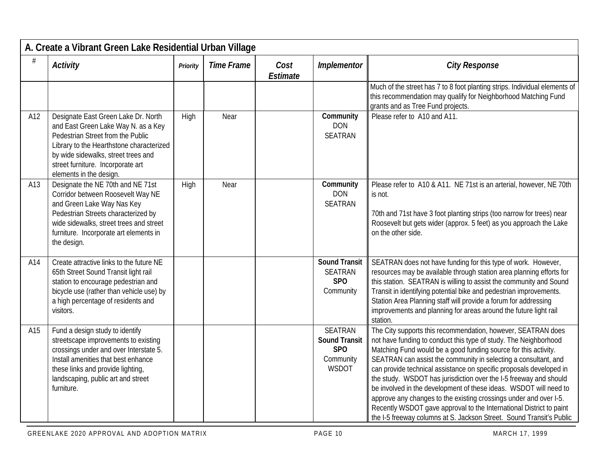|     | A. Create a Vibrant Green Lake Residential Urban Village                                                                                                                                                                                                           |          |                   |                         |                                                                                        |                                                                                                                                                                                                                                                                                                                                                                                                                                                                                                                                                                                                                                                                                                             |  |  |  |  |
|-----|--------------------------------------------------------------------------------------------------------------------------------------------------------------------------------------------------------------------------------------------------------------------|----------|-------------------|-------------------------|----------------------------------------------------------------------------------------|-------------------------------------------------------------------------------------------------------------------------------------------------------------------------------------------------------------------------------------------------------------------------------------------------------------------------------------------------------------------------------------------------------------------------------------------------------------------------------------------------------------------------------------------------------------------------------------------------------------------------------------------------------------------------------------------------------------|--|--|--|--|
|     | Activity                                                                                                                                                                                                                                                           | Priority | <b>Time Frame</b> | Cost<br><b>Estimate</b> | Implementor                                                                            | <b>City Response</b>                                                                                                                                                                                                                                                                                                                                                                                                                                                                                                                                                                                                                                                                                        |  |  |  |  |
|     |                                                                                                                                                                                                                                                                    |          |                   |                         |                                                                                        | Much of the street has 7 to 8 foot planting strips. Individual elements of<br>this recommendation may qualify for Neighborhood Matching Fund<br>grants and as Tree Fund projects.                                                                                                                                                                                                                                                                                                                                                                                                                                                                                                                           |  |  |  |  |
| A12 | Designate East Green Lake Dr. North<br>and East Green Lake Way N. as a Key<br>Pedestrian Street from the Public<br>Library to the Hearthstone characterized<br>by wide sidewalks, street trees and<br>street furniture. Incorporate art<br>elements in the design. | High     | Near              |                         | Community<br><b>DON</b><br><b>SEATRAN</b>                                              | Please refer to A10 and A11.                                                                                                                                                                                                                                                                                                                                                                                                                                                                                                                                                                                                                                                                                |  |  |  |  |
| A13 | Designate the NE 70th and NE 71st<br>Corridor between Roosevelt Way NE<br>and Green Lake Way Nas Key<br>Pedestrian Streets characterized by<br>wide sidewalks, street trees and street<br>furniture. Incorporate art elements in<br>the design.                    | High     | Near              |                         | Community<br><b>DON</b><br><b>SEATRAN</b>                                              | Please refer to A10 & A11. NE 71st is an arterial, however, NE 70th<br>is not.<br>70th and 71st have 3 foot planting strips (too narrow for trees) near<br>Roosevelt but gets wider (approx. 5 feet) as you approach the Lake<br>on the other side.                                                                                                                                                                                                                                                                                                                                                                                                                                                         |  |  |  |  |
| A14 | Create attractive links to the future NE<br>65th Street Sound Transit light rail<br>station to encourage pedestrian and<br>bicycle use (rather than vehicle use) by<br>a high percentage of residents and<br>visitors.                                             |          |                   |                         | <b>Sound Transit</b><br><b>SEATRAN</b><br>SP <sub>O</sub><br>Community                 | SEATRAN does not have funding for this type of work. However,<br>resources may be available through station area planning efforts for<br>this station. SEATRAN is willing to assist the community and Sound<br>Transit in identifying potential bike and pedestrian improvements.<br>Station Area Planning staff will provide a forum for addressing<br>improvements and planning for areas around the future light rail<br>station.                                                                                                                                                                                                                                                                        |  |  |  |  |
| A15 | Fund a design study to identify<br>streetscape improvements to existing<br>crossings under and over Interstate 5.<br>Install amenities that best enhance<br>these links and provide lighting,<br>landscaping, public art and street<br>furniture.                  |          |                   |                         | <b>SEATRAN</b><br><b>Sound Transit</b><br>SP <sub>O</sub><br>Community<br><b>WSDOT</b> | The City supports this recommendation, however, SEATRAN does<br>not have funding to conduct this type of study. The Neighborhood<br>Matching Fund would be a good funding source for this activity.<br>SEATRAN can assist the community in selecting a consultant, and<br>can provide technical assistance on specific proposals developed in<br>the study. WSDOT has jurisdiction over the I-5 freeway and should<br>be involved in the development of these ideas. WSDOT will need to<br>approve any changes to the existing crossings under and over I-5.<br>Recently WSDOT gave approval to the International District to paint<br>the I-5 freeway columns at S. Jackson Street. Sound Transit's Public |  |  |  |  |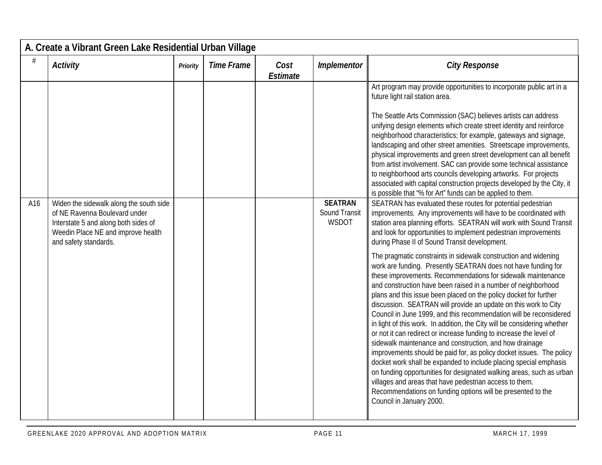|     | A. Create a Vibrant Green Lake Residential Urban Village                                                                                                                        |          |                   |                         |                                                 |                                                                                                                                                                                                                                                                                                                                                                                                                                                                                                                                                                                                                                                                                                                                                                                                                                                                                                                                                                                                                                                                                                                                                                                                                                                                                                                                                                                                                                                                                                                                                                                                                                                                                                                                                                                                                                                                                                                                                                                                                                                                                                                                                            |  |  |  |
|-----|---------------------------------------------------------------------------------------------------------------------------------------------------------------------------------|----------|-------------------|-------------------------|-------------------------------------------------|------------------------------------------------------------------------------------------------------------------------------------------------------------------------------------------------------------------------------------------------------------------------------------------------------------------------------------------------------------------------------------------------------------------------------------------------------------------------------------------------------------------------------------------------------------------------------------------------------------------------------------------------------------------------------------------------------------------------------------------------------------------------------------------------------------------------------------------------------------------------------------------------------------------------------------------------------------------------------------------------------------------------------------------------------------------------------------------------------------------------------------------------------------------------------------------------------------------------------------------------------------------------------------------------------------------------------------------------------------------------------------------------------------------------------------------------------------------------------------------------------------------------------------------------------------------------------------------------------------------------------------------------------------------------------------------------------------------------------------------------------------------------------------------------------------------------------------------------------------------------------------------------------------------------------------------------------------------------------------------------------------------------------------------------------------------------------------------------------------------------------------------------------------|--|--|--|
| #   | <b>Activity</b>                                                                                                                                                                 | Priority | <b>Time Frame</b> | Cost<br><b>Estimate</b> | Implementor                                     | <b>City Response</b>                                                                                                                                                                                                                                                                                                                                                                                                                                                                                                                                                                                                                                                                                                                                                                                                                                                                                                                                                                                                                                                                                                                                                                                                                                                                                                                                                                                                                                                                                                                                                                                                                                                                                                                                                                                                                                                                                                                                                                                                                                                                                                                                       |  |  |  |
| A16 | Widen the sidewalk along the south side<br>of NE Ravenna Boulevard under<br>Interstate 5 and along both sides of<br>Weedin Place NE and improve health<br>and safety standards. |          |                   |                         | <b>SEATRAN</b><br>Sound Transit<br><b>WSDOT</b> | Art program may provide opportunities to incorporate public art in a<br>future light rail station area.<br>The Seattle Arts Commission (SAC) believes artists can address<br>unifying design elements which create street identity and reinforce<br>neighborhood characteristics; for example, gateways and signage,<br>landscaping and other street amenities. Streetscape improvements,<br>physical improvements and green street development can all benefit<br>from artist involvement. SAC can provide some technical assistance<br>to neighborhood arts councils developing artworks. For projects<br>associated with capital construction projects developed by the City, it<br>is possible that "% for Art" funds can be applied to them.<br>SEATRAN has evaluated these routes for potential pedestrian<br>improvements. Any improvements will have to be coordinated with<br>station area planning efforts. SEATRAN will work with Sound Transit<br>and look for opportunities to implement pedestrian improvements<br>during Phase II of Sound Transit development.<br>The pragmatic constraints in sidewalk construction and widening<br>work are funding. Presently SEATRAN does not have funding for<br>these improvements. Recommendations for sidewalk maintenance<br>and construction have been raised in a number of neighborhood<br>plans and this issue been placed on the policy docket for further<br>discussion. SEATRAN will provide an update on this work to City<br>Council in June 1999, and this recommendation will be reconsidered<br>in light of this work. In addition, the City will be considering whether<br>or not it can redirect or increase funding to increase the level of<br>sidewalk maintenance and construction, and how drainage<br>improvements should be paid for, as policy docket issues. The policy<br>docket work shall be expanded to include placing special emphasis<br>on funding opportunities for designated walking areas, such as urban<br>villages and areas that have pedestrian access to them.<br>Recommendations on funding options will be presented to the<br>Council in January 2000. |  |  |  |
|     |                                                                                                                                                                                 |          |                   |                         |                                                 |                                                                                                                                                                                                                                                                                                                                                                                                                                                                                                                                                                                                                                                                                                                                                                                                                                                                                                                                                                                                                                                                                                                                                                                                                                                                                                                                                                                                                                                                                                                                                                                                                                                                                                                                                                                                                                                                                                                                                                                                                                                                                                                                                            |  |  |  |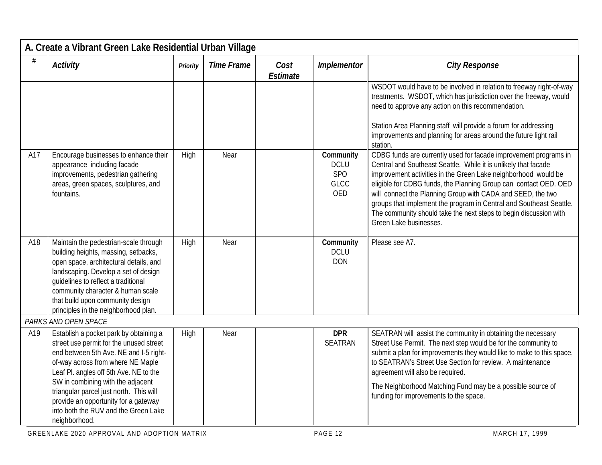|     | A. Create a Vibrant Green Lake Residential Urban Village                                                                                                                                                                                                                                                                                                                                    |          |                   |                  |                                                              |                                                                                                                                                                                                                                                                                                                                                                                                                                                                                                                |  |  |  |
|-----|---------------------------------------------------------------------------------------------------------------------------------------------------------------------------------------------------------------------------------------------------------------------------------------------------------------------------------------------------------------------------------------------|----------|-------------------|------------------|--------------------------------------------------------------|----------------------------------------------------------------------------------------------------------------------------------------------------------------------------------------------------------------------------------------------------------------------------------------------------------------------------------------------------------------------------------------------------------------------------------------------------------------------------------------------------------------|--|--|--|
| #   | <b>Activity</b>                                                                                                                                                                                                                                                                                                                                                                             | Priority | <b>Time Frame</b> | Cost<br>Estimate | Implementor                                                  | <b>City Response</b>                                                                                                                                                                                                                                                                                                                                                                                                                                                                                           |  |  |  |
|     |                                                                                                                                                                                                                                                                                                                                                                                             |          |                   |                  |                                                              | WSDOT would have to be involved in relation to freeway right-of-way<br>treatments. WSDOT, which has jurisdiction over the freeway, would<br>need to approve any action on this recommendation.<br>Station Area Planning staff will provide a forum for addressing<br>improvements and planning for areas around the future light rail<br>station.                                                                                                                                                              |  |  |  |
| A17 | Encourage businesses to enhance their<br>appearance including facade<br>improvements, pedestrian gathering<br>areas, green spaces, sculptures, and<br>fountains.                                                                                                                                                                                                                            | High     | Near              |                  | Community<br><b>DCLU</b><br>SPO<br><b>GLCC</b><br><b>OED</b> | CDBG funds are currently used for facade improvement programs in<br>Central and Southeast Seattle. While it is unlikely that facade<br>improvement activities in the Green Lake neighborhood would be<br>eligible for CDBG funds, the Planning Group can contact OED. OED<br>will connect the Planning Group with CADA and SEED, the two<br>groups that implement the program in Central and Southeast Seattle.<br>The community should take the next steps to begin discussion with<br>Green Lake businesses. |  |  |  |
| A18 | Maintain the pedestrian-scale through<br>building heights, massing, setbacks,<br>open space, architectural details, and<br>landscaping. Develop a set of design<br>guidelines to reflect a traditional<br>community character & human scale<br>that build upon community design<br>principles in the neighborhood plan.                                                                     | High     | Near              |                  | Community<br><b>DCLU</b><br><b>DON</b>                       | Please see A7.                                                                                                                                                                                                                                                                                                                                                                                                                                                                                                 |  |  |  |
|     | PARKS AND OPEN SPACE                                                                                                                                                                                                                                                                                                                                                                        |          |                   |                  |                                                              |                                                                                                                                                                                                                                                                                                                                                                                                                                                                                                                |  |  |  |
| A19 | Establish a pocket park by obtaining a<br>street use permit for the unused street<br>end between 5th Ave. NE and I-5 right-<br>of-way across from where NE Maple<br>Leaf Pl. angles off 5th Ave. NE to the<br>SW in combining with the adjacent<br>triangular parcel just north. This will<br>provide an opportunity for a gateway<br>into both the RUV and the Green Lake<br>neighborhood. | High     | Near              |                  | <b>DPR</b><br><b>SEATRAN</b>                                 | SEATRAN will assist the community in obtaining the necessary<br>Street Use Permit. The next step would be for the community to<br>submit a plan for improvements they would like to make to this space,<br>to SEATRAN's Street Use Section for review. A maintenance<br>agreement will also be required.<br>The Neighborhood Matching Fund may be a possible source of<br>funding for improvements to the space.                                                                                               |  |  |  |

GREENLAKE 2020 APPROVAL AND ADOPTION MATRIX **PAGE 12** PAGE 12 MARCH 17, 1999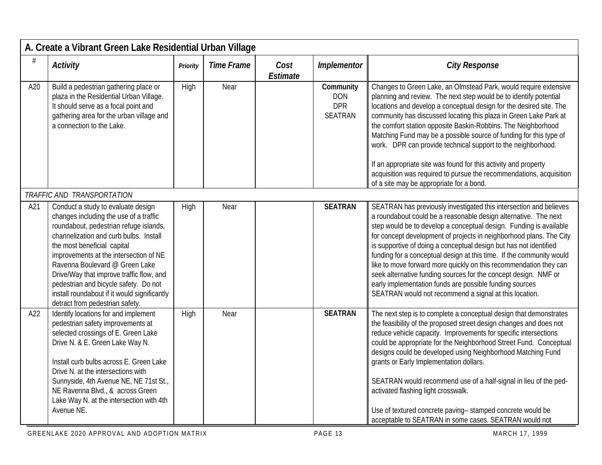|     | A. Create a Vibrant Green Lake Residential Urban Village                                                                                                                                                                                                                                                                                                                                                                                            |          |                   |                         |                                                  |                                                                                                                                                                                                                                                                                                                                                                                                                                                                                                                                                                                                                                                                                              |
|-----|-----------------------------------------------------------------------------------------------------------------------------------------------------------------------------------------------------------------------------------------------------------------------------------------------------------------------------------------------------------------------------------------------------------------------------------------------------|----------|-------------------|-------------------------|--------------------------------------------------|----------------------------------------------------------------------------------------------------------------------------------------------------------------------------------------------------------------------------------------------------------------------------------------------------------------------------------------------------------------------------------------------------------------------------------------------------------------------------------------------------------------------------------------------------------------------------------------------------------------------------------------------------------------------------------------------|
| #   | <b>Activity</b>                                                                                                                                                                                                                                                                                                                                                                                                                                     | Priority | <b>Time Frame</b> | Cost<br><b>Estimate</b> | Implementor                                      | <b>City Response</b>                                                                                                                                                                                                                                                                                                                                                                                                                                                                                                                                                                                                                                                                         |
| A20 | Build a pedestrian gathering place or<br>plaza in the Residential Urban Village.<br>It should serve as a focal point and<br>gathering area for the urban village and<br>a connection to the Lake.                                                                                                                                                                                                                                                   | High     | Near              |                         | Community<br><b>DON</b><br><b>DPR</b><br>SEATRAN | Changes to Green Lake, an Olmstead Park, would require extensive<br>planning and review. The next step would be to identify potential<br>locations and develop a conceptual design for the desired site. The<br>community has discussed locating this plaza in Green Lake Park at<br>the comfort station opposite Baskin-Robbins. The Neighborhood<br>Matching Fund may be a possible source of funding for this type of<br>work. DPR can provide technical support to the neighborhood.<br>If an appropriate site was found for this activity and property<br>acquisition was required to pursue the recommendations, acquisition<br>of a site may be appropriate for a bond.               |
|     | TRAFFIC AND TRANSPORTATION                                                                                                                                                                                                                                                                                                                                                                                                                          |          |                   |                         |                                                  |                                                                                                                                                                                                                                                                                                                                                                                                                                                                                                                                                                                                                                                                                              |
| A21 | Conduct a study to evaluate design<br>changes including the use of a traffic<br>roundabout, pedestrian refuge islands,<br>channelization and curb bulbs. Install<br>the most beneficial capital<br>improvements at the intersection of NE<br>Ravenna Boulevard @ Green Lake<br>Drive/Way that improve traffic flow, and<br>pedestrian and bicycle safety. Do not<br>install roundabout if it would significantly<br>detract from pedestrian safety. | High     | Near              |                         | <b>SEATRAN</b>                                   | SEATRAN has previously investigated this intersection and believes<br>a roundabout could be a reasonable design alternative. The next<br>step would be to develop a conceptual design. Funding is available<br>for concept development of projects in neighborhood plans. The City<br>is supportive of doing a conceptual design but has not identified<br>funding for a conceptual design at this time. If the community would<br>like to move forward more quickly on this recommendation they can<br>seek alternative funding sources for the concept design. NMF or<br>early implementation funds are possible funding sources<br>SEATRAN would not recommend a signal at this location. |
| A22 | Identify locations for and implement<br>pedestrian safety improvements at<br>selected crossings of E. Green Lake<br>Drive N. & E. Green Lake Way N.<br>Install curb bulbs across E. Green Lake<br>Drive N. at the intersections with<br>Sunnyside, 4th Avenue NE, NE 71st St.,<br>NE Ravenna Blvd., & across Green<br>Lake Way N. at the intersection with 4th<br>Avenue NE.                                                                        | High     | Near              |                         | <b>SEATRAN</b>                                   | The next step is to complete a conceptual design that demonstrates<br>the feasibility of the proposed street design changes and does not<br>reduce vehicle capacity. Improvements for specific intersections<br>could be appropriate for the Neighborhood Street Fund. Conceptual<br>designs could be developed using Neighborhood Matching Fund<br>grants or Early Implementation dollars.<br>SEATRAN would recommend use of a half-signal in lieu of the ped-<br>activated flashing light crosswalk.<br>Use of textured concrete paving-stamped concrete would be<br>acceptable to SEATRAN in some cases. SEATRAN would not                                                                |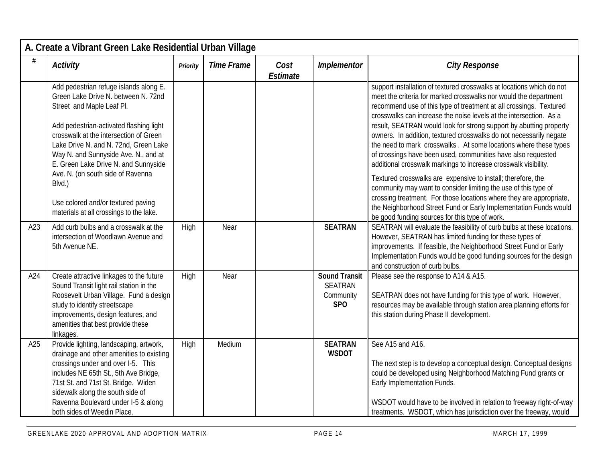|     | A. Create a Vibrant Green Lake Residential Urban Village                                                                                                                                                                                                                                                                                                                                                                                                 |          |                   |                  |                                                                        |                                                                                                                                                                                                                                                                                                                                                                                                                                                                                                                                                                                                                                                                                                                                                                                                                                                                                                                                                                          |  |  |  |
|-----|----------------------------------------------------------------------------------------------------------------------------------------------------------------------------------------------------------------------------------------------------------------------------------------------------------------------------------------------------------------------------------------------------------------------------------------------------------|----------|-------------------|------------------|------------------------------------------------------------------------|--------------------------------------------------------------------------------------------------------------------------------------------------------------------------------------------------------------------------------------------------------------------------------------------------------------------------------------------------------------------------------------------------------------------------------------------------------------------------------------------------------------------------------------------------------------------------------------------------------------------------------------------------------------------------------------------------------------------------------------------------------------------------------------------------------------------------------------------------------------------------------------------------------------------------------------------------------------------------|--|--|--|
| #   | Activity                                                                                                                                                                                                                                                                                                                                                                                                                                                 | Priority | <b>Time Frame</b> | Cost<br>Estimate | Implementor                                                            | <b>City Response</b>                                                                                                                                                                                                                                                                                                                                                                                                                                                                                                                                                                                                                                                                                                                                                                                                                                                                                                                                                     |  |  |  |
|     | Add pedestrian refuge islands along E.<br>Green Lake Drive N. between N. 72nd<br>Street and Maple Leaf Pl.<br>Add pedestrian-activated flashing light<br>crosswalk at the intersection of Green<br>Lake Drive N. and N. 72nd, Green Lake<br>Way N. and Sunnyside Ave. N., and at<br>E. Green Lake Drive N. and Sunnyside<br>Ave. N. (on south side of Ravenna<br>Blvd.)<br>Use colored and/or textured paving<br>materials at all crossings to the lake. |          |                   |                  |                                                                        | support installation of textured crosswalks at locations which do not<br>meet the criteria for marked crosswalks nor would the department<br>recommend use of this type of treatment at all crossings. Textured<br>crosswalks can increase the noise levels at the intersection. As a<br>result, SEATRAN would look for strong support by abutting property<br>owners. In addition, textured crosswalks do not necessarily negate<br>the need to mark crosswalks. At some locations where these types<br>of crossings have been used, communities have also requested<br>additional crosswalk markings to increase crosswalk visibility.<br>Textured crosswalks are expensive to install; therefore, the<br>community may want to consider limiting the use of this type of<br>crossing treatment. For those locations where they are appropriate,<br>the Neighborhood Street Fund or Early Implementation Funds would<br>be good funding sources for this type of work. |  |  |  |
| A23 | Add curb bulbs and a crosswalk at the<br>intersection of Woodlawn Avenue and<br>5th Avenue NE.                                                                                                                                                                                                                                                                                                                                                           | High     | Near              |                  | <b>SEATRAN</b>                                                         | SEATRAN will evaluate the feasibility of curb bulbs at these locations.<br>However, SEATRAN has limited funding for these types of<br>improvements. If feasible, the Neighborhood Street Fund or Early<br>Implementation Funds would be good funding sources for the design<br>and construction of curb bulbs.                                                                                                                                                                                                                                                                                                                                                                                                                                                                                                                                                                                                                                                           |  |  |  |
| A24 | Create attractive linkages to the future<br>Sound Transit light rail station in the<br>Roosevelt Urban Village. Fund a design<br>study to identify streetscape<br>improvements, design features, and<br>amenities that best provide these<br>linkages.                                                                                                                                                                                                   | High     | Near              |                  | <b>Sound Transit</b><br><b>SEATRAN</b><br>Community<br>SP <sub>O</sub> | Please see the response to A14 & A15.<br>SEATRAN does not have funding for this type of work. However,<br>resources may be available through station area planning efforts for<br>this station during Phase II development.                                                                                                                                                                                                                                                                                                                                                                                                                                                                                                                                                                                                                                                                                                                                              |  |  |  |
| A25 | Provide lighting, landscaping, artwork,<br>drainage and other amenities to existing<br>crossings under and over I-5. This<br>includes NE 65th St., 5th Ave Bridge,<br>71st St. and 71st St. Bridge. Widen<br>sidewalk along the south side of<br>Ravenna Boulevard under I-5 & along<br>both sides of Weedin Place.                                                                                                                                      | High     | Medium            |                  | <b>SEATRAN</b><br><b>WSDOT</b>                                         | See A15 and A16.<br>The next step is to develop a conceptual design. Conceptual designs<br>could be developed using Neighborhood Matching Fund grants or<br>Early Implementation Funds.<br>WSDOT would have to be involved in relation to freeway right-of-way<br>treatments. WSDOT, which has jurisdiction over the freeway, would                                                                                                                                                                                                                                                                                                                                                                                                                                                                                                                                                                                                                                      |  |  |  |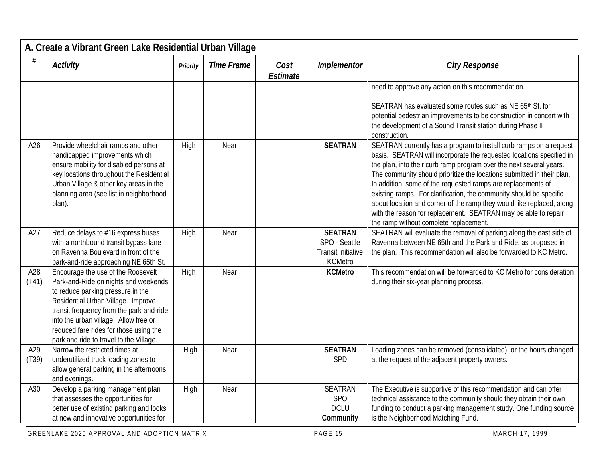|              | A. Create a Vibrant Green Lake Residential Urban Village                                                                                                                                                                                                                                                                        |          |                   |                  |                                                                                |                                                                                                                                                                                                                                                                                                                                                                                                                                                                                                                                                                                                                         |  |  |  |  |  |
|--------------|---------------------------------------------------------------------------------------------------------------------------------------------------------------------------------------------------------------------------------------------------------------------------------------------------------------------------------|----------|-------------------|------------------|--------------------------------------------------------------------------------|-------------------------------------------------------------------------------------------------------------------------------------------------------------------------------------------------------------------------------------------------------------------------------------------------------------------------------------------------------------------------------------------------------------------------------------------------------------------------------------------------------------------------------------------------------------------------------------------------------------------------|--|--|--|--|--|
| #            | Activity                                                                                                                                                                                                                                                                                                                        | Priority | <b>Time Frame</b> | Cost<br>Estimate | Implementor                                                                    | <b>City Response</b>                                                                                                                                                                                                                                                                                                                                                                                                                                                                                                                                                                                                    |  |  |  |  |  |
|              |                                                                                                                                                                                                                                                                                                                                 |          |                   |                  |                                                                                | need to approve any action on this recommendation.<br>SEATRAN has evaluated some routes such as NE 65th St. for<br>potential pedestrian improvements to be construction in concert with<br>the development of a Sound Transit station during Phase II<br>construction.                                                                                                                                                                                                                                                                                                                                                  |  |  |  |  |  |
| A26          | Provide wheelchair ramps and other<br>handicapped improvements which<br>ensure mobility for disabled persons at<br>key locations throughout the Residential<br>Urban Village & other key areas in the<br>planning area (see list in neighborhood<br>plan).                                                                      | High     | Near              |                  | <b>SEATRAN</b>                                                                 | SEATRAN currently has a program to install curb ramps on a request<br>basis. SEATRAN will incorporate the requested locations specified in<br>the plan, into their curb ramp program over the next several years.<br>The community should prioritize the locations submitted in their plan.<br>In addition, some of the requested ramps are replacements of<br>existing ramps. For clarification, the community should be specific<br>about location and corner of the ramp they would like replaced, along<br>with the reason for replacement. SEATRAN may be able to repair<br>the ramp without complete replacement. |  |  |  |  |  |
| A27          | Reduce delays to #16 express buses<br>with a northbound transit bypass lane<br>on Ravenna Boulevard in front of the<br>park-and-ride approaching NE 65th St.                                                                                                                                                                    | High     | Near              |                  | <b>SEATRAN</b><br>SPO - Seattle<br><b>Transit Initiative</b><br><b>KCMetro</b> | SEATRAN will evaluate the removal of parking along the east side of<br>Ravenna between NE 65th and the Park and Ride, as proposed in<br>the plan. This recommendation will also be forwarded to KC Metro.                                                                                                                                                                                                                                                                                                                                                                                                               |  |  |  |  |  |
| A28<br>(T41) | Encourage the use of the Roosevelt<br>Park-and-Ride on nights and weekends<br>to reduce parking pressure in the<br>Residential Urban Village. Improve<br>transit frequency from the park-and-ride<br>into the urban village. Allow free or<br>reduced fare rides for those using the<br>park and ride to travel to the Village. | High     | Near              |                  | <b>KCMetro</b>                                                                 | This recommendation will be forwarded to KC Metro for consideration<br>during their six-year planning process.                                                                                                                                                                                                                                                                                                                                                                                                                                                                                                          |  |  |  |  |  |
| A29<br>(T39) | Narrow the restricted times at<br>underutilized truck loading zones to<br>allow general parking in the afternoons<br>and evenings.                                                                                                                                                                                              | High     | Near              |                  | <b>SEATRAN</b><br>SPD                                                          | Loading zones can be removed (consolidated), or the hours changed<br>at the request of the adjacent property owners.                                                                                                                                                                                                                                                                                                                                                                                                                                                                                                    |  |  |  |  |  |
| A30          | Develop a parking management plan<br>that assesses the opportunities for<br>better use of existing parking and looks<br>at new and innovative opportunities for                                                                                                                                                                 | High     | Near              |                  | <b>SEATRAN</b><br><b>SPO</b><br><b>DCLU</b><br>Community                       | The Executive is supportive of this recommendation and can offer<br>technical assistance to the community should they obtain their own<br>funding to conduct a parking management study. One funding source<br>is the Neighborhood Matching Fund.                                                                                                                                                                                                                                                                                                                                                                       |  |  |  |  |  |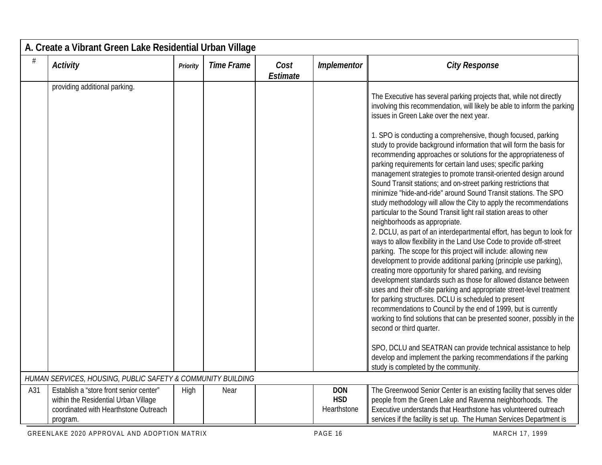|     | A. Create a Vibrant Green Lake Residential Urban Village                                                                             |          |                   |                  |                                         |                                                                                                                                                                                                                                                                                                                                                                                                                                                                                                                                                                                                                                                                                                                                                                                                                                                                                                                                                                                                                                                                                                                                                                                                                                                                                                                                                                                                                                                                                                                                                                                                      |  |  |  |  |
|-----|--------------------------------------------------------------------------------------------------------------------------------------|----------|-------------------|------------------|-----------------------------------------|------------------------------------------------------------------------------------------------------------------------------------------------------------------------------------------------------------------------------------------------------------------------------------------------------------------------------------------------------------------------------------------------------------------------------------------------------------------------------------------------------------------------------------------------------------------------------------------------------------------------------------------------------------------------------------------------------------------------------------------------------------------------------------------------------------------------------------------------------------------------------------------------------------------------------------------------------------------------------------------------------------------------------------------------------------------------------------------------------------------------------------------------------------------------------------------------------------------------------------------------------------------------------------------------------------------------------------------------------------------------------------------------------------------------------------------------------------------------------------------------------------------------------------------------------------------------------------------------------|--|--|--|--|
| #   | <b>Activity</b>                                                                                                                      | Priority | <b>Time Frame</b> | Cost<br>Estimate | Implementor                             | <b>City Response</b>                                                                                                                                                                                                                                                                                                                                                                                                                                                                                                                                                                                                                                                                                                                                                                                                                                                                                                                                                                                                                                                                                                                                                                                                                                                                                                                                                                                                                                                                                                                                                                                 |  |  |  |  |
|     | providing additional parking.                                                                                                        |          |                   |                  |                                         | The Executive has several parking projects that, while not directly<br>involving this recommendation, will likely be able to inform the parking<br>issues in Green Lake over the next year.<br>1. SPO is conducting a comprehensive, though focused, parking<br>study to provide background information that will form the basis for<br>recommending approaches or solutions for the appropriateness of<br>parking requirements for certain land uses; specific parking<br>management strategies to promote transit-oriented design around<br>Sound Transit stations; and on-street parking restrictions that<br>minimize "hide-and-ride" around Sound Transit stations. The SPO<br>study methodology will allow the City to apply the recommendations<br>particular to the Sound Transit light rail station areas to other<br>neighborhoods as appropriate.<br>2. DCLU, as part of an interdepartmental effort, has begun to look for<br>ways to allow flexibility in the Land Use Code to provide off-street<br>parking. The scope for this project will include: allowing new<br>development to provide additional parking (principle use parking),<br>creating more opportunity for shared parking, and revising<br>development standards such as those for allowed distance between<br>uses and their off-site parking and appropriate street-level treatment<br>for parking structures. DCLU is scheduled to present<br>recommendations to Council by the end of 1999, but is currently<br>working to find solutions that can be presented sooner, possibly in the<br>second or third quarter. |  |  |  |  |
|     |                                                                                                                                      |          |                   |                  |                                         | SPO, DCLU and SEATRAN can provide technical assistance to help<br>develop and implement the parking recommendations if the parking<br>study is completed by the community.                                                                                                                                                                                                                                                                                                                                                                                                                                                                                                                                                                                                                                                                                                                                                                                                                                                                                                                                                                                                                                                                                                                                                                                                                                                                                                                                                                                                                           |  |  |  |  |
|     | HUMAN SERVICES, HOUSING, PUBLIC SAFETY & COMMUNITY BUILDING                                                                          |          |                   |                  |                                         |                                                                                                                                                                                                                                                                                                                                                                                                                                                                                                                                                                                                                                                                                                                                                                                                                                                                                                                                                                                                                                                                                                                                                                                                                                                                                                                                                                                                                                                                                                                                                                                                      |  |  |  |  |
| A31 | Establish a "store front senior center"<br>within the Residential Urban Village<br>coordinated with Hearthstone Outreach<br>program. | High     | Near              |                  | <b>DON</b><br><b>HSD</b><br>Hearthstone | The Greenwood Senior Center is an existing facility that serves older<br>people from the Green Lake and Ravenna neighborhoods. The<br>Executive understands that Hearthstone has volunteered outreach<br>services if the facility is set up. The Human Services Department is                                                                                                                                                                                                                                                                                                                                                                                                                                                                                                                                                                                                                                                                                                                                                                                                                                                                                                                                                                                                                                                                                                                                                                                                                                                                                                                        |  |  |  |  |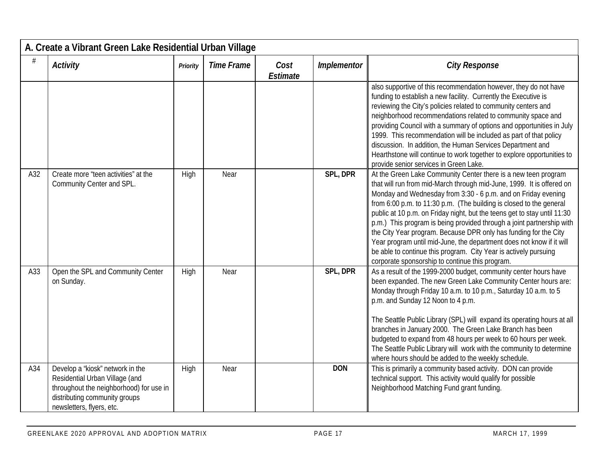| A. Create a Vibrant Green Lake Residential Urban Village |                                                                                                                                                                             |          |                   |                  |             |                                                                                                                                                                                                                                                                                                                                                                                                                                                                                                                                                                                                                                                                                                         |  |  |  |
|----------------------------------------------------------|-----------------------------------------------------------------------------------------------------------------------------------------------------------------------------|----------|-------------------|------------------|-------------|---------------------------------------------------------------------------------------------------------------------------------------------------------------------------------------------------------------------------------------------------------------------------------------------------------------------------------------------------------------------------------------------------------------------------------------------------------------------------------------------------------------------------------------------------------------------------------------------------------------------------------------------------------------------------------------------------------|--|--|--|
| #                                                        | <b>Activity</b>                                                                                                                                                             | Priority | <b>Time Frame</b> | Cost<br>Estimate | Implementor | <b>City Response</b>                                                                                                                                                                                                                                                                                                                                                                                                                                                                                                                                                                                                                                                                                    |  |  |  |
|                                                          |                                                                                                                                                                             |          |                   |                  |             | also supportive of this recommendation however, they do not have<br>funding to establish a new facility. Currently the Executive is<br>reviewing the City's policies related to community centers and<br>neighborhood recommendations related to community space and<br>providing Council with a summary of options and opportunities in July<br>1999. This recommendation will be included as part of that policy<br>discussion. In addition, the Human Services Department and<br>Hearthstone will continue to work together to explore opportunities to<br>provide senior services in Green Lake.                                                                                                    |  |  |  |
| A32                                                      | Create more "teen activities" at the<br>Community Center and SPL.                                                                                                           | High     | Near              |                  | SPL, DPR    | At the Green Lake Community Center there is a new teen program<br>that will run from mid-March through mid-June, 1999. It is offered on<br>Monday and Wednesday from 3:30 - 6 p.m. and on Friday evening<br>from 6:00 p.m. to 11:30 p.m. (The building is closed to the general<br>public at 10 p.m. on Friday night, but the teens get to stay until 11:30<br>p.m.) This program is being provided through a joint partnership with<br>the City Year program. Because DPR only has funding for the City<br>Year program until mid-June, the department does not know if it will<br>be able to continue this program. City Year is actively pursuing<br>corporate sponsorship to continue this program. |  |  |  |
| A33                                                      | Open the SPL and Community Center<br>on Sunday.                                                                                                                             | High     | Near              |                  | SPL, DPR    | As a result of the 1999-2000 budget, community center hours have<br>been expanded. The new Green Lake Community Center hours are:<br>Monday through Friday 10 a.m. to 10 p.m., Saturday 10 a.m. to 5<br>p.m. and Sunday 12 Noon to 4 p.m.<br>The Seattle Public Library (SPL) will expand its operating hours at all<br>branches in January 2000. The Green Lake Branch has been<br>budgeted to expand from 48 hours per week to 60 hours per week.<br>The Seattle Public Library will work with the community to determine<br>where hours should be added to the weekly schedule.                                                                                                                      |  |  |  |
| A34                                                      | Develop a "kiosk" network in the<br>Residential Urban Village (and<br>throughout the neighborhood) for use in<br>distributing community groups<br>newsletters, flyers, etc. | High     | Near              |                  | <b>DON</b>  | This is primarily a community based activity. DON can provide<br>technical support. This activity would qualify for possible<br>Neighborhood Matching Fund grant funding.                                                                                                                                                                                                                                                                                                                                                                                                                                                                                                                               |  |  |  |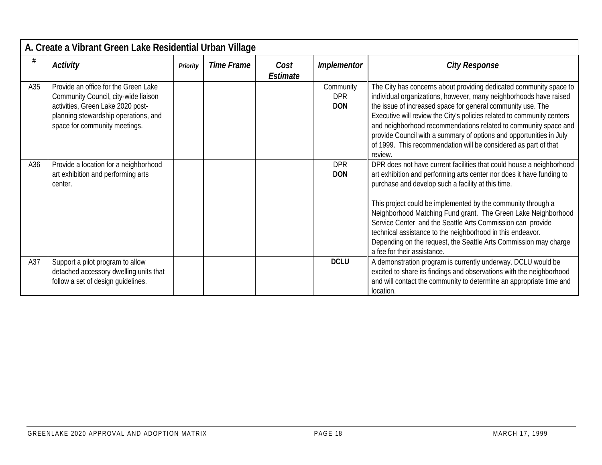|     | A. Create a Vibrant Green Lake Residential Urban Village                                                                                                                                   |                 |            |                  |                                       |                                                                                                                                                                                                                                                                                                                                                                                                                                                                                                                                                                     |  |  |  |  |
|-----|--------------------------------------------------------------------------------------------------------------------------------------------------------------------------------------------|-----------------|------------|------------------|---------------------------------------|---------------------------------------------------------------------------------------------------------------------------------------------------------------------------------------------------------------------------------------------------------------------------------------------------------------------------------------------------------------------------------------------------------------------------------------------------------------------------------------------------------------------------------------------------------------------|--|--|--|--|
|     | <b>Activity</b>                                                                                                                                                                            | <b>Priority</b> | Time Frame | Cost<br>Estimate | Implementor                           | <b>City Response</b>                                                                                                                                                                                                                                                                                                                                                                                                                                                                                                                                                |  |  |  |  |
| A35 | Provide an office for the Green Lake<br>Community Council, city-wide liaison<br>activities, Green Lake 2020 post-<br>planning stewardship operations, and<br>space for community meetings. |                 |            |                  | Community<br><b>DPR</b><br><b>DON</b> | The City has concerns about providing dedicated community space to<br>individual organizations, however, many neighborhoods have raised<br>the issue of increased space for general community use. The<br>Executive will review the City's policies related to community centers<br>and neighborhood recommendations related to community space and<br>provide Council with a summary of options and opportunities in July<br>of 1999. This recommendation will be considered as part of that<br>review.                                                            |  |  |  |  |
| A36 | Provide a location for a neighborhood<br>art exhibition and performing arts<br>center.                                                                                                     |                 |            |                  | <b>DPR</b><br><b>DON</b>              | DPR does not have current facilities that could house a neighborhood<br>art exhibition and performing arts center nor does it have funding to<br>purchase and develop such a facility at this time.<br>This project could be implemented by the community through a<br>Neighborhood Matching Fund grant. The Green Lake Neighborhood<br>Service Center and the Seattle Arts Commission can provide<br>technical assistance to the neighborhood in this endeavor.<br>Depending on the request, the Seattle Arts Commission may charge<br>a fee for their assistance. |  |  |  |  |
| A37 | Support a pilot program to allow<br>detached accessory dwelling units that<br>follow a set of design quidelines.                                                                           |                 |            |                  | <b>DCLU</b>                           | A demonstration program is currently underway. DCLU would be<br>excited to share its findings and observations with the neighborhood<br>and will contact the community to determine an appropriate time and<br>location.                                                                                                                                                                                                                                                                                                                                            |  |  |  |  |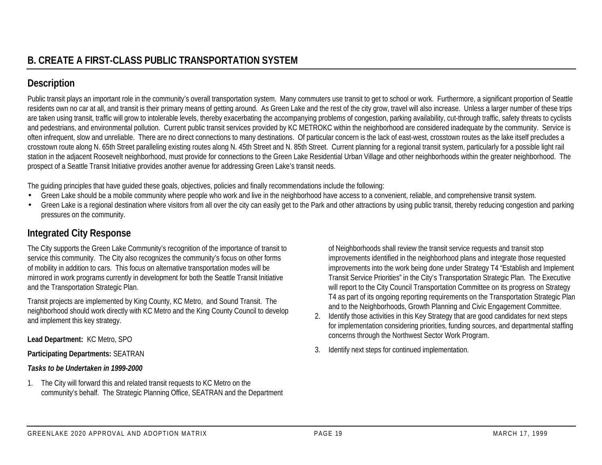## **Description**

Public transit plays an important role in the community's overall transportation system. Many commuters use transit to get to school or work. Furthermore, a significant proportion of Seattle residents own no car at all, and transit is their primary means of getting around. As Green Lake and the rest of the city grow, travel will also increase. Unless a larger number of these trips are taken using transit, traffic will grow to intolerable levels, thereby exacerbating the accompanying problems of congestion, parking availability, cut-through traffic, safety threats to cyclists and pedestrians, and environmental pollution. Current public transit services provided by KC METROKC within the neighborhood are considered inadequate by the community. Service is often infrequent, slow and unreliable. There are no direct connections to many destinations. Of particular concern is the lack of east-west, crosstown routes as the lake itself precludes a crosstown route along N. 65th Street paralleling existing routes along N. 45th Street and N. 85th Street. Current planning for a regional transit system, particularly for a possible light rail station in the adjacent Roosevelt neighborhood, must provide for connections to the Green Lake Residential Urban Village and other neighborhoods within the greater neighborhood. The prospect of a Seattle Transit Initiative provides another avenue for addressing Green Lake's transit needs.

The guiding principles that have guided these goals, objectives, policies and finally recommendations include the following:

- Green Lake should be a mobile community where people who work and live in the neighborhood have access to a convenient, reliable, and comprehensive transit system.
- Green Lake is a regional destination where visitors from all over the city can easily get to the Park and other attractions by using public transit, thereby reducing congestion and parking pressures on the community.

## **Integrated City Response**

The City supports the Green Lake Community's recognition of the importance of transit to service this community. The City also recognizes the community's focus on other forms of mobility in addition to cars. This focus on alternative transportation modes will be mirrored in work programs currently in development for both the Seattle Transit Initiative and the Transportation Strategic Plan.

Transit projects are implemented by King County, KC Metro, and Sound Transit. The neighborhood should work directly with KC Metro and the King County Council to develop and implement this key strategy.

**Lead Department:** KC Metro, SPO

**Participating Departments:** SEATRAN

#### *Tasks to be Undertaken in 1999-2000*

1. The City will forward this and related transit requests to KC Metro on the community's behalf. The Strategic Planning Office, SEATRAN and the Department of Neighborhoods shall review the transit service requests and transit stop improvements identified in the neighborhood plans and integrate those requested improvements into the work being done under Strategy T4 "Establish and Implement Transit Service Priorities" in the City's Transportation Strategic Plan. The Executive will report to the City Council Transportation Committee on its progress on Strategy T4 as part of its ongoing reporting requirements on the Transportation Strategic Plan and to the Neighborhoods, Growth Planning and Civic Engagement Committee.

- 2. Identify those activities in this Key Strategy that are good candidates for next steps for implementation considering priorities, funding sources, and departmental staffing concerns through the Northwest Sector Work Program.
- 3. Identify next steps for continued implementation.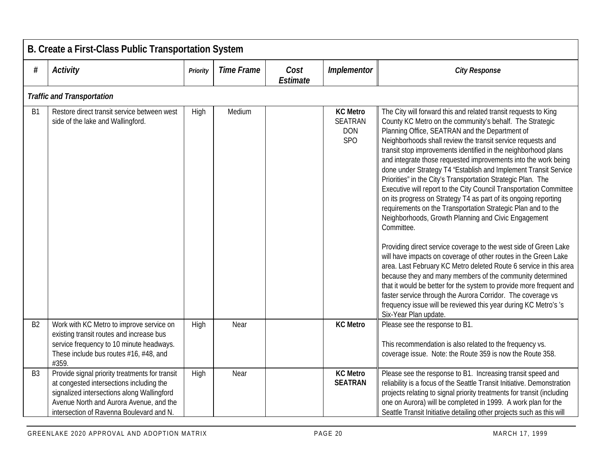|                | B. Create a First-Class Public Transportation System                                                                                                                                                                            |          |                   |                  |                                                               |                                                                                                                                                                                                                                                                                                                                                                                                                                                                                                                                                                                                                                                                                                                                                                                                                                                                                                                                                                                                                                                                                                                                                                                                                                                                                                              |  |  |  |  |
|----------------|---------------------------------------------------------------------------------------------------------------------------------------------------------------------------------------------------------------------------------|----------|-------------------|------------------|---------------------------------------------------------------|--------------------------------------------------------------------------------------------------------------------------------------------------------------------------------------------------------------------------------------------------------------------------------------------------------------------------------------------------------------------------------------------------------------------------------------------------------------------------------------------------------------------------------------------------------------------------------------------------------------------------------------------------------------------------------------------------------------------------------------------------------------------------------------------------------------------------------------------------------------------------------------------------------------------------------------------------------------------------------------------------------------------------------------------------------------------------------------------------------------------------------------------------------------------------------------------------------------------------------------------------------------------------------------------------------------|--|--|--|--|
| #              | <b>Activity</b>                                                                                                                                                                                                                 | Priority | <b>Time Frame</b> | Cost<br>Estimate | Implementor                                                   | <b>City Response</b>                                                                                                                                                                                                                                                                                                                                                                                                                                                                                                                                                                                                                                                                                                                                                                                                                                                                                                                                                                                                                                                                                                                                                                                                                                                                                         |  |  |  |  |
|                | <b>Traffic and Transportation</b>                                                                                                                                                                                               |          |                   |                  |                                                               |                                                                                                                                                                                                                                                                                                                                                                                                                                                                                                                                                                                                                                                                                                                                                                                                                                                                                                                                                                                                                                                                                                                                                                                                                                                                                                              |  |  |  |  |
| B <sub>1</sub> | Restore direct transit service between west<br>side of the lake and Wallingford.                                                                                                                                                | High     | Medium            |                  | <b>KC Metro</b><br><b>SEATRAN</b><br><b>DON</b><br><b>SPO</b> | The City will forward this and related transit requests to King<br>County KC Metro on the community's behalf. The Strategic<br>Planning Office, SEATRAN and the Department of<br>Neighborhoods shall review the transit service requests and<br>transit stop improvements identified in the neighborhood plans<br>and integrate those requested improvements into the work being<br>done under Strategy T4 "Establish and Implement Transit Service<br>Priorities" in the City's Transportation Strategic Plan. The<br>Executive will report to the City Council Transportation Committee<br>on its progress on Strategy T4 as part of its ongoing reporting<br>requirements on the Transportation Strategic Plan and to the<br>Neighborhoods, Growth Planning and Civic Engagement<br>Committee.<br>Providing direct service coverage to the west side of Green Lake<br>will have impacts on coverage of other routes in the Green Lake<br>area. Last February KC Metro deleted Route 6 service in this area<br>because they and many members of the community determined<br>that it would be better for the system to provide more frequent and<br>faster service through the Aurora Corridor. The coverage vs<br>frequency issue will be reviewed this year during KC Metro's 's<br>Six-Year Plan update. |  |  |  |  |
| B <sub>2</sub> | Work with KC Metro to improve service on<br>existing transit routes and increase bus<br>service frequency to 10 minute headways.<br>These include bus routes #16, #48, and<br>#359.                                             | High     | Near              |                  | <b>KC Metro</b>                                               | Please see the response to B1.<br>This recommendation is also related to the frequency vs.<br>coverage issue. Note: the Route 359 is now the Route 358.                                                                                                                                                                                                                                                                                                                                                                                                                                                                                                                                                                                                                                                                                                                                                                                                                                                                                                                                                                                                                                                                                                                                                      |  |  |  |  |
| B <sub>3</sub> | Provide signal priority treatments for transit<br>at congested intersections including the<br>signalized intersections along Wallingford<br>Avenue North and Aurora Avenue, and the<br>intersection of Ravenna Boulevard and N. | High     | Near              |                  | <b>KC Metro</b><br><b>SEATRAN</b>                             | Please see the response to B1. Increasing transit speed and<br>reliability is a focus of the Seattle Transit Initiative. Demonstration<br>projects relating to signal priority treatments for transit (including<br>one on Aurora) will be completed in 1999. A work plan for the<br>Seattle Transit Initiative detailing other projects such as this will                                                                                                                                                                                                                                                                                                                                                                                                                                                                                                                                                                                                                                                                                                                                                                                                                                                                                                                                                   |  |  |  |  |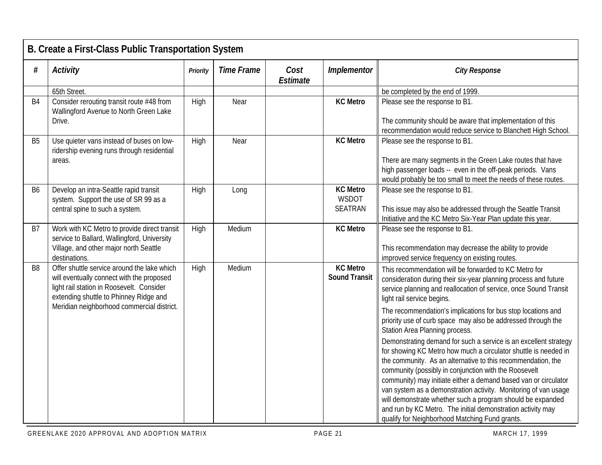|                | B. Create a First-Class Public Transportation System                                                                                                                                                                          |          |                   |                  |                                         |                                                                                                                                                                                                                                                                                                                                                                                                                                                                                                                                                                                                                                                                                                                                                                                                                                                                                                                                                                                   |  |  |  |  |
|----------------|-------------------------------------------------------------------------------------------------------------------------------------------------------------------------------------------------------------------------------|----------|-------------------|------------------|-----------------------------------------|-----------------------------------------------------------------------------------------------------------------------------------------------------------------------------------------------------------------------------------------------------------------------------------------------------------------------------------------------------------------------------------------------------------------------------------------------------------------------------------------------------------------------------------------------------------------------------------------------------------------------------------------------------------------------------------------------------------------------------------------------------------------------------------------------------------------------------------------------------------------------------------------------------------------------------------------------------------------------------------|--|--|--|--|
| #              | <b>Activity</b>                                                                                                                                                                                                               | Priority | <b>Time Frame</b> | Cost<br>Estimate | Implementor                             | <b>City Response</b>                                                                                                                                                                                                                                                                                                                                                                                                                                                                                                                                                                                                                                                                                                                                                                                                                                                                                                                                                              |  |  |  |  |
|                | 65th Street.                                                                                                                                                                                                                  |          |                   |                  |                                         | be completed by the end of 1999.                                                                                                                                                                                                                                                                                                                                                                                                                                                                                                                                                                                                                                                                                                                                                                                                                                                                                                                                                  |  |  |  |  |
| B <sub>4</sub> | Consider rerouting transit route #48 from<br>Wallingford Avenue to North Green Lake<br>Drive.                                                                                                                                 | High     | Near              |                  | <b>KC Metro</b>                         | Please see the response to B1.<br>The community should be aware that implementation of this<br>recommendation would reduce service to Blanchett High School.                                                                                                                                                                                                                                                                                                                                                                                                                                                                                                                                                                                                                                                                                                                                                                                                                      |  |  |  |  |
| B <sub>5</sub> | Use quieter vans instead of buses on low-<br>ridership evening runs through residential<br>areas.                                                                                                                             | High     | Near              |                  | <b>KC Metro</b>                         | Please see the response to B1.<br>There are many segments in the Green Lake routes that have<br>high passenger loads -- even in the off-peak periods. Vans<br>would probably be too small to meet the needs of these routes.                                                                                                                                                                                                                                                                                                                                                                                                                                                                                                                                                                                                                                                                                                                                                      |  |  |  |  |
| B <sub>6</sub> | Develop an intra-Seattle rapid transit<br>system. Support the use of SR 99 as a<br>central spine to such a system.                                                                                                            | High     | Long              |                  | <b>KC Metro</b><br>WSDOT<br>SEATRAN     | Please see the response to B1.<br>This issue may also be addressed through the Seattle Transit<br>Initiative and the KC Metro Six-Year Plan update this year.                                                                                                                                                                                                                                                                                                                                                                                                                                                                                                                                                                                                                                                                                                                                                                                                                     |  |  |  |  |
| B7             | Work with KC Metro to provide direct transit<br>service to Ballard, Wallingford, University<br>Village, and other major north Seattle<br>destinations.                                                                        | High     | Medium            |                  | <b>KC Metro</b>                         | Please see the response to B1.<br>This recommendation may decrease the ability to provide<br>improved service frequency on existing routes.                                                                                                                                                                                                                                                                                                                                                                                                                                                                                                                                                                                                                                                                                                                                                                                                                                       |  |  |  |  |
| B <sub>8</sub> | Offer shuttle service around the lake which<br>will eventually connect with the proposed<br>light rail station in Roosevelt. Consider<br>extending shuttle to Phinney Ridge and<br>Meridian neighborhood commercial district. | High     | Medium            |                  | <b>KC Metro</b><br><b>Sound Transit</b> | This recommendation will be forwarded to KC Metro for<br>consideration during their six-year planning process and future<br>service planning and reallocation of service, once Sound Transit<br>light rail service begins.<br>The recommendation's implications for bus stop locations and<br>priority use of curb space may also be addressed through the<br>Station Area Planning process.<br>Demonstrating demand for such a service is an excellent strategy<br>for showing KC Metro how much a circulator shuttle is needed in<br>the community. As an alternative to this recommendation, the<br>community (possibly in conjunction with the Roosevelt<br>community) may initiate either a demand based van or circulator<br>van system as a demonstration activity. Monitoring of van usage<br>will demonstrate whether such a program should be expanded<br>and run by KC Metro. The initial demonstration activity may<br>qualify for Neighborhood Matching Fund grants. |  |  |  |  |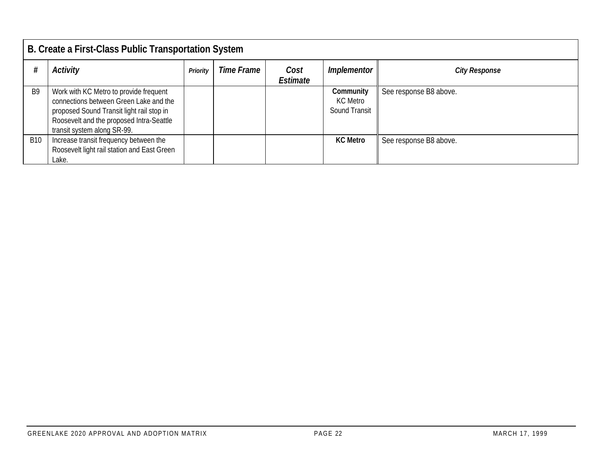|                | B. Create a First-Class Public Transportation System                                                                                                                                                     |          |                   |                  |                                        |                        |  |  |  |  |
|----------------|----------------------------------------------------------------------------------------------------------------------------------------------------------------------------------------------------------|----------|-------------------|------------------|----------------------------------------|------------------------|--|--|--|--|
|                | Activity                                                                                                                                                                                                 | Priority | <b>Time Frame</b> | Cost<br>Estimate | Implementor                            | <b>City Response</b>   |  |  |  |  |
| B <sub>9</sub> | Work with KC Metro to provide frequent<br>connections between Green Lake and the<br>proposed Sound Transit light rail stop in<br>Roosevelt and the proposed Intra-Seattle<br>transit system along SR-99. |          |                   |                  | Community<br>KC Metro<br>Sound Transit | See response B8 above. |  |  |  |  |
| <b>B10</b>     | Increase transit frequency between the<br>Roosevelt light rail station and East Green<br>Lake.                                                                                                           |          |                   |                  | <b>KC Metro</b>                        | See response B8 above. |  |  |  |  |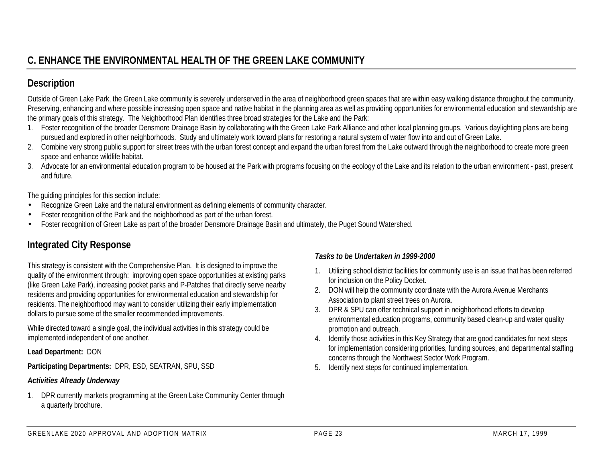# **C. ENHANCE THE ENVIRONMENTAL HEALTH OF THE GREEN LAKE COMMUNITY**

## **Description**

Outside of Green Lake Park, the Green Lake community is severely underserved in the area of neighborhood green spaces that are within easy walking distance throughout the community. Preserving, enhancing and where possible increasing open space and native habitat in the planning area as well as providing opportunities for environmental education and stewardship are the primary goals of this strategy. The Neighborhood Plan identifies three broad strategies for the Lake and the Park:

- 1. Foster recognition of the broader Densmore Drainage Basin by collaborating with the Green Lake Park Alliance and other local planning groups. Various daylighting plans are being pursued and explored in other neighborhoods. Study and ultimately work toward plans for restoring a natural system of water flow into and out of Green Lake.
- 2. Combine very strong public support for street trees with the urban forest concept and expand the urban forest from the Lake outward through the neighborhood to create more green space and enhance wildlife habitat.
- 3. Advocate for an environmental education program to be housed at the Park with programs focusing on the ecology of the Lake and its relation to the urban environment past, present and future.

The guiding principles for this section include:

- Recognize Green Lake and the natural environment as defining elements of community character.
- Foster recognition of the Park and the neighborhood as part of the urban forest.
- Foster recognition of Green Lake as part of the broader Densmore Drainage Basin and ultimately, the Puget Sound Watershed.

## **Integrated City Response**

This strategy is consistent with the Comprehensive Plan. It is designed to improve the quality of the environment through: improving open space opportunities at existing parks (like Green Lake Park), increasing pocket parks and P-Patches that directly serve nearby residents and providing opportunities for environmental education and stewardship for residents. The neighborhood may want to consider utilizing their early implementation dollars to pursue some of the smaller recommended improvements.

While directed toward a single goal, the individual activities in this strategy could be implemented independent of one another.

**Lead Department:** DON

**Participating Departments:** DPR, ESD, SEATRAN, SPU, SSD

#### *Activities Already Underway*

1. DPR currently markets programming at the Green Lake Community Center through a quarterly brochure.

- 1. Utilizing school district facilities for community use is an issue that has been referred for inclusion on the Policy Docket.
- 2. DON will help the community coordinate with the Aurora Avenue Merchants Association to plant street trees on Aurora.
- 3. DPR & SPU can offer technical support in neighborhood efforts to develop environmental education programs, community based clean-up and water quality promotion and outreach.
- 4. Identify those activities in this Key Strategy that are good candidates for next steps for implementation considering priorities, funding sources, and departmental staffing concerns through the Northwest Sector Work Program.
- 5. Identify next steps for continued implementation.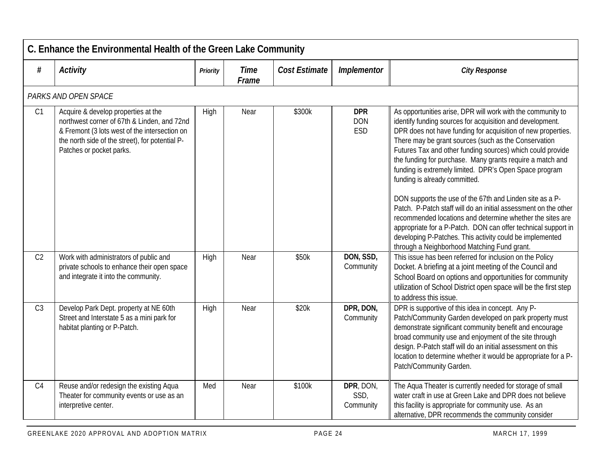| C. Enhance the Environmental Health of the Green Lake Community |                                                                                                                                                                                                                    |                 |                      |                      |                                        |                                                                                                                                                                                                                                                                                                                                                                                                                                                                                                                                                                                                                                                                                                                                                                                                                                                |  |  |  |  |  |
|-----------------------------------------------------------------|--------------------------------------------------------------------------------------------------------------------------------------------------------------------------------------------------------------------|-----------------|----------------------|----------------------|----------------------------------------|------------------------------------------------------------------------------------------------------------------------------------------------------------------------------------------------------------------------------------------------------------------------------------------------------------------------------------------------------------------------------------------------------------------------------------------------------------------------------------------------------------------------------------------------------------------------------------------------------------------------------------------------------------------------------------------------------------------------------------------------------------------------------------------------------------------------------------------------|--|--|--|--|--|
| #                                                               | <b>Activity</b>                                                                                                                                                                                                    | <b>Priority</b> | <b>Time</b><br>Frame | <b>Cost Estimate</b> | Implementor                            | <b>City Response</b>                                                                                                                                                                                                                                                                                                                                                                                                                                                                                                                                                                                                                                                                                                                                                                                                                           |  |  |  |  |  |
|                                                                 | PARKS AND OPEN SPACE                                                                                                                                                                                               |                 |                      |                      |                                        |                                                                                                                                                                                                                                                                                                                                                                                                                                                                                                                                                                                                                                                                                                                                                                                                                                                |  |  |  |  |  |
| C1                                                              | Acquire & develop properties at the<br>northwest corner of 67th & Linden, and 72nd<br>& Fremont (3 lots west of the intersection on<br>the north side of the street), for potential P-<br>Patches or pocket parks. | High            | Near                 | \$300k               | <b>DPR</b><br><b>DON</b><br><b>ESD</b> | As opportunities arise, DPR will work with the community to<br>identify funding sources for acquisition and development.<br>DPR does not have funding for acquisition of new properties.<br>There may be grant sources (such as the Conservation<br>Futures Tax and other funding sources) which could provide<br>the funding for purchase. Many grants require a match and<br>funding is extremely limited. DPR's Open Space program<br>funding is already committed.<br>DON supports the use of the 67th and Linden site as a P-<br>Patch. P-Patch staff will do an initial assessment on the other<br>recommended locations and determine whether the sites are<br>appropriate for a P-Patch. DON can offer technical support in<br>developing P-Patches. This activity could be implemented<br>through a Neighborhood Matching Fund grant. |  |  |  |  |  |
| C <sub>2</sub>                                                  | Work with administrators of public and<br>private schools to enhance their open space<br>and integrate it into the community.                                                                                      | High            | Near                 | \$50k                | DON, SSD,<br>Community                 | This issue has been referred for inclusion on the Policy<br>Docket. A briefing at a joint meeting of the Council and<br>School Board on options and opportunities for community<br>utilization of School District open space will be the first step<br>to address this issue.                                                                                                                                                                                                                                                                                                                                                                                                                                                                                                                                                                  |  |  |  |  |  |
| C <sub>3</sub>                                                  | Develop Park Dept. property at NE 60th<br>Street and Interstate 5 as a mini park for<br>habitat planting or P-Patch.                                                                                               | High            | Near                 | \$20k                | DPR, DON,<br>Community                 | DPR is supportive of this idea in concept. Any P-<br>Patch/Community Garden developed on park property must<br>demonstrate significant community benefit and encourage<br>broad community use and enjoyment of the site through<br>design. P-Patch staff will do an initial assessment on this<br>location to determine whether it would be appropriate for a P-<br>Patch/Community Garden.                                                                                                                                                                                                                                                                                                                                                                                                                                                    |  |  |  |  |  |
| C <sub>4</sub>                                                  | Reuse and/or redesign the existing Aqua<br>Theater for community events or use as an<br>interpretive center.                                                                                                       | Med             | Near                 | \$100k               | DPR, DON,<br>SSD,<br>Community         | The Aqua Theater is currently needed for storage of small<br>water craft in use at Green Lake and DPR does not believe<br>this facility is appropriate for community use. As an<br>alternative, DPR recommends the community consider                                                                                                                                                                                                                                                                                                                                                                                                                                                                                                                                                                                                          |  |  |  |  |  |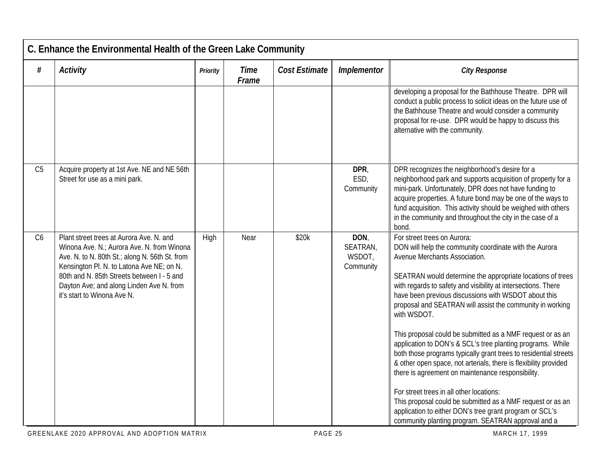| C. Enhance the Environmental Health of the Green Lake Community |                                                                                                                                                                                                                                                                                                                |                 |                      |                      |                                         |                                                                                                                                                                                                                                                                                                                                                                                                                                                                                                                                                                                                                                                                                                                                                                                                                                                                                                                                               |  |  |
|-----------------------------------------------------------------|----------------------------------------------------------------------------------------------------------------------------------------------------------------------------------------------------------------------------------------------------------------------------------------------------------------|-----------------|----------------------|----------------------|-----------------------------------------|-----------------------------------------------------------------------------------------------------------------------------------------------------------------------------------------------------------------------------------------------------------------------------------------------------------------------------------------------------------------------------------------------------------------------------------------------------------------------------------------------------------------------------------------------------------------------------------------------------------------------------------------------------------------------------------------------------------------------------------------------------------------------------------------------------------------------------------------------------------------------------------------------------------------------------------------------|--|--|
| #                                                               | <b>Activity</b>                                                                                                                                                                                                                                                                                                | <b>Priority</b> | <b>Time</b><br>Frame | <b>Cost Estimate</b> | Implementor                             | <b>City Response</b>                                                                                                                                                                                                                                                                                                                                                                                                                                                                                                                                                                                                                                                                                                                                                                                                                                                                                                                          |  |  |
|                                                                 |                                                                                                                                                                                                                                                                                                                |                 |                      |                      |                                         | developing a proposal for the Bathhouse Theatre. DPR will<br>conduct a public process to solicit ideas on the future use of<br>the Bathhouse Theatre and would consider a community<br>proposal for re-use. DPR would be happy to discuss this<br>alternative with the community.                                                                                                                                                                                                                                                                                                                                                                                                                                                                                                                                                                                                                                                             |  |  |
| C <sub>5</sub>                                                  | Acquire property at 1st Ave. NE and NE 56th<br>Street for use as a mini park.                                                                                                                                                                                                                                  |                 |                      |                      | DPR,<br>ESD,<br>Community               | DPR recognizes the neighborhood's desire for a<br>neighborhood park and supports acquisition of property for a<br>mini-park. Unfortunately, DPR does not have funding to<br>acquire properties. A future bond may be one of the ways to<br>fund acquisition. This activity should be weighed with others<br>in the community and throughout the city in the case of a<br>bond.                                                                                                                                                                                                                                                                                                                                                                                                                                                                                                                                                                |  |  |
| C6                                                              | Plant street trees at Aurora Ave. N. and<br>Winona Ave. N.; Aurora Ave. N. from Winona<br>Ave. N. to N. 80th St.; along N. 56th St. from<br>Kensington Pl. N. to Latona Ave NE; on N.<br>80th and N. 85th Streets between I - 5 and<br>Dayton Ave; and along Linden Ave N. from<br>it's start to Winona Ave N. | High            | Near                 | \$20k                | DON,<br>SEATRAN,<br>WSDOT,<br>Community | For street trees on Aurora:<br>DON will help the community coordinate with the Aurora<br>Avenue Merchants Association.<br>SEATRAN would determine the appropriate locations of trees<br>with regards to safety and visibility at intersections. There<br>have been previous discussions with WSDOT about this<br>proposal and SEATRAN will assist the community in working<br>with WSDOT.<br>This proposal could be submitted as a NMF request or as an<br>application to DON's & SCL's tree planting programs. While<br>both those programs typically grant trees to residential streets<br>& other open space, not arterials, there is flexibility provided<br>there is agreement on maintenance responsibility.<br>For street trees in all other locations:<br>This proposal could be submitted as a NMF request or as an<br>application to either DON's tree grant program or SCL's<br>community planting program. SEATRAN approval and a |  |  |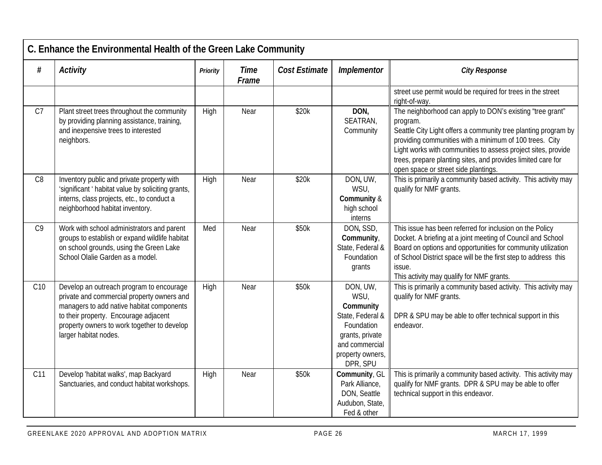| C. Enhance the Environmental Health of the Green Lake Community |                                                                                                                                                                                                                                                      |          |                      |                      |                                                                                                                                      |                                                                                                                                                                                                                                                                                                                                                                             |  |  |
|-----------------------------------------------------------------|------------------------------------------------------------------------------------------------------------------------------------------------------------------------------------------------------------------------------------------------------|----------|----------------------|----------------------|--------------------------------------------------------------------------------------------------------------------------------------|-----------------------------------------------------------------------------------------------------------------------------------------------------------------------------------------------------------------------------------------------------------------------------------------------------------------------------------------------------------------------------|--|--|
| $\#$                                                            | <b>Activity</b>                                                                                                                                                                                                                                      | Priority | <b>Time</b><br>Frame | <b>Cost Estimate</b> | Implementor                                                                                                                          | <b>City Response</b>                                                                                                                                                                                                                                                                                                                                                        |  |  |
|                                                                 |                                                                                                                                                                                                                                                      |          |                      |                      |                                                                                                                                      | street use permit would be required for trees in the street<br>right-of-way.                                                                                                                                                                                                                                                                                                |  |  |
| C <sub>7</sub>                                                  | Plant street trees throughout the community<br>by providing planning assistance, training,<br>and inexpensive trees to interested<br>neighbors.                                                                                                      | High     | Near                 | \$20k                | DON,<br>SEATRAN,<br>Community                                                                                                        | The neighborhood can apply to DON's existing 'tree grant"<br>program.<br>Seattle City Light offers a community tree planting program by<br>providing communities with a minimum of 100 trees. City<br>Light works with communities to assess project sites, provide<br>trees, prepare planting sites, and provides limited care for<br>open space or street side plantings. |  |  |
| C <sub>8</sub>                                                  | Inventory public and private property with<br>'significant 'habitat value by soliciting grants,<br>interns, class projects, etc., to conduct a<br>neighborhood habitat inventory.                                                                    | High     | Near                 | \$20k                | DON, UW,<br>WSU.<br>Community &<br>high school<br>interns                                                                            | This is primarily a community based activity. This activity may<br>qualify for NMF grants.                                                                                                                                                                                                                                                                                  |  |  |
| C <sub>9</sub>                                                  | Work with school administrators and parent<br>groups to establish or expand wildlife habitat<br>on school grounds, using the Green Lake<br>School Olalie Garden as a model.                                                                          | Med      | Near                 | \$50k                | DON, SSD,<br>Community,<br>State, Federal &<br>Foundation<br>grants                                                                  | This issue has been referred for inclusion on the Policy<br>Docket. A briefing at a joint meeting of Council and School<br>Board on options and opportunities for community utilization<br>of School District space will be the first step to address this<br>issue.<br>This activity may qualify for NMF grants.                                                           |  |  |
| C10                                                             | Develop an outreach program to encourage<br>private and commercial property owners and<br>managers to add native habitat components<br>to their property. Encourage adjacent<br>property owners to work together to develop<br>larger habitat nodes. | High     | Near                 | \$50k                | DON, UW,<br>WSU,<br>Community<br>State, Federal &<br>Foundation<br>grants, private<br>and commercial<br>property owners,<br>DPR, SPU | This is primarily a community based activity. This activity may<br>qualify for NMF grants.<br>DPR & SPU may be able to offer technical support in this<br>endeavor.                                                                                                                                                                                                         |  |  |
| C11                                                             | Develop 'habitat walks', map Backyard<br>Sanctuaries, and conduct habitat workshops.                                                                                                                                                                 | High     | Near                 | \$50k                | Community, GL<br>Park Alliance,<br>DON, Seattle<br>Audubon, State,<br>Fed & other                                                    | This is primarily a community based activity. This activity may<br>qualify for NMF grants. DPR & SPU may be able to offer<br>technical support in this endeavor.                                                                                                                                                                                                            |  |  |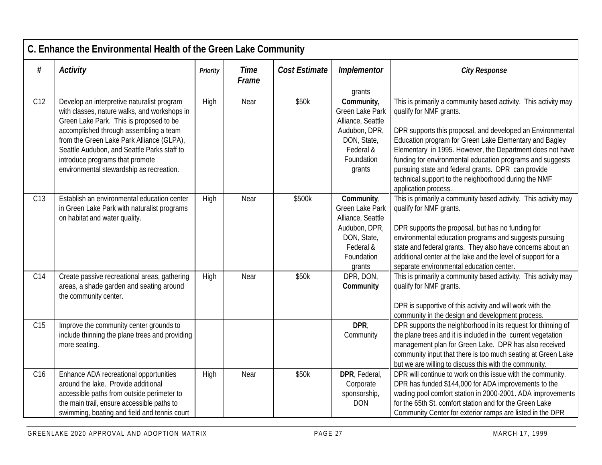|                 | C. Enhance the Environmental Health of the Green Lake Community                                                                                                                                                                                                                                                                                            |                 |                      |               |                                                                                                                                |                                                                                                                                                                                                                                                                                                                                                                                                                                                                                    |  |  |  |
|-----------------|------------------------------------------------------------------------------------------------------------------------------------------------------------------------------------------------------------------------------------------------------------------------------------------------------------------------------------------------------------|-----------------|----------------------|---------------|--------------------------------------------------------------------------------------------------------------------------------|------------------------------------------------------------------------------------------------------------------------------------------------------------------------------------------------------------------------------------------------------------------------------------------------------------------------------------------------------------------------------------------------------------------------------------------------------------------------------------|--|--|--|
| #               | <b>Activity</b>                                                                                                                                                                                                                                                                                                                                            | <b>Priority</b> | <b>Time</b><br>Frame | Cost Estimate | Implementor                                                                                                                    | <b>City Response</b>                                                                                                                                                                                                                                                                                                                                                                                                                                                               |  |  |  |
|                 |                                                                                                                                                                                                                                                                                                                                                            |                 |                      |               | grants                                                                                                                         |                                                                                                                                                                                                                                                                                                                                                                                                                                                                                    |  |  |  |
| C12             | Develop an interpretive naturalist program<br>with classes, nature walks, and workshops in<br>Green Lake Park. This is proposed to be<br>accomplished through assembling a team<br>from the Green Lake Park Alliance (GLPA),<br>Seattle Audubon, and Seattle Parks staff to<br>introduce programs that promote<br>environmental stewardship as recreation. | High            | Near                 | \$50k         | Community,<br><b>Green Lake Park</b><br>Alliance, Seattle<br>Audubon, DPR,<br>DON, State,<br>Federal &<br>Foundation<br>grants | This is primarily a community based activity. This activity may<br>qualify for NMF grants.<br>DPR supports this proposal, and developed an Environmental<br>Education program for Green Lake Elementary and Bagley<br>Elementary in 1995. However, the Department does not have<br>funding for environmental education programs and suggests<br>pursuing state and federal grants. DPR can provide<br>technical support to the neighborhood during the NMF<br>application process. |  |  |  |
| C <sub>13</sub> | Establish an environmental education center<br>in Green Lake Park with naturalist programs<br>on habitat and water quality.                                                                                                                                                                                                                                | High            | Near                 | \$500k        | Community,<br><b>Green Lake Park</b><br>Alliance, Seattle<br>Audubon, DPR,<br>DON, State,<br>Federal &<br>Foundation<br>grants | This is primarily a community based activity. This activity may<br>qualify for NMF grants.<br>DPR supports the proposal, but has no funding for<br>environmental education programs and suggests pursuing<br>state and federal grants. They also have concerns about an<br>additional center at the lake and the level of support for a<br>separate environmental education center.                                                                                                |  |  |  |
| C14             | Create passive recreational areas, gathering<br>areas, a shade garden and seating around<br>the community center.                                                                                                                                                                                                                                          | High            | Near                 | \$50k         | DPR, DON,<br>Community                                                                                                         | This is primarily a community based activity. This activity may<br>qualify for NMF grants.<br>DPR is supportive of this activity and will work with the<br>community in the design and development process.                                                                                                                                                                                                                                                                        |  |  |  |
| C15             | Improve the community center grounds to<br>include thinning the plane trees and providing<br>more seating.                                                                                                                                                                                                                                                 |                 |                      |               | DPR,<br>Community                                                                                                              | DPR supports the neighborhood in its request for thinning of<br>the plane trees and it is included in the current vegetation<br>management plan for Green Lake. DPR has also received<br>community input that there is too much seating at Green Lake<br>but we are willing to discuss this with the community.                                                                                                                                                                    |  |  |  |
| C <sub>16</sub> | Enhance ADA recreational opportunities<br>around the lake. Provide additional<br>accessible paths from outside perimeter to<br>the main trail, ensure accessible paths to<br>swimming, boating and field and tennis court                                                                                                                                  | High            | Near                 | \$50k         | DPR, Federal,<br>Corporate<br>sponsorship,<br><b>DON</b>                                                                       | DPR will continue to work on this issue with the community.<br>DPR has funded \$144,000 for ADA improvements to the<br>wading pool comfort station in 2000-2001. ADA improvements<br>for the 65th St. comfort station and for the Green Lake<br>Community Center for exterior ramps are listed in the DPR                                                                                                                                                                          |  |  |  |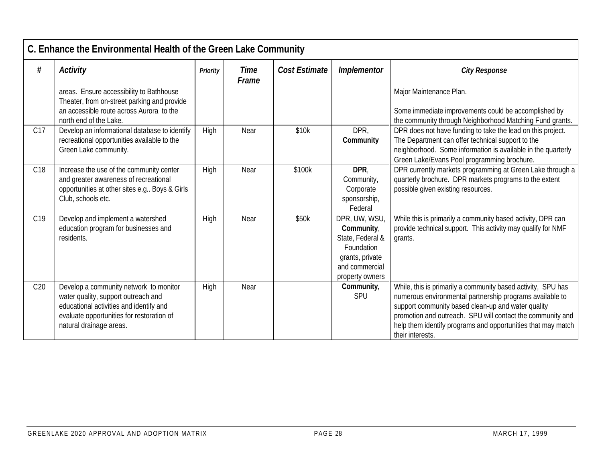|                 | C. Enhance the Environmental Health of the Green Lake Community                                                                                                                                  |          |                      |                      |                                                                                                                       |                                                                                                                                                                                                                                                                                                                                  |  |  |  |
|-----------------|--------------------------------------------------------------------------------------------------------------------------------------------------------------------------------------------------|----------|----------------------|----------------------|-----------------------------------------------------------------------------------------------------------------------|----------------------------------------------------------------------------------------------------------------------------------------------------------------------------------------------------------------------------------------------------------------------------------------------------------------------------------|--|--|--|
| #               | <b>Activity</b>                                                                                                                                                                                  | Priority | <b>Time</b><br>Frame | <b>Cost Estimate</b> | Implementor                                                                                                           | <b>City Response</b>                                                                                                                                                                                                                                                                                                             |  |  |  |
|                 | areas. Ensure accessibility to Bathhouse<br>Theater, from on-street parking and provide<br>an accessible route across Aurora to the<br>north end of the Lake.                                    |          |                      |                      |                                                                                                                       | Major Maintenance Plan.<br>Some immediate improvements could be accomplished by<br>the community through Neighborhood Matching Fund grants.                                                                                                                                                                                      |  |  |  |
| C <sub>17</sub> | Develop an informational database to identify<br>recreational opportunities available to the<br>Green Lake community.                                                                            | High     | Near                 | \$10k                | DPR,<br>Community                                                                                                     | DPR does not have funding to take the lead on this project.<br>The Department can offer technical support to the<br>neighborhood. Some information is available in the quarterly<br>Green Lake/Evans Pool programming brochure.                                                                                                  |  |  |  |
| C <sub>18</sub> | Increase the use of the community center<br>and greater awareness of recreational<br>opportunities at other sites e.g Boys & Girls<br>Club, schools etc.                                         | High     | Near                 | \$100k               | DPR,<br>Community,<br>Corporate<br>sponsorship,<br>Federal                                                            | DPR currently markets programming at Green Lake through a<br>quarterly brochure. DPR markets programs to the extent<br>possible given existing resources.                                                                                                                                                                        |  |  |  |
| C <sub>19</sub> | Develop and implement a watershed<br>education program for businesses and<br>residents.                                                                                                          | High     | Near                 | \$50k                | DPR, UW, WSU,<br>Community,<br>State, Federal &<br>Foundation<br>grants, private<br>and commercial<br>property owners | While this is primarily a community based activity, DPR can<br>provide technical support. This activity may qualify for NMF<br>grants.                                                                                                                                                                                           |  |  |  |
| C20             | Develop a community network to monitor<br>water quality, support outreach and<br>educational activities and identify and<br>evaluate opportunities for restoration of<br>natural drainage areas. | High     | Near                 |                      | Community,<br>SPU                                                                                                     | While, this is primarily a community based activity, SPU has<br>numerous environmental partnership programs available to<br>support community based clean-up and water quality<br>promotion and outreach. SPU will contact the community and<br>help them identify programs and opportunities that may match<br>their interests. |  |  |  |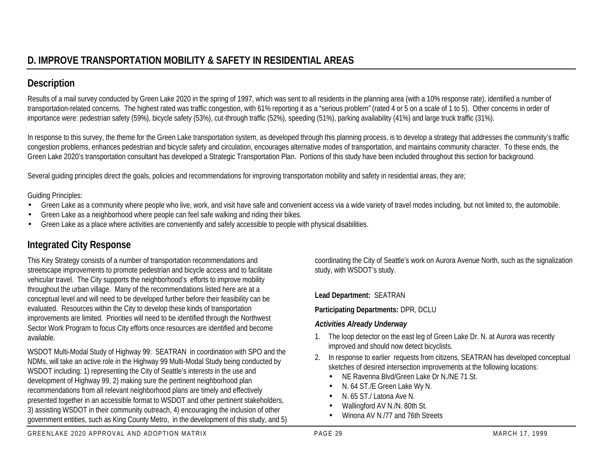## **Description**

Results of a mail survey conducted by Green Lake 2020 in the spring of 1997, which was sent to all residents in the planning area (with a 10% response rate), identified a number of transportation-related concerns. The highest rated was traffic congestion, with 61% reporting it as a "serious problem" (rated 4 or 5 on a scale of 1 to 5). Other concerns in order of importance were: pedestrian safety (59%), bicycle safety (53%), cut-through traffic (52%), speeding (51%), parking availability (41%) and large truck traffic (31%).

In response to this survey, the theme for the Green Lake transportation system, as developed through this planning process, is to develop a strategy that addresses the community's traffic congestion problems, enhances pedestrian and bicycle safety and circulation, encourages alternative modes of transportation, and maintains community character. To these ends, the Green Lake 2020's transportation consultant has developed a Strategic Transportation Plan. Portions of this study have been included throughout this section for background.

Several guiding principles direct the goals, policies and recommendations for improving transportation mobility and safety in residential areas, they are;

Guiding Principles:

- Green Lake as a community where people who live, work, and visit have safe and convenient access via a wide variety of travel modes including, but not limited to, the automobile.
- Green Lake as a neighborhood where people can feel safe walking and riding their bikes.
- Green Lake as a place where activities are conveniently and safely accessible to people with physical disabilities.

# **Integrated City Response**

This Key Strategy consists of a number of transportation recommendations and streetscape improvements to promote pedestrian and bicycle access and to facilitate vehicular travel. The City supports the neighborhood's efforts to improve mobility throughout the urban village. Many of the recommendations listed here are at a conceptual level and will need to be developed further before their feasibility can be evaluated. Resources within the City to develop these kinds of transportation improvements are limited. Priorities will need to be identified through the Northwest Sector Work Program to focus City efforts once resources are identified and become available.

WSDOT Multi-Modal Study of Highway 99: SEATRAN in coordination with SPO and the NDMs, will take an active role in the Highway 99 Multi-Modal Study being conducted by WSDOT including: 1) representing the City of Seattle's interests in the use and development of Highway 99, 2) making sure the pertinent neighborhood plan recommendations from all relevant neighborhood plans are timely and effectively presented together in an accessible format to WSDOT and other pertinent stakeholders, 3) assisting WSDOT in their community outreach, 4) encouraging the inclusion of other government entities, such as King County Metro, in the development of this study, and 5) coordinating the City of Seattle's work on Aurora Avenue North, such as the signalization study, with WSDOT's study.

**Lead Department:** SEATRAN

**Participating Departments:** DPR, DCLU

#### *Activities Already Underway*

- 1. The loop detector on the east leg of Green Lake Dr. N. at Aurora was recently improved and should now detect bicyclists.
- 2. In response to earlier requests from citizens, SEATRAN has developed conceptual sketches of desired intersection improvements at the following locations:
	- NE Ravenna Blvd/Green Lake Dr N./NE 71 St.
	- N. 64 ST./E Green Lake Wy N.
	- N. 65 ST./Latona Ave N.
	- Wallingford AV N./N. 80th St.
	- Winona AV N /77 and 76th Streets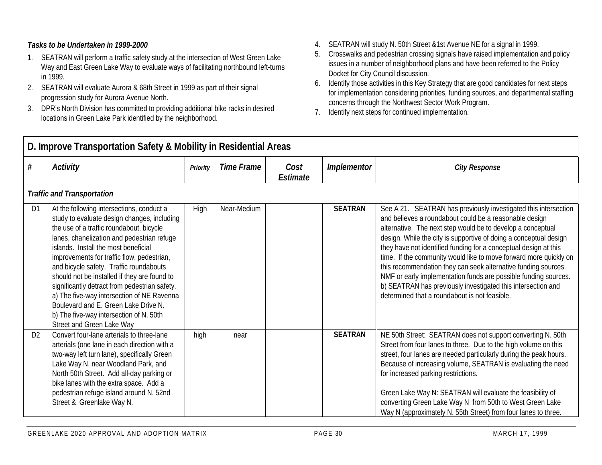- 1. SEATRAN will perform a traffic safety study at the intersection of West Green Lake Way and East Green Lake Way to evaluate ways of facilitating northbound left-turns in 1999.
- 2. SEATRAN will evaluate Aurora & 68th Street in 1999 as part of their signal progression study for Aurora Avenue North.
- 3. DPR's North Division has committed to providing additional bike racks in desired locations in Green Lake Park identified by the neighborhood.
- 4. SEATRAN will study N. 50th Street &1st Avenue NE for a signal in 1999.
- 5. Crosswalks and pedestrian crossing signals have raised implementation and policy issues in a number of neighborhood plans and have been referred to the Policy Docket for City Council discussion.
- 6. Identify those activities in this Key Strategy that are good candidates for next steps for implementation considering priorities, funding sources, and departmental staffing concerns through the Northwest Sector Work Program.
- 7. Identify next steps for continued implementation.

|                | D. Improve Transportation Safety & Mobility in Residential Areas                                                                                                                                                                                                                                                                                                                                                                                                                                                                                                                   |          |                   |                  |                    |                                                                                                                                                                                                                                                                                                                                                                                                                                                                                                                                                                                                                                                              |  |  |  |  |
|----------------|------------------------------------------------------------------------------------------------------------------------------------------------------------------------------------------------------------------------------------------------------------------------------------------------------------------------------------------------------------------------------------------------------------------------------------------------------------------------------------------------------------------------------------------------------------------------------------|----------|-------------------|------------------|--------------------|--------------------------------------------------------------------------------------------------------------------------------------------------------------------------------------------------------------------------------------------------------------------------------------------------------------------------------------------------------------------------------------------------------------------------------------------------------------------------------------------------------------------------------------------------------------------------------------------------------------------------------------------------------------|--|--|--|--|
| #              | Activity                                                                                                                                                                                                                                                                                                                                                                                                                                                                                                                                                                           | Priority | <b>Time Frame</b> | Cost<br>Estimate | <b>Implementor</b> | <b>City Response</b>                                                                                                                                                                                                                                                                                                                                                                                                                                                                                                                                                                                                                                         |  |  |  |  |
|                | <b>Traffic and Transportation</b>                                                                                                                                                                                                                                                                                                                                                                                                                                                                                                                                                  |          |                   |                  |                    |                                                                                                                                                                                                                                                                                                                                                                                                                                                                                                                                                                                                                                                              |  |  |  |  |
| D <sub>1</sub> | At the following intersections, conduct a<br>study to evaluate design changes, including<br>the use of a traffic roundabout, bicycle<br>lanes, chanelization and pedestrian refuge<br>islands. Install the most beneficial<br>improvements for traffic flow, pedestrian,<br>and bicycle safety. Traffic roundabouts<br>should not be installed if they are found to<br>significantly detract from pedestrian safety.<br>a) The five-way intersection of NE Ravenna<br>Boulevard and E. Green Lake Drive N.<br>b) The five-way intersection of N. 50th<br>Street and Green Lake Way | High     | Near-Medium       |                  | <b>SEATRAN</b>     | See A 21. SEATRAN has previously investigated this intersection<br>and believes a roundabout could be a reasonable design<br>alternative. The next step would be to develop a conceptual<br>design. While the city is supportive of doing a conceptual design<br>they have not identified funding for a conceptual design at this<br>time. If the community would like to move forward more quickly on<br>this recommendation they can seek alternative funding sources.<br>NMF or early implementation funds are possible funding sources.<br>b) SEATRAN has previously investigated this intersection and<br>determined that a roundabout is not feasible. |  |  |  |  |
| D <sub>2</sub> | Convert four-lane arterials to three-lane<br>arterials (one lane in each direction with a<br>two-way left turn lane), specifically Green<br>Lake Way N. near Woodland Park, and<br>North 50th Street. Add all-day parking or<br>bike lanes with the extra space. Add a<br>pedestrian refuge island around N. 52nd<br>Street & Greenlake Way N.                                                                                                                                                                                                                                     | high     | near              |                  | <b>SEATRAN</b>     | NE 50th Street: SEATRAN does not support converting N. 50th<br>Street from four lanes to three. Due to the high volume on this<br>street, four lanes are needed particularly during the peak hours.<br>Because of increasing volume, SEATRAN is evaluating the need<br>for increased parking restrictions.<br>Green Lake Way N: SEATRAN will evaluate the feasibility of<br>converting Green Lake Way N from 50th to West Green Lake<br>Way N (approximately N. 55th Street) from four lanes to three.                                                                                                                                                       |  |  |  |  |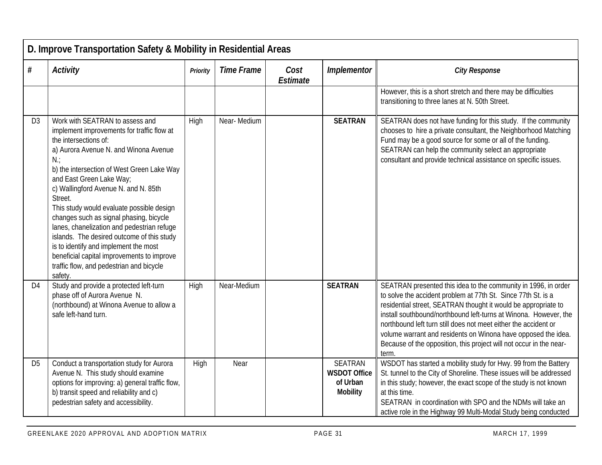|                | D. Improve Transportation Safety & Mobility in Residential Areas                                                                                                                                                                                                                                                                                                                                                                                                                                                                                                                                                        |          |                   |                  |                                                                      |                                                                                                                                                                                                                                                                                                                                                                                                                                                                                           |  |  |  |  |
|----------------|-------------------------------------------------------------------------------------------------------------------------------------------------------------------------------------------------------------------------------------------------------------------------------------------------------------------------------------------------------------------------------------------------------------------------------------------------------------------------------------------------------------------------------------------------------------------------------------------------------------------------|----------|-------------------|------------------|----------------------------------------------------------------------|-------------------------------------------------------------------------------------------------------------------------------------------------------------------------------------------------------------------------------------------------------------------------------------------------------------------------------------------------------------------------------------------------------------------------------------------------------------------------------------------|--|--|--|--|
| $\#$           | <b>Activity</b>                                                                                                                                                                                                                                                                                                                                                                                                                                                                                                                                                                                                         | Priority | <b>Time Frame</b> | Cost<br>Estimate | Implementor                                                          | <b>City Response</b>                                                                                                                                                                                                                                                                                                                                                                                                                                                                      |  |  |  |  |
|                |                                                                                                                                                                                                                                                                                                                                                                                                                                                                                                                                                                                                                         |          |                   |                  |                                                                      | However, this is a short stretch and there may be difficulties<br>transitioning to three lanes at N. 50th Street.                                                                                                                                                                                                                                                                                                                                                                         |  |  |  |  |
| D <sub>3</sub> | Work with SEATRAN to assess and<br>implement improvements for traffic flow at<br>the intersections of:<br>a) Aurora Avenue N. and Winona Avenue<br>$N$ :<br>b) the intersection of West Green Lake Way<br>and East Green Lake Way;<br>c) Wallingford Avenue N. and N. 85th<br>Street.<br>This study would evaluate possible design<br>changes such as signal phasing, bicycle<br>lanes, chanelization and pedestrian refuge<br>islands. The desired outcome of this study<br>is to identify and implement the most<br>beneficial capital improvements to improve<br>traffic flow, and pedestrian and bicycle<br>safety. | High     | Near-Medium       |                  | <b>SEATRAN</b>                                                       | SEATRAN does not have funding for this study. If the community<br>chooses to hire a private consultant, the Neighborhood Matching<br>Fund may be a good source for some or all of the funding.<br>SEATRAN can help the community select an appropriate<br>consultant and provide technical assistance on specific issues.                                                                                                                                                                 |  |  |  |  |
| D <sub>4</sub> | Study and provide a protected left-turn<br>phase off of Aurora Avenue N.<br>(northbound) at Winona Avenue to allow a<br>safe left-hand turn.                                                                                                                                                                                                                                                                                                                                                                                                                                                                            | High     | Near-Medium       |                  | <b>SEATRAN</b>                                                       | SEATRAN presented this idea to the community in 1996, in order<br>to solve the accident problem at 77th St. Since 77th St. is a<br>residential street, SEATRAN thought it would be appropriate to<br>install southbound/northbound left-turns at Winona. However, the<br>northbound left turn still does not meet either the accident or<br>volume warrant and residents on Winona have opposed the idea.<br>Because of the opposition, this project will not occur in the near-<br>term. |  |  |  |  |
| D <sub>5</sub> | Conduct a transportation study for Aurora<br>Avenue N. This study should examine<br>options for improving: a) general traffic flow,<br>b) transit speed and reliability and c)<br>pedestrian safety and accessibility.                                                                                                                                                                                                                                                                                                                                                                                                  | High     | Near              |                  | <b>SEATRAN</b><br><b>WSDOT Office</b><br>of Urban<br><b>Mobility</b> | WSDOT has started a mobility study for Hwy. 99 from the Battery<br>St. tunnel to the City of Shoreline. These issues will be addressed<br>in this study; however, the exact scope of the study is not known<br>at this time.<br>SEATRAN in coordination with SPO and the NDMs will take an<br>active role in the Highway 99 Multi-Modal Study being conducted                                                                                                                             |  |  |  |  |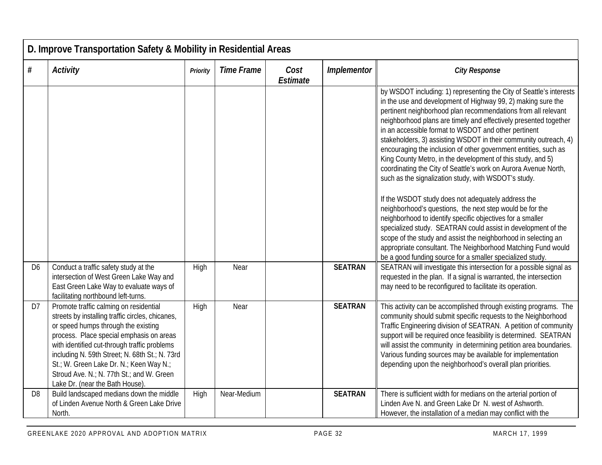|                | D. Improve Transportation Safety & Mobility in Residential Areas                                                                                                                                                                                                                                                                                                                                           |          |                   |                  |                |                                                                                                                                                                                                                                                                                                                                                                                                                                                                                                                                                                                                                                                                                                                                                                                                                                                                                                                                                                                                                                                                                                                   |  |  |  |  |
|----------------|------------------------------------------------------------------------------------------------------------------------------------------------------------------------------------------------------------------------------------------------------------------------------------------------------------------------------------------------------------------------------------------------------------|----------|-------------------|------------------|----------------|-------------------------------------------------------------------------------------------------------------------------------------------------------------------------------------------------------------------------------------------------------------------------------------------------------------------------------------------------------------------------------------------------------------------------------------------------------------------------------------------------------------------------------------------------------------------------------------------------------------------------------------------------------------------------------------------------------------------------------------------------------------------------------------------------------------------------------------------------------------------------------------------------------------------------------------------------------------------------------------------------------------------------------------------------------------------------------------------------------------------|--|--|--|--|
| #              | <b>Activity</b>                                                                                                                                                                                                                                                                                                                                                                                            | Priority | <b>Time Frame</b> | Cost<br>Estimate | Implementor    | <b>City Response</b>                                                                                                                                                                                                                                                                                                                                                                                                                                                                                                                                                                                                                                                                                                                                                                                                                                                                                                                                                                                                                                                                                              |  |  |  |  |
|                |                                                                                                                                                                                                                                                                                                                                                                                                            |          |                   |                  |                | by WSDOT including: 1) representing the City of Seattle's interests<br>in the use and development of Highway 99, 2) making sure the<br>pertinent neighborhood plan recommendations from all relevant<br>neighborhood plans are timely and effectively presented together<br>in an accessible format to WSDOT and other pertinent<br>stakeholders, 3) assisting WSDOT in their community outreach, 4)<br>encouraging the inclusion of other government entities, such as<br>King County Metro, in the development of this study, and 5)<br>coordinating the City of Seattle's work on Aurora Avenue North,<br>such as the signalization study, with WSDOT's study.<br>If the WSDOT study does not adequately address the<br>neighborhood's questions, the next step would be for the<br>neighborhood to identify specific objectives for a smaller<br>specialized study. SEATRAN could assist in development of the<br>scope of the study and assist the neighborhood in selecting an<br>appropriate consultant. The Neighborhood Matching Fund would<br>be a good funding source for a smaller specialized study. |  |  |  |  |
| D <sub>6</sub> | Conduct a traffic safety study at the<br>intersection of West Green Lake Way and<br>East Green Lake Way to evaluate ways of<br>facilitating northbound left-turns.                                                                                                                                                                                                                                         | High     | Near              |                  | <b>SEATRAN</b> | SEATRAN will investigate this intersection for a possible signal as<br>requested in the plan. If a signal is warranted, the intersection<br>may need to be reconfigured to facilitate its operation.                                                                                                                                                                                                                                                                                                                                                                                                                                                                                                                                                                                                                                                                                                                                                                                                                                                                                                              |  |  |  |  |
| D7             | Promote traffic calming on residential<br>streets by installing traffic circles, chicanes,<br>or speed humps through the existing<br>process. Place special emphasis on areas<br>with identified cut-through traffic problems<br>including N. 59th Street; N. 68th St.; N. 73rd<br>St.; W. Green Lake Dr. N.; Keen Way N.;<br>Stroud Ave. N.; N. 77th St.; and W. Green<br>Lake Dr. (near the Bath House). | High     | Near              |                  | <b>SEATRAN</b> | This activity can be accomplished through existing programs. The<br>community should submit specific requests to the Neighborhood<br>Traffic Engineering division of SEATRAN. A petition of community<br>support will be required once feasibility is determined. SEATRAN<br>will assist the community in determining petition area boundaries.<br>Various funding sources may be available for implementation<br>depending upon the neighborhood's overall plan priorities.                                                                                                                                                                                                                                                                                                                                                                                                                                                                                                                                                                                                                                      |  |  |  |  |
| D <sub>8</sub> | Build landscaped medians down the middle<br>of Linden Avenue North & Green Lake Drive<br>North.                                                                                                                                                                                                                                                                                                            | High     | Near-Medium       |                  | <b>SEATRAN</b> | There is sufficient width for medians on the arterial portion of<br>Linden Ave N. and Green Lake Dr N. west of Ashworth.<br>However, the installation of a median may conflict with the                                                                                                                                                                                                                                                                                                                                                                                                                                                                                                                                                                                                                                                                                                                                                                                                                                                                                                                           |  |  |  |  |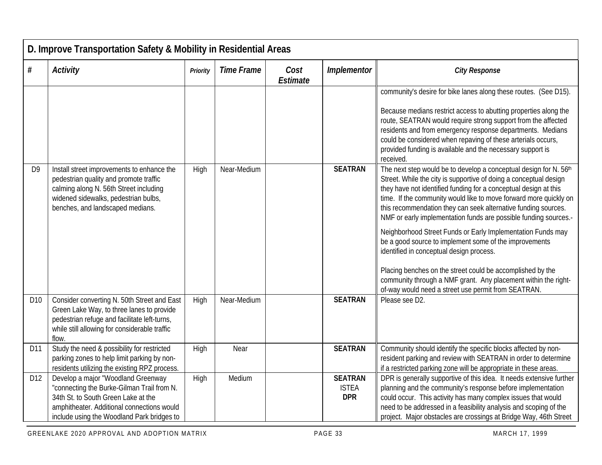|                 | D. Improve Transportation Safety & Mobility in Residential Areas                                                                                                                                                    |          |                   |                  |                                              |                                                                                                                                                                                                                                                                                                                                                                                                                                                                                                                                                                                                                                                                                                                                                                                   |  |  |  |  |
|-----------------|---------------------------------------------------------------------------------------------------------------------------------------------------------------------------------------------------------------------|----------|-------------------|------------------|----------------------------------------------|-----------------------------------------------------------------------------------------------------------------------------------------------------------------------------------------------------------------------------------------------------------------------------------------------------------------------------------------------------------------------------------------------------------------------------------------------------------------------------------------------------------------------------------------------------------------------------------------------------------------------------------------------------------------------------------------------------------------------------------------------------------------------------------|--|--|--|--|
| $\#$            | <b>Activity</b>                                                                                                                                                                                                     | Priority | <b>Time Frame</b> | Cost<br>Estimate | Implementor                                  | <b>City Response</b>                                                                                                                                                                                                                                                                                                                                                                                                                                                                                                                                                                                                                                                                                                                                                              |  |  |  |  |
|                 |                                                                                                                                                                                                                     |          |                   |                  |                                              | community's desire for bike lanes along these routes. (See D15).<br>Because medians restrict access to abutting properties along the<br>route, SEATRAN would require strong support from the affected<br>residents and from emergency response departments. Medians<br>could be considered when repaving of these arterials occurs,<br>provided funding is available and the necessary support is<br>received.                                                                                                                                                                                                                                                                                                                                                                    |  |  |  |  |
| D <sub>9</sub>  | Install street improvements to enhance the<br>pedestrian quality and promote traffic<br>calming along N. 56th Street including<br>widened sidewalks, pedestrian bulbs,<br>benches, and landscaped medians.          | High     | Near-Medium       |                  | <b>SEATRAN</b>                               | The next step would be to develop a conceptual design for N. 56th<br>Street. While the city is supportive of doing a conceptual design<br>they have not identified funding for a conceptual design at this<br>time. If the community would like to move forward more quickly on<br>this recommendation they can seek alternative funding sources.<br>NMF or early implementation funds are possible funding sources.-<br>Neighborhood Street Funds or Early Implementation Funds may<br>be a good source to implement some of the improvements<br>identified in conceptual design process.<br>Placing benches on the street could be accomplished by the<br>community through a NMF grant. Any placement within the right-<br>of-way would need a street use permit from SEATRAN. |  |  |  |  |
| D <sub>10</sub> | Consider converting N. 50th Street and East<br>Green Lake Way, to three lanes to provide<br>pedestrian refuge and facilitate left-turns,<br>while still allowing for considerable traffic<br>flow.                  | High     | Near-Medium       |                  | <b>SEATRAN</b>                               | Please see D2.                                                                                                                                                                                                                                                                                                                                                                                                                                                                                                                                                                                                                                                                                                                                                                    |  |  |  |  |
| D11             | Study the need & possibility for restricted<br>parking zones to help limit parking by non-<br>residents utilizing the existing RPZ process.                                                                         | High     | Near              |                  | <b>SEATRAN</b>                               | Community should identify the specific blocks affected by non-<br>resident parking and review with SEATRAN in order to determine<br>if a restricted parking zone will be appropriate in these areas.                                                                                                                                                                                                                                                                                                                                                                                                                                                                                                                                                                              |  |  |  |  |
| D <sub>12</sub> | Develop a major "Woodland Greenway<br>"connecting the Burke-Gilman Trail from N.<br>34th St. to South Green Lake at the<br>amphitheater. Additional connections would<br>include using the Woodland Park bridges to | High     | Medium            |                  | <b>SEATRAN</b><br><b>ISTEA</b><br><b>DPR</b> | DPR is generally supportive of this idea. It needs extensive further<br>planning and the community's response before implementation<br>could occur. This activity has many complex issues that would<br>need to be addressed in a feasibility analysis and scoping of the<br>project. Major obstacles are crossings at Bridge Way, 46th Street                                                                                                                                                                                                                                                                                                                                                                                                                                    |  |  |  |  |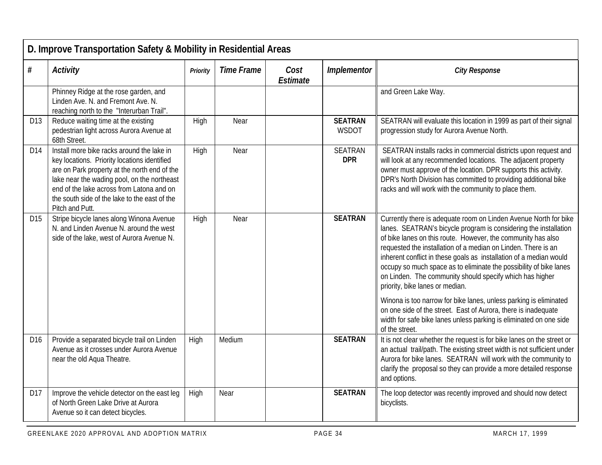|                 | D. Improve Transportation Safety & Mobility in Residential Areas                                                                                                                                                                                                                                           |          |                   |                  |                                |                                                                                                                                                                                                                                                                                                                                                                                                                                                                                                                  |  |  |  |
|-----------------|------------------------------------------------------------------------------------------------------------------------------------------------------------------------------------------------------------------------------------------------------------------------------------------------------------|----------|-------------------|------------------|--------------------------------|------------------------------------------------------------------------------------------------------------------------------------------------------------------------------------------------------------------------------------------------------------------------------------------------------------------------------------------------------------------------------------------------------------------------------------------------------------------------------------------------------------------|--|--|--|
| $\#$            | <b>Activity</b>                                                                                                                                                                                                                                                                                            | Priority | <b>Time Frame</b> | Cost<br>Estimate | Implementor                    | <b>City Response</b>                                                                                                                                                                                                                                                                                                                                                                                                                                                                                             |  |  |  |
|                 | Phinney Ridge at the rose garden, and<br>Linden Ave. N. and Fremont Ave. N.<br>reaching north to the "Interurban Trail".                                                                                                                                                                                   |          |                   |                  |                                | and Green Lake Way.                                                                                                                                                                                                                                                                                                                                                                                                                                                                                              |  |  |  |
| D13             | Reduce waiting time at the existing<br>pedestrian light across Aurora Avenue at<br>68th Street.                                                                                                                                                                                                            | High     | Near              |                  | <b>SEATRAN</b><br><b>WSDOT</b> | SEATRAN will evaluate this location in 1999 as part of their signal<br>progression study for Aurora Avenue North.                                                                                                                                                                                                                                                                                                                                                                                                |  |  |  |
| D <sub>14</sub> | Install more bike racks around the lake in<br>key locations. Priority locations identified<br>are on Park property at the north end of the<br>lake near the wading pool, on the northeast<br>end of the lake across from Latona and on<br>the south side of the lake to the east of the<br>Pitch and Putt. | High     | Near              |                  | <b>SEATRAN</b><br><b>DPR</b>   | SEATRAN installs racks in commercial districts upon request and<br>will look at any recommended locations. The adjacent property<br>owner must approve of the location. DPR supports this activity.<br>DPR's North Division has committed to providing additional bike<br>racks and will work with the community to place them.                                                                                                                                                                                  |  |  |  |
| D <sub>15</sub> | Stripe bicycle lanes along Winona Avenue<br>N. and Linden Avenue N. around the west<br>side of the lake, west of Aurora Avenue N.                                                                                                                                                                          | High     | Near              |                  | <b>SEATRAN</b>                 | Currently there is adequate room on Linden Avenue North for bike<br>lanes. SEATRAN's bicycle program is considering the installation<br>of bike lanes on this route. However, the community has also<br>requested the installation of a median on Linden. There is an<br>inherent conflict in these goals as installation of a median would<br>occupy so much space as to eliminate the possibility of bike lanes<br>on Linden. The community should specify which has higher<br>priority, bike lanes or median. |  |  |  |
|                 |                                                                                                                                                                                                                                                                                                            |          |                   |                  |                                | Winona is too narrow for bike lanes, unless parking is eliminated<br>on one side of the street. East of Aurora, there is inadequate<br>width for safe bike lanes unless parking is eliminated on one side<br>of the street.                                                                                                                                                                                                                                                                                      |  |  |  |
| D <sub>16</sub> | Provide a separated bicycle trail on Linden<br>Avenue as it crosses under Aurora Avenue<br>near the old Aqua Theatre.                                                                                                                                                                                      | High     | Medium            |                  | <b>SEATRAN</b>                 | It is not clear whether the request is for bike lanes on the street or<br>an actual trail/path. The existing street width is not sufficient under<br>Aurora for bike lanes. SEATRAN will work with the community to<br>clarify the proposal so they can provide a more detailed response<br>and options.                                                                                                                                                                                                         |  |  |  |
| D17             | Improve the vehicle detector on the east leg<br>of North Green Lake Drive at Aurora<br>Avenue so it can detect bicycles.                                                                                                                                                                                   | High     | Near              |                  | <b>SEATRAN</b>                 | The loop detector was recently improved and should now detect<br>bicyclists.                                                                                                                                                                                                                                                                                                                                                                                                                                     |  |  |  |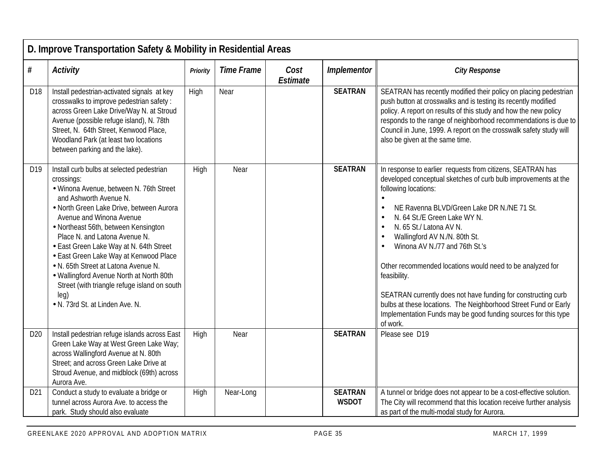|                 | D. Improve Transportation Safety & Mobility in Residential Areas                                                                                                                                                                                                                                                                                                                                                                                                                                                                                  |          |                   |                  |                                |                                                                                                                                                                                                                                                                                                                                                                                                                                                                                                                                                                                                                                                                                                  |  |  |  |  |
|-----------------|---------------------------------------------------------------------------------------------------------------------------------------------------------------------------------------------------------------------------------------------------------------------------------------------------------------------------------------------------------------------------------------------------------------------------------------------------------------------------------------------------------------------------------------------------|----------|-------------------|------------------|--------------------------------|--------------------------------------------------------------------------------------------------------------------------------------------------------------------------------------------------------------------------------------------------------------------------------------------------------------------------------------------------------------------------------------------------------------------------------------------------------------------------------------------------------------------------------------------------------------------------------------------------------------------------------------------------------------------------------------------------|--|--|--|--|
| $\#$            | <b>Activity</b>                                                                                                                                                                                                                                                                                                                                                                                                                                                                                                                                   | Priority | <b>Time Frame</b> | Cost<br>Estimate | Implementor                    | <b>City Response</b>                                                                                                                                                                                                                                                                                                                                                                                                                                                                                                                                                                                                                                                                             |  |  |  |  |
| D18             | Install pedestrian-activated signals at key<br>crosswalks to improve pedestrian safety:<br>across Green Lake Drive/Way N. at Stroud<br>Avenue (possible refuge island), N. 78th<br>Street, N. 64th Street, Kenwood Place,<br>Woodland Park (at least two locations<br>between parking and the lake).                                                                                                                                                                                                                                              | High     | Near              |                  | <b>SEATRAN</b>                 | SEATRAN has recently modified their policy on placing pedestrian<br>push button at crosswalks and is testing its recently modified<br>policy. A report on results of this study and how the new policy<br>responds to the range of neighborhood recommendations is due to<br>Council in June, 1999. A report on the crosswalk safety study will<br>also be given at the same time.                                                                                                                                                                                                                                                                                                               |  |  |  |  |
| D19             | Install curb bulbs at selected pedestrian<br>crossings:<br>· Winona Avenue, between N. 76th Street<br>and Ashworth Avenue N.<br>• North Green Lake Drive, between Aurora<br>Avenue and Winona Avenue<br>• Northeast 56th, between Kensington<br>Place N. and Latona Avenue N.<br>• East Green Lake Way at N. 64th Street<br>• East Green Lake Way at Kenwood Place<br>. N. 65th Street at Latona Avenue N.<br>• Wallingford Avenue North at North 80th<br>Street (with triangle refuge island on south<br>[eq]<br>• N. 73rd St. at Linden Ave. N. | High     | Near              |                  | <b>SEATRAN</b>                 | In response to earlier requests from citizens, SEATRAN has<br>developed conceptual sketches of curb bulb improvements at the<br>following locations:<br>$\bullet$<br>NE Ravenna BLVD/Green Lake DR N./NE 71 St.<br>$\bullet$<br>N. 64 St./E Green Lake WY N.<br>$\bullet$<br>N. 65 St./ Latona AV N.<br>$\bullet$<br>Wallingford AV N./N. 80th St.<br>$\bullet$<br>Winona AV N./77 and 76th St.'s<br>Other recommended locations would need to be analyzed for<br>feasibility.<br>SEATRAN currently does not have funding for constructing curb<br>bulbs at these locations. The Neighborhood Street Fund or Early<br>Implementation Funds may be good funding sources for this type<br>of work. |  |  |  |  |
| D <sub>20</sub> | Install pedestrian refuge islands across East<br>Green Lake Way at West Green Lake Way;<br>across Wallingford Avenue at N. 80th<br>Street; and across Green Lake Drive at<br>Stroud Avenue, and midblock (69th) across<br>Aurora Ave.                                                                                                                                                                                                                                                                                                             | High     | Near              |                  | <b>SEATRAN</b>                 | Please see D19                                                                                                                                                                                                                                                                                                                                                                                                                                                                                                                                                                                                                                                                                   |  |  |  |  |
| D21             | Conduct a study to evaluate a bridge or<br>tunnel across Aurora Ave. to access the<br>park. Study should also evaluate                                                                                                                                                                                                                                                                                                                                                                                                                            | High     | Near-Long         |                  | <b>SEATRAN</b><br><b>WSDOT</b> | A tunnel or bridge does not appear to be a cost-effective solution.<br>The City will recommend that this location receive further analysis<br>as part of the multi-modal study for Aurora.                                                                                                                                                                                                                                                                                                                                                                                                                                                                                                       |  |  |  |  |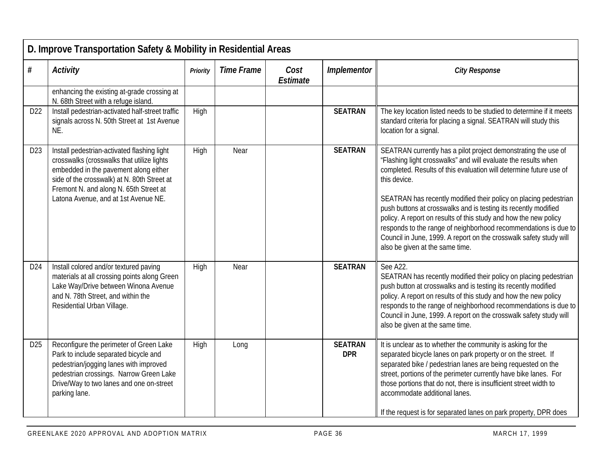|                 | D. Improve Transportation Safety & Mobility in Residential Areas                                                                                                                                                                                                    |          |                   |                  |                              |                                                                                                                                                                                                                                                                                                                                                                                                                                                                                                                                                                                                               |  |  |  |  |
|-----------------|---------------------------------------------------------------------------------------------------------------------------------------------------------------------------------------------------------------------------------------------------------------------|----------|-------------------|------------------|------------------------------|---------------------------------------------------------------------------------------------------------------------------------------------------------------------------------------------------------------------------------------------------------------------------------------------------------------------------------------------------------------------------------------------------------------------------------------------------------------------------------------------------------------------------------------------------------------------------------------------------------------|--|--|--|--|
| $\#$            | <b>Activity</b>                                                                                                                                                                                                                                                     | Priority | <b>Time Frame</b> | Cost<br>Estimate | Implementor                  | <b>City Response</b>                                                                                                                                                                                                                                                                                                                                                                                                                                                                                                                                                                                          |  |  |  |  |
|                 | enhancing the existing at-grade crossing at<br>N. 68th Street with a refuge island                                                                                                                                                                                  |          |                   |                  |                              |                                                                                                                                                                                                                                                                                                                                                                                                                                                                                                                                                                                                               |  |  |  |  |
| D22             | Install pedestrian-activated half-street traffic<br>signals across N. 50th Street at 1st Avenue<br>NE.                                                                                                                                                              | High     |                   |                  | <b>SEATRAN</b>               | The key location listed needs to be studied to determine if it meets<br>standard criteria for placing a signal. SEATRAN will study this<br>location for a signal.                                                                                                                                                                                                                                                                                                                                                                                                                                             |  |  |  |  |
| D <sub>23</sub> | Install pedestrian-activated flashing light<br>crosswalks (crosswalks that utilize lights<br>embedded in the pavement along either<br>side of the crosswalk) at N. 80th Street at<br>Fremont N. and along N. 65th Street at<br>Latona Avenue, and at 1st Avenue NE. | High     | Near              |                  | <b>SEATRAN</b>               | SEATRAN currently has a pilot project demonstrating the use of<br>"Flashing light crosswalks" and will evaluate the results when<br>completed. Results of this evaluation will determine future use of<br>this device.<br>SEATRAN has recently modified their policy on placing pedestrian<br>push buttons at crosswalks and is testing its recently modified<br>policy. A report on results of this study and how the new policy<br>responds to the range of neighborhood recommendations is due to<br>Council in June, 1999. A report on the crosswalk safety study will<br>also be given at the same time. |  |  |  |  |
| D24             | Install colored and/or textured paving<br>materials at all crossing points along Green<br>Lake Way/Drive between Winona Avenue<br>and N. 78th Street, and within the<br>Residential Urban Village.                                                                  | High     | Near              |                  | <b>SEATRAN</b>               | See A22.<br>SEATRAN has recently modified their policy on placing pedestrian<br>push button at crosswalks and is testing its recently modified<br>policy. A report on results of this study and how the new policy<br>responds to the range of neighborhood recommendations is due to<br>Council in June, 1999. A report on the crosswalk safety study will<br>also be given at the same time.                                                                                                                                                                                                                |  |  |  |  |
| D25             | Reconfigure the perimeter of Green Lake<br>Park to include separated bicycle and<br>pedestrian/jogging lanes with improved<br>pedestrian crossings. Narrow Green Lake<br>Drive/Way to two lanes and one on-street<br>parking lane.                                  | High     | Long              |                  | <b>SEATRAN</b><br><b>DPR</b> | It is unclear as to whether the community is asking for the<br>separated bicycle lanes on park property or on the street. If<br>separated bike / pedestrian lanes are being requested on the<br>street, portions of the perimeter currently have bike lanes. For<br>those portions that do not, there is insufficient street width to<br>accommodate additional lanes.<br>If the request is for separated lanes on park property, DPR does                                                                                                                                                                    |  |  |  |  |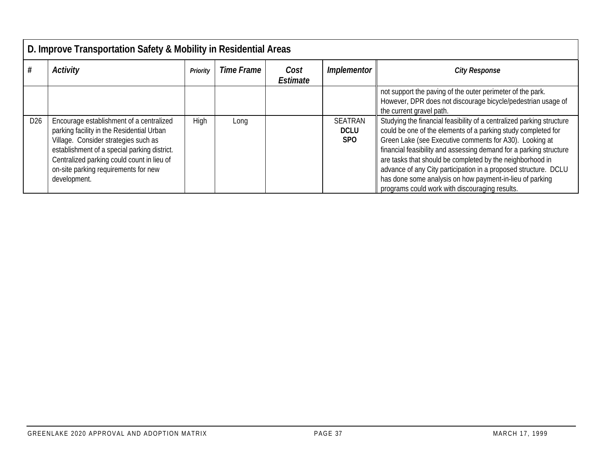|                 | D. Improve Transportation Safety & Mobility in Residential Areas                                                                                                                                                                                                                    |          |            |                  |                                      |                                                                                                                                                                                                                                                                                                                                                                                                                                                                                                                       |  |  |  |  |  |
|-----------------|-------------------------------------------------------------------------------------------------------------------------------------------------------------------------------------------------------------------------------------------------------------------------------------|----------|------------|------------------|--------------------------------------|-----------------------------------------------------------------------------------------------------------------------------------------------------------------------------------------------------------------------------------------------------------------------------------------------------------------------------------------------------------------------------------------------------------------------------------------------------------------------------------------------------------------------|--|--|--|--|--|
|                 | <b>Activity</b>                                                                                                                                                                                                                                                                     | Priority | Time Frame | Cost<br>Estimate | Implementor                          | <b>City Response</b>                                                                                                                                                                                                                                                                                                                                                                                                                                                                                                  |  |  |  |  |  |
|                 |                                                                                                                                                                                                                                                                                     |          |            |                  |                                      | not support the paving of the outer perimeter of the park.<br>However, DPR does not discourage bicycle/pedestrian usage of<br>the current gravel path.                                                                                                                                                                                                                                                                                                                                                                |  |  |  |  |  |
| D <sub>26</sub> | Encourage establishment of a centralized<br>parking facility in the Residential Urban<br>Village. Consider strategies such as<br>establishment of a special parking district.<br>Centralized parking could count in lieu of<br>on-site parking requirements for new<br>development. | High     | Long       |                  | <b>SEATRAN</b><br><b>DCLU</b><br>SPO | Studying the financial feasibility of a centralized parking structure<br>could be one of the elements of a parking study completed for<br>Green Lake (see Executive comments for A30). Looking at<br>financial feasibility and assessing demand for a parking structure<br>are tasks that should be completed by the neighborhood in<br>advance of any City participation in a proposed structure. DCLU<br>has done some analysis on how payment-in-lieu of parking<br>programs could work with discouraging results. |  |  |  |  |  |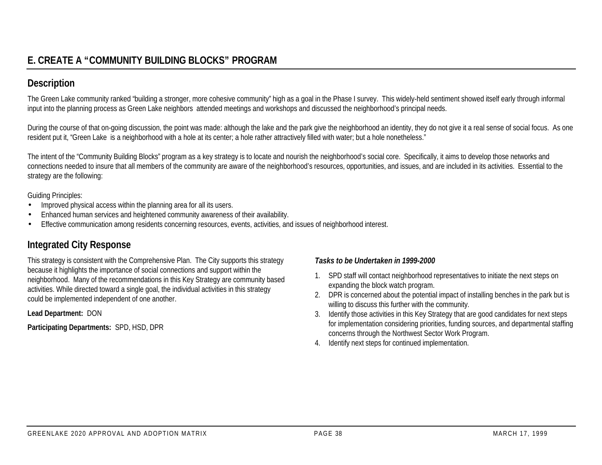## **Description**

The Green Lake community ranked "building a stronger, more cohesive community" high as a goal in the Phase I survey. This widely-held sentiment showed itself early through informal input into the planning process as Green Lake neighbors attended meetings and workshops and discussed the neighborhood's principal needs.

During the course of that on-going discussion, the point was made: although the lake and the park give the neighborhood an identity, they do not give it a real sense of social focus. As one resident put it, "Green Lake is a neighborhood with a hole at its center; a hole rather attractively filled with water; but a hole nonetheless."

The intent of the "Community Building Blocks" program as a key strategy is to locate and nourish the neighborhood's social core. Specifically, it aims to develop those networks and connections needed to insure that all members of the community are aware of the neighborhood's resources, opportunities, and issues, and are included in its activities. Essential to the strategy are the following:

Guiding Principles:

- Improved physical access within the planning area for all its users.
- Enhanced human services and heightened community awareness of their availability.
- Effective communication among residents concerning resources, events, activities, and issues of neighborhood interest.

## **Integrated City Response**

This strategy is consistent with the Comprehensive Plan. The City supports this strategy because it highlights the importance of social connections and support within the neighborhood. Many of the recommendations in this Key Strategy are community based activities. While directed toward a single goal, the individual activities in this strategy could be implemented independent of one another.

**Lead Department:** DON

**Participating Departments:** SPD, HSD, DPR

- 1. SPD staff will contact neighborhood representatives to initiate the next steps on expanding the block watch program.
- 2. DPR is concerned about the potential impact of installing benches in the park but is willing to discuss this further with the community.
- 3. Identify those activities in this Key Strategy that are good candidates for next steps for implementation considering priorities, funding sources, and departmental staffing concerns through the Northwest Sector Work Program.
- 4. Identify next steps for continued implementation.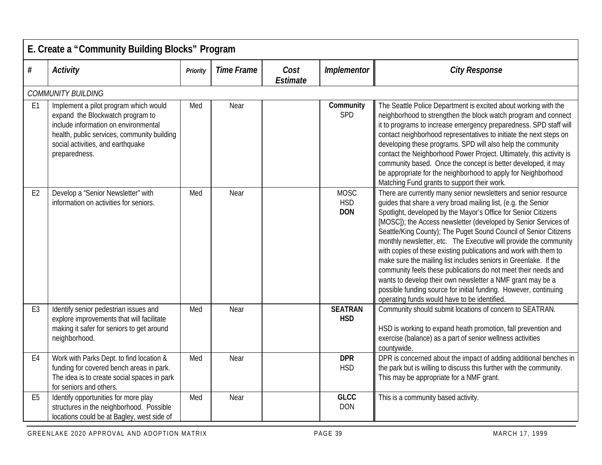|                | E. Create a "Community Building Blocks" Program                                                                                                                                                                        |                 |                   |                  |                                         |                                                                                                                                                                                                                                                                                                                                                                                                                                                                                                                                                                                                                                                                                                                                                                                                            |  |  |  |  |
|----------------|------------------------------------------------------------------------------------------------------------------------------------------------------------------------------------------------------------------------|-----------------|-------------------|------------------|-----------------------------------------|------------------------------------------------------------------------------------------------------------------------------------------------------------------------------------------------------------------------------------------------------------------------------------------------------------------------------------------------------------------------------------------------------------------------------------------------------------------------------------------------------------------------------------------------------------------------------------------------------------------------------------------------------------------------------------------------------------------------------------------------------------------------------------------------------------|--|--|--|--|
| $\#$           | <b>Activity</b>                                                                                                                                                                                                        | <b>Priority</b> | <b>Time Frame</b> | Cost<br>Estimate | Implementor                             | <b>City Response</b>                                                                                                                                                                                                                                                                                                                                                                                                                                                                                                                                                                                                                                                                                                                                                                                       |  |  |  |  |
|                | <b>COMMUNITY BUILDING</b>                                                                                                                                                                                              |                 |                   |                  |                                         |                                                                                                                                                                                                                                                                                                                                                                                                                                                                                                                                                                                                                                                                                                                                                                                                            |  |  |  |  |
| E1             | Implement a pilot program which would<br>expand the Blockwatch program to<br>include information on environmental<br>health, public services, community building<br>social activities, and earthquake<br>preparedness. | Med             | Near              |                  | Community<br>SPD                        | The Seattle Police Department is excited about working with the<br>neighborhood to strengthen the block watch program and connect<br>it to programs to increase emergency preparedness. SPD staff will<br>contact neighborhood representatives to initiate the next steps on<br>developing these programs. SPD will also help the community<br>contact the Neighborhood Power Project. Ultimately, this activity is<br>community based. Once the concept is better developed, it may<br>be appropriate for the neighborhood to apply for Neighborhood<br>Matching Fund grants to support their work.                                                                                                                                                                                                       |  |  |  |  |
| E <sub>2</sub> | Develop a "Senior Newsletter" with<br>information on activities for seniors.                                                                                                                                           | Med             | Near              |                  | <b>MOSC</b><br><b>HSD</b><br><b>DON</b> | There are currently many senior newsletters and senior resource<br>guides that share a very broad mailing list, (e.g. the Senior<br>Spotlight, developed by the Mayor's Office for Senior Citizens<br>[MOSC]); the Access newsletter (developed by Senior Services of<br>Seattle/King County); The Puget Sound Council of Senior Citizens<br>monthly newsletter, etc. The Executive will provide the community<br>with copies of these existing publications and work with them to<br>make sure the mailing list includes seniors in Greenlake. If the<br>community feels these publications do not meet their needs and<br>wants to develop their own newsletter a NMF grant may be a<br>possible funding source for initial funding. However, continuing<br>operating funds would have to be identified. |  |  |  |  |
| E <sub>3</sub> | Identify senior pedestrian issues and<br>explore improvements that will facilitate<br>making it safer for seniors to get around<br>neighborhood.                                                                       | Med             | Near              |                  | <b>SEATRAN</b><br><b>HSD</b>            | Community should submit locations of concern to SEATRAN.<br>HSD is working to expand heath promotion, fall prevention and<br>exercise (balance) as a part of senior wellness activities<br>countywide.                                                                                                                                                                                                                                                                                                                                                                                                                                                                                                                                                                                                     |  |  |  |  |
| E <sub>4</sub> | Work with Parks Dept. to find location &<br>funding for covered bench areas in park.<br>The idea is to create social spaces in park<br>for seniors and others.                                                         | Med             | Near              |                  | <b>DPR</b><br><b>HSD</b>                | DPR is concerned about the impact of adding additional benches in<br>the park but is willing to discuss this further with the community.<br>This may be appropriate for a NMF grant.                                                                                                                                                                                                                                                                                                                                                                                                                                                                                                                                                                                                                       |  |  |  |  |
| E <sub>5</sub> | Identify opportunities for more play<br>structures in the neighborhood. Possible<br>locations could be at Bagley, west side of                                                                                         | Med             | Near              |                  | <b>GLCC</b><br><b>DON</b>               | This is a community based activity.                                                                                                                                                                                                                                                                                                                                                                                                                                                                                                                                                                                                                                                                                                                                                                        |  |  |  |  |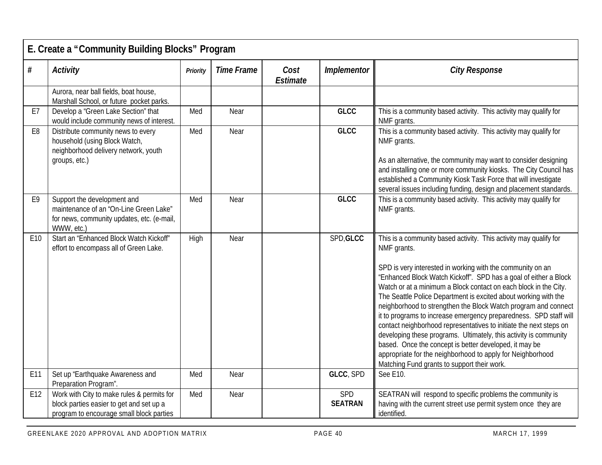|                | E. Create a "Community Building Blocks" Program                                                                                    |          |                   |                  |                       |                                                                                                                                                                                                                                                                                                                                                                                                                                                                                                                                                                                                                                                                                                                                                                                                                    |  |  |  |  |
|----------------|------------------------------------------------------------------------------------------------------------------------------------|----------|-------------------|------------------|-----------------------|--------------------------------------------------------------------------------------------------------------------------------------------------------------------------------------------------------------------------------------------------------------------------------------------------------------------------------------------------------------------------------------------------------------------------------------------------------------------------------------------------------------------------------------------------------------------------------------------------------------------------------------------------------------------------------------------------------------------------------------------------------------------------------------------------------------------|--|--|--|--|
| $\#$           | Activity                                                                                                                           | Priority | <b>Time Frame</b> | Cost<br>Estimate | Implementor           | <b>City Response</b>                                                                                                                                                                                                                                                                                                                                                                                                                                                                                                                                                                                                                                                                                                                                                                                               |  |  |  |  |
|                | Aurora, near ball fields, boat house,<br>Marshall School, or future pocket parks.                                                  |          |                   |                  |                       |                                                                                                                                                                                                                                                                                                                                                                                                                                                                                                                                                                                                                                                                                                                                                                                                                    |  |  |  |  |
| E7             | Develop a "Green Lake Section" that<br>would include community news of interest.                                                   | Med      | Near              |                  | <b>GLCC</b>           | This is a community based activity. This activity may qualify for<br>NMF grants.                                                                                                                                                                                                                                                                                                                                                                                                                                                                                                                                                                                                                                                                                                                                   |  |  |  |  |
| E <sub>8</sub> | Distribute community news to every<br>household (using Block Watch,<br>neighborhood delivery network, youth<br>groups, etc.)       | Med      | Near              |                  | <b>GLCC</b>           | This is a community based activity. This activity may qualify for<br>NMF grants.<br>As an alternative, the community may want to consider designing<br>and installing one or more community kiosks. The City Council has<br>established a Community Kiosk Task Force that will investigate<br>several issues including funding, design and placement standards.                                                                                                                                                                                                                                                                                                                                                                                                                                                    |  |  |  |  |
| E <sub>9</sub> | Support the development and<br>maintenance of an "On-Line Green Lake"<br>for news, community updates, etc. (e-mail,<br>WWW, etc.)  | Med      | Near              |                  | <b>GLCC</b>           | This is a community based activity. This activity may qualify for<br>NMF grants.                                                                                                                                                                                                                                                                                                                                                                                                                                                                                                                                                                                                                                                                                                                                   |  |  |  |  |
| E10            | Start an "Enhanced Block Watch Kickoff"<br>effort to encompass all of Green Lake.                                                  | High     | Near              |                  | SPD, GLCC             | This is a community based activity. This activity may qualify for<br>NMF grants.<br>SPD is very interested in working with the community on an<br>"Enhanced Block Watch Kickoff". SPD has a goal of either a Block<br>Watch or at a minimum a Block contact on each block in the City.<br>The Seattle Police Department is excited about working with the<br>neighborhood to strengthen the Block Watch program and connect<br>it to programs to increase emergency preparedness. SPD staff will<br>contact neighborhood representatives to initiate the next steps on<br>developing these programs. Ultimately, this activity is community<br>based. Once the concept is better developed, it may be<br>appropriate for the neighborhood to apply for Neighborhood<br>Matching Fund grants to support their work. |  |  |  |  |
| E11            | Set up 'Earthquake Awareness and<br>Preparation Program".                                                                          | Med      | Near              |                  | GLCC, SPD             | See E10.                                                                                                                                                                                                                                                                                                                                                                                                                                                                                                                                                                                                                                                                                                                                                                                                           |  |  |  |  |
| E12            | Work with City to make rules & permits for<br>block parties easier to get and set up a<br>program to encourage small block parties | Med      | Near              |                  | SPD<br><b>SEATRAN</b> | SEATRAN will respond to specific problems the community is<br>having with the current street use permit system once they are<br>identified.                                                                                                                                                                                                                                                                                                                                                                                                                                                                                                                                                                                                                                                                        |  |  |  |  |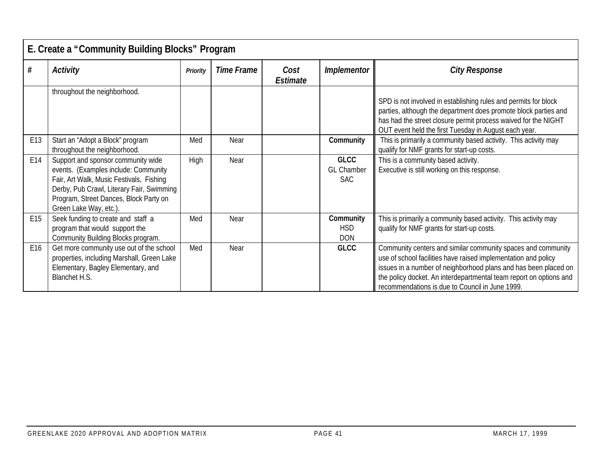|     | E. Create a "Community Building Blocks" Program                                                                                                                                                                                         |          |                   |                  |                                                |                                                                                                                                                                                                                                                                                                                            |  |  |  |
|-----|-----------------------------------------------------------------------------------------------------------------------------------------------------------------------------------------------------------------------------------------|----------|-------------------|------------------|------------------------------------------------|----------------------------------------------------------------------------------------------------------------------------------------------------------------------------------------------------------------------------------------------------------------------------------------------------------------------------|--|--|--|
| #   | Activity                                                                                                                                                                                                                                | Priority | <b>Time Frame</b> | Cost<br>Estimate | <b>Implementor</b>                             | <b>City Response</b>                                                                                                                                                                                                                                                                                                       |  |  |  |
|     | throughout the neighborhood.                                                                                                                                                                                                            |          |                   |                  |                                                | SPD is not involved in establishing rules and permits for block<br>parties, although the department does promote block parties and<br>has had the street closure permit process waived for the NIGHT<br>OUT event held the first Tuesday in August each year.                                                              |  |  |  |
| E13 | Start an "Adopt a Block" program<br>throughout the neighborhood.                                                                                                                                                                        | Med      | Near              |                  | Community                                      | This is primarily a community based activity. This activity may<br>qualify for NMF grants for start-up costs.                                                                                                                                                                                                              |  |  |  |
| E14 | Support and sponsor community wide<br>events. (Examples include: Community<br>Fair, Art Walk, Music Festivals, Fishing<br>Derby, Pub Crawl, Literary Fair, Swimming<br>Program, Street Dances, Block Party on<br>Green Lake Way, etc.). | High     | Near              |                  | <b>GLCC</b><br><b>GL Chamber</b><br><b>SAC</b> | This is a community based activity.<br>Executive is still working on this response.                                                                                                                                                                                                                                        |  |  |  |
| E15 | Seek funding to create and staff a<br>program that would support the<br>Community Building Blocks program.                                                                                                                              | Med      | Near              |                  | Community<br><b>HSD</b><br><b>DON</b>          | This is primarily a community based activity. This activity may<br>qualify for NMF grants for start-up costs.                                                                                                                                                                                                              |  |  |  |
| E16 | Get more community use out of the school<br>properties, including Marshall, Green Lake<br>Elementary, Bagley Elementary, and<br>Blanchet H.S.                                                                                           | Med      | Near              |                  | <b>GLCC</b>                                    | Community centers and similar community spaces and community<br>use of school facilities have raised implementation and policy<br>issues in a number of neighborhood plans and has been placed on<br>the policy docket. An interdepartmental team report on options and<br>recommendations is due to Council in June 1999. |  |  |  |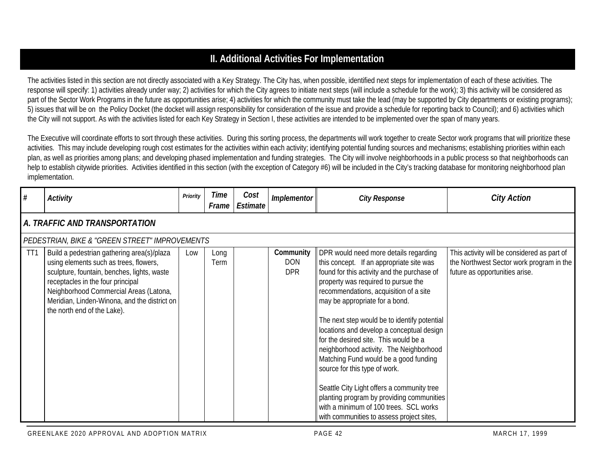## **II. Additional Activities For Implementation**

The activities listed in this section are not directly associated with a Key Strategy. The City has, when possible, identified next steps for implementation of each of these activities. The response will specify: 1) activities already under way; 2) activities for which the City agrees to initiate next steps (will include a schedule for the work); 3) this activity will be considered as part of the Sector Work Programs in the future as opportunities arise; 4) activities for which the community must take the lead (may be supported by City departments or existing programs); 5) issues that will be on the Policy Docket (the docket will assign responsibility for consideration of the issue and provide a schedule for reporting back to Council); and 6) activities which the City will not support. As with the activities listed for each Key Strategy in Section I, these activities are intended to be implemented over the span of many years.

The Executive will coordinate efforts to sort through these activities. During this sorting process, the departments will work together to create Sector work programs that will prioritize these activities. This may include developing rough cost estimates for the activities within each activity; identifying potential funding sources and mechanisms; establishing priorities within each plan, as well as priorities among plans; and developing phased implementation and funding strategies. The City will involve neighborhoods in a public process so that neighborhoods can help to establish citywide priorities. Activities identified in this section (with the exception of Category #6) will be included in the City's tracking database for monitoring neighborhood plan implementation.

| #   | <b>Activity</b>                                                                                                                                                                                                                                                                                   | Priority | Time<br>Frame | Cost<br>Estimate | Implementor                           | <b>City Response</b>                                                                                                                                                                                                                                                                                                                                                                                                                                                                                                                                                                                                                                                                             | <b>City Action</b>                                                                                                        |  |  |  |  |  |  |
|-----|---------------------------------------------------------------------------------------------------------------------------------------------------------------------------------------------------------------------------------------------------------------------------------------------------|----------|---------------|------------------|---------------------------------------|--------------------------------------------------------------------------------------------------------------------------------------------------------------------------------------------------------------------------------------------------------------------------------------------------------------------------------------------------------------------------------------------------------------------------------------------------------------------------------------------------------------------------------------------------------------------------------------------------------------------------------------------------------------------------------------------------|---------------------------------------------------------------------------------------------------------------------------|--|--|--|--|--|--|
|     | A. TRAFFIC AND TRANSPORTATION                                                                                                                                                                                                                                                                     |          |               |                  |                                       |                                                                                                                                                                                                                                                                                                                                                                                                                                                                                                                                                                                                                                                                                                  |                                                                                                                           |  |  |  |  |  |  |
|     | PEDESTRIAN, BIKE & "GREEN STREET" IMPROVEMENTS                                                                                                                                                                                                                                                    |          |               |                  |                                       |                                                                                                                                                                                                                                                                                                                                                                                                                                                                                                                                                                                                                                                                                                  |                                                                                                                           |  |  |  |  |  |  |
| TT1 | Build a pedestrian gathering area(s)/plaza<br>using elements such as trees, flowers,<br>sculpture, fountain, benches, lights, waste<br>receptacles in the four principal<br>Neighborhood Commercial Areas (Latona,<br>Meridian, Linden-Winona, and the district on<br>the north end of the Lake). | Low      | Long<br>Term  |                  | Community<br><b>DON</b><br><b>DPR</b> | DPR would need more details regarding<br>this concept. If an appropriate site was<br>found for this activity and the purchase of<br>property was required to pursue the<br>recommendations, acquisition of a site<br>may be appropriate for a bond.<br>The next step would be to identify potential<br>locations and develop a conceptual design<br>for the desired site. This would be a<br>neighborhood activity. The Neighborhood<br>Matching Fund would be a good funding<br>source for this type of work.<br>Seattle City Light offers a community tree<br>planting program by providing communities<br>with a minimum of 100 trees. SCL works<br>with communities to assess project sites, | This activity will be considered as part of<br>the Northwest Sector work program in the<br>future as opportunities arise. |  |  |  |  |  |  |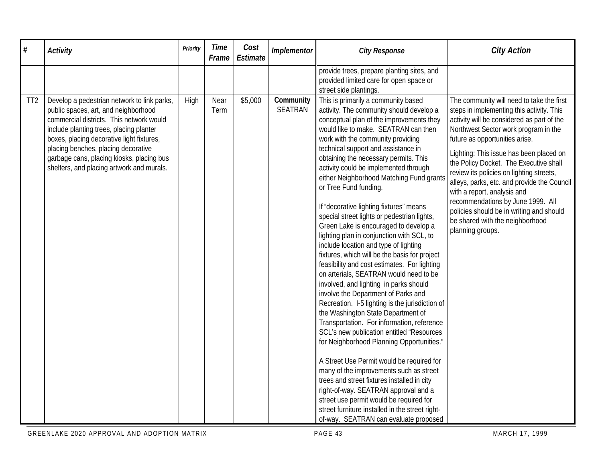| #               | <b>Activity</b>                                                                                                                                                                                                                                                                                                                                          | Priority | <b>Time</b><br>Frame | Cost<br>Estimate | Implementor          | <b>City Response</b>                                                                                                                                                                                                                                                                                                                                                                                                                                                                                                                                                                                                                                                                                                                                                                                                                                                                                                                                                                                                                                                                                                                                                                                                                                                                                                                                                                                               | <b>City Action</b>                                                                                                                                                                                                                                                                                                                                                                                                                                                                                                                                                    |
|-----------------|----------------------------------------------------------------------------------------------------------------------------------------------------------------------------------------------------------------------------------------------------------------------------------------------------------------------------------------------------------|----------|----------------------|------------------|----------------------|--------------------------------------------------------------------------------------------------------------------------------------------------------------------------------------------------------------------------------------------------------------------------------------------------------------------------------------------------------------------------------------------------------------------------------------------------------------------------------------------------------------------------------------------------------------------------------------------------------------------------------------------------------------------------------------------------------------------------------------------------------------------------------------------------------------------------------------------------------------------------------------------------------------------------------------------------------------------------------------------------------------------------------------------------------------------------------------------------------------------------------------------------------------------------------------------------------------------------------------------------------------------------------------------------------------------------------------------------------------------------------------------------------------------|-----------------------------------------------------------------------------------------------------------------------------------------------------------------------------------------------------------------------------------------------------------------------------------------------------------------------------------------------------------------------------------------------------------------------------------------------------------------------------------------------------------------------------------------------------------------------|
|                 |                                                                                                                                                                                                                                                                                                                                                          |          |                      |                  |                      | provide trees, prepare planting sites, and<br>provided limited care for open space or<br>street side plantings.                                                                                                                                                                                                                                                                                                                                                                                                                                                                                                                                                                                                                                                                                                                                                                                                                                                                                                                                                                                                                                                                                                                                                                                                                                                                                                    |                                                                                                                                                                                                                                                                                                                                                                                                                                                                                                                                                                       |
| TT <sub>2</sub> | Develop a pedestrian network to link parks,<br>public spaces, art, and neighborhood<br>commercial districts. This network would<br>include planting trees, placing planter<br>boxes, placing decorative light fixtures,<br>placing benches, placing decorative<br>garbage cans, placing kiosks, placing bus<br>shelters, and placing artwork and murals. | High     | Near<br>Term         | \$5,000          | Community<br>SEATRAN | This is primarily a community based<br>activity. The community should develop a<br>conceptual plan of the improvements they<br>would like to make. SEATRAN can then<br>work with the community providing<br>technical support and assistance in<br>obtaining the necessary permits. This<br>activity could be implemented through<br>either Neighborhood Matching Fund grants<br>or Tree Fund funding.<br>If "decorative lighting fixtures" means<br>special street lights or pedestrian lights,<br>Green Lake is encouraged to develop a<br>lighting plan in conjunction with SCL, to<br>include location and type of lighting<br>fixtures, which will be the basis for project<br>feasibility and cost estimates. For lighting<br>on arterials, SEATRAN would need to be<br>involved, and lighting in parks should<br>involve the Department of Parks and<br>Recreation. I-5 lighting is the jurisdiction of<br>the Washington State Department of<br>Transportation. For information, reference<br>SCL's new publication entitled "Resources<br>for Neighborhood Planning Opportunities."<br>A Street Use Permit would be required for<br>many of the improvements such as street<br>trees and street fixtures installed in city<br>right-of-way. SEATRAN approval and a<br>street use permit would be required for<br>street furniture installed in the street right-<br>of-way. SEATRAN can evaluate proposed | The community will need to take the first<br>steps in implementing this activity. This<br>activity will be considered as part of the<br>Northwest Sector work program in the<br>future as opportunities arise.<br>Lighting: This issue has been placed on<br>the Policy Docket. The Executive shall<br>review its policies on lighting streets,<br>alleys, parks, etc. and provide the Council<br>with a report, analysis and<br>recommendations by June 1999. All<br>policies should be in writing and should<br>be shared with the neighborhood<br>planning groups. |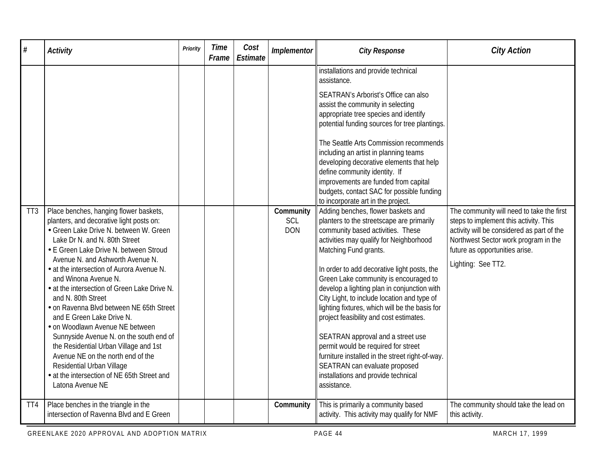| #               | <b>Activity</b>                                                                                                                                                                                                                                                                                                                                                                                                                                                                                                                                                                                                                                                                   | Priority | <b>Time</b><br>Frame | Cost<br>Estimate | Implementor       | <b>City Response</b>                                                                                                                                                                                                                                                                                                                                                                                                                                                                                                                                                                                                                                        | <b>City Action</b>                                                                                                                                                                   |
|-----------------|-----------------------------------------------------------------------------------------------------------------------------------------------------------------------------------------------------------------------------------------------------------------------------------------------------------------------------------------------------------------------------------------------------------------------------------------------------------------------------------------------------------------------------------------------------------------------------------------------------------------------------------------------------------------------------------|----------|----------------------|------------------|-------------------|-------------------------------------------------------------------------------------------------------------------------------------------------------------------------------------------------------------------------------------------------------------------------------------------------------------------------------------------------------------------------------------------------------------------------------------------------------------------------------------------------------------------------------------------------------------------------------------------------------------------------------------------------------------|--------------------------------------------------------------------------------------------------------------------------------------------------------------------------------------|
| TT <sub>3</sub> | Place benches, hanging flower baskets,                                                                                                                                                                                                                                                                                                                                                                                                                                                                                                                                                                                                                                            |          |                      |                  | Community         | installations and provide technical<br>assistance.<br>SEATRAN's Arborist's Office can also<br>assist the community in selecting<br>appropriate tree species and identify<br>potential funding sources for tree plantings.<br>The Seattle Arts Commission recommends<br>including an artist in planning teams<br>developing decorative elements that help<br>define community identity. If<br>improvements are funded from capital<br>budgets, contact SAC for possible funding<br>to incorporate art in the project.<br>Adding benches, flower baskets and                                                                                                  | The community will need to take the first                                                                                                                                            |
|                 | planters, and decorative light posts on:<br>• Green Lake Drive N. between W. Green<br>Lake Dr N. and N. 80th Street<br>• E Green Lake Drive N. between Stroud<br>Avenue N. and Ashworth Avenue N.<br>• at the intersection of Aurora Avenue N.<br>and Winona Avenue N.<br>• at the intersection of Green Lake Drive N.<br>and N. 80th Street<br>• on Ravenna Blvd between NE 65th Street<br>and E Green Lake Drive N.<br>• on Woodlawn Avenue NE between<br>Sunnyside Avenue N. on the south end of<br>the Residential Urban Village and 1st<br>Avenue NE on the north end of the<br>Residential Urban Village<br>• at the intersection of NE 65th Street and<br>Latona Avenue NE |          |                      |                  | SCL<br><b>DON</b> | planters to the streetscape are primarily<br>community based activities. These<br>activities may qualify for Neighborhood<br>Matching Fund grants.<br>In order to add decorative light posts, the<br>Green Lake community is encouraged to<br>develop a lighting plan in conjunction with<br>City Light, to include location and type of<br>lighting fixtures, which will be the basis for<br>project feasibility and cost estimates.<br>SEATRAN approval and a street use<br>permit would be required for street<br>furniture installed in the street right-of-way.<br>SEATRAN can evaluate proposed<br>installations and provide technical<br>assistance. | steps to implement this activity. This<br>activity will be considered as part of the<br>Northwest Sector work program in the<br>future as opportunities arise.<br>Lighting: See TT2. |
| TT4             | Place benches in the triangle in the<br>intersection of Ravenna Blvd and E Green                                                                                                                                                                                                                                                                                                                                                                                                                                                                                                                                                                                                  |          |                      |                  | Community         | This is primarily a community based<br>activity. This activity may qualify for NMF                                                                                                                                                                                                                                                                                                                                                                                                                                                                                                                                                                          | The community should take the lead on<br>this activity.                                                                                                                              |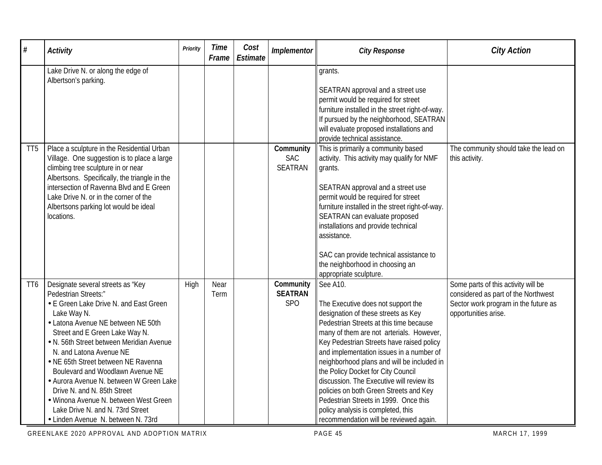| $\#$            | <b>Activity</b>                                                                                                                                                                                                                                                                                                                                                                                                                                                                                                                           | Priority | <b>Time</b><br>Frame | Cost<br>Estimate | Implementor                               | <b>City Response</b>                                                                                                                                                                                                                                                                                                                                                                                                                                                                                                                                                      | <b>City Action</b>                                                                                                                         |
|-----------------|-------------------------------------------------------------------------------------------------------------------------------------------------------------------------------------------------------------------------------------------------------------------------------------------------------------------------------------------------------------------------------------------------------------------------------------------------------------------------------------------------------------------------------------------|----------|----------------------|------------------|-------------------------------------------|---------------------------------------------------------------------------------------------------------------------------------------------------------------------------------------------------------------------------------------------------------------------------------------------------------------------------------------------------------------------------------------------------------------------------------------------------------------------------------------------------------------------------------------------------------------------------|--------------------------------------------------------------------------------------------------------------------------------------------|
|                 | Lake Drive N. or along the edge of<br>Albertson's parking.                                                                                                                                                                                                                                                                                                                                                                                                                                                                                |          |                      |                  |                                           | grants.<br>SEATRAN approval and a street use<br>permit would be required for street<br>furniture installed in the street right-of-way.<br>If pursued by the neighborhood, SEATRAN<br>will evaluate proposed installations and<br>provide technical assistance.                                                                                                                                                                                                                                                                                                            |                                                                                                                                            |
| TT <sub>5</sub> | Place a sculpture in the Residential Urban<br>Village. One suggestion is to place a large<br>climbing tree sculpture in or near<br>Albertsons. Specifically, the triangle in the<br>intersection of Ravenna Blvd and E Green<br>Lake Drive N. or in the corner of the<br>Albertsons parking lot would be ideal<br>locations.                                                                                                                                                                                                              |          |                      |                  | Community<br><b>SAC</b><br><b>SEATRAN</b> | This is primarily a community based<br>activity. This activity may qualify for NMF<br>grants.<br>SEATRAN approval and a street use<br>permit would be required for street<br>furniture installed in the street right-of-way.<br>SEATRAN can evaluate proposed<br>installations and provide technical<br>assistance.<br>SAC can provide technical assistance to<br>the neighborhood in choosing an<br>appropriate sculpture.                                                                                                                                               | The community should take the lead on<br>this activity.                                                                                    |
| TT <sub>6</sub> | Designate several streets as "Key<br>Pedestrian Streets:"<br>• E Green Lake Drive N. and East Green<br>Lake Way N.<br>• Latona Avenue NE between NE 50th<br>Street and E Green Lake Way N.<br>• N. 56th Street between Meridian Avenue<br>N. and Latona Avenue NE<br>• NE 65th Street between NE Ravenna<br>Boulevard and Woodlawn Avenue NE<br>• Aurora Avenue N. between W Green Lake<br>Drive N. and N. 85th Street<br>· Winona Avenue N. between West Green<br>Lake Drive N. and N. 73rd Street<br>• Linden Avenue N. between N. 73rd | High     | Near<br>Term         |                  | Community<br><b>SEATRAN</b><br><b>SPO</b> | See A10.<br>The Executive does not support the<br>designation of these streets as Key<br>Pedestrian Streets at this time because<br>many of them are not arterials. However,<br>Key Pedestrian Streets have raised policy<br>and implementation issues in a number of<br>neighborhood plans and will be included in<br>the Policy Docket for City Council<br>discussion. The Executive will review its<br>policies on both Green Streets and Key<br>Pedestrian Streets in 1999. Once this<br>policy analysis is completed, this<br>recommendation will be reviewed again. | Some parts of this activity will be<br>considered as part of the Northwest<br>Sector work program in the future as<br>opportunities arise. |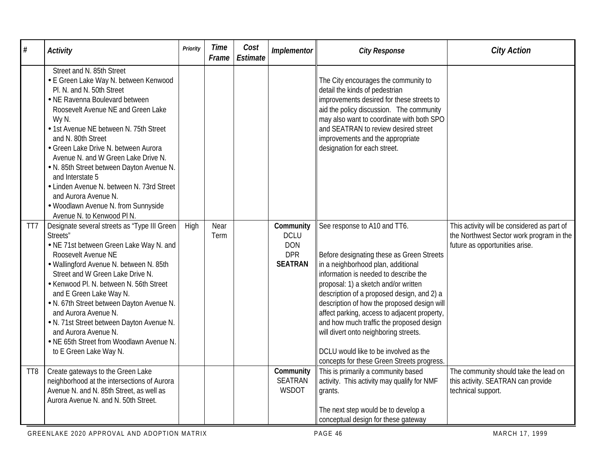| #               | <b>Activity</b>                                                                                                                                                                                                                                                                                                                                                                                                                                                                                                                            | Priority | <b>Time</b><br>Frame | Cost<br>Estimate | Implementor                                                            | <b>City Response</b>                                                                                                                                                                                                                                                                                                                                                                                                                                                                                                      | <b>City Action</b>                                                                                                        |
|-----------------|--------------------------------------------------------------------------------------------------------------------------------------------------------------------------------------------------------------------------------------------------------------------------------------------------------------------------------------------------------------------------------------------------------------------------------------------------------------------------------------------------------------------------------------------|----------|----------------------|------------------|------------------------------------------------------------------------|---------------------------------------------------------------------------------------------------------------------------------------------------------------------------------------------------------------------------------------------------------------------------------------------------------------------------------------------------------------------------------------------------------------------------------------------------------------------------------------------------------------------------|---------------------------------------------------------------------------------------------------------------------------|
|                 | Street and N. 85th Street<br>• E Green Lake Way N. between Kenwood<br>Pl. N. and N. 50th Street<br>• NE Ravenna Boulevard between<br>Roosevelt Avenue NE and Green Lake<br>Wy N.<br>• 1st Avenue NE between N. 75th Street<br>and N. 80th Street<br>• Green Lake Drive N. between Aurora<br>Avenue N. and W Green Lake Drive N.<br>. N. 85th Street between Dayton Avenue N.<br>and Interstate 5<br>• Linden Avenue N. between N. 73rd Street<br>and Aurora Avenue N.<br>· Woodlawn Avenue N. from Sunnyside<br>Avenue N. to Kenwood PI N. |          |                      |                  |                                                                        | The City encourages the community to<br>detail the kinds of pedestrian<br>improvements desired for these streets to<br>aid the policy discussion. The community<br>may also want to coordinate with both SPO<br>and SEATRAN to review desired street<br>improvements and the appropriate<br>designation for each street.                                                                                                                                                                                                  |                                                                                                                           |
| TT7             | Designate several streets as "Type III Green<br>Streets"<br>• NE 71st between Green Lake Way N. and<br>Roosevelt Avenue NE<br>· Wallingford Avenue N. between N. 85th<br>Street and W Green Lake Drive N.<br>• Kenwood Pl. N. between N. 56th Street<br>and E Green Lake Way N.<br>. N. 67th Street between Dayton Avenue N.<br>and Aurora Avenue N.<br>. N. 71st Street between Dayton Avenue N.<br>and Aurora Avenue N.<br>• NE 65th Street from Woodlawn Avenue N.<br>to E Green Lake Way N.                                            | High     | Near<br>Term         |                  | Community<br><b>DCLU</b><br><b>DON</b><br><b>DPR</b><br><b>SEATRAN</b> | See response to A10 and TT6.<br>Before designating these as Green Streets<br>in a neighborhood plan, additional<br>information is needed to describe the<br>proposal: 1) a sketch and/or written<br>description of a proposed design, and 2) a<br>description of how the proposed design will<br>affect parking, access to adjacent property,<br>and how much traffic the proposed design<br>will divert onto neighboring streets.<br>DCLU would like to be involved as the<br>concepts for these Green Streets progress. | This activity will be considered as part of<br>the Northwest Sector work program in the<br>future as opportunities arise. |
| TT <sub>8</sub> | Create gateways to the Green Lake<br>neighborhood at the intersections of Aurora<br>Avenue N. and N. 85th Street, as well as<br>Aurora Avenue N. and N. 50th Street.                                                                                                                                                                                                                                                                                                                                                                       |          |                      |                  | Community<br><b>SEATRAN</b><br><b>WSDOT</b>                            | This is primarily a community based<br>activity. This activity may qualify for NMF<br>grants.<br>The next step would be to develop a<br>conceptual design for these gateway                                                                                                                                                                                                                                                                                                                                               | The community should take the lead on<br>this activity. SEATRAN can provide<br>technical support.                         |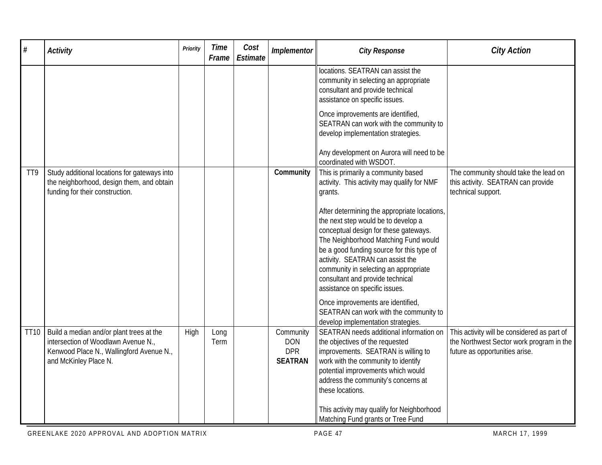| $\#$             | <b>Activity</b>                                                                                                                                      | Priority | <b>Time</b><br>Frame | Cost<br>Estimate | Implementor                                             | <b>City Response</b>                                                                                                                                                                                                                                                                                                                                                 | <b>City Action</b>                                                                                                        |
|------------------|------------------------------------------------------------------------------------------------------------------------------------------------------|----------|----------------------|------------------|---------------------------------------------------------|----------------------------------------------------------------------------------------------------------------------------------------------------------------------------------------------------------------------------------------------------------------------------------------------------------------------------------------------------------------------|---------------------------------------------------------------------------------------------------------------------------|
|                  |                                                                                                                                                      |          |                      |                  |                                                         | locations. SEATRAN can assist the<br>community in selecting an appropriate<br>consultant and provide technical<br>assistance on specific issues.                                                                                                                                                                                                                     |                                                                                                                           |
|                  |                                                                                                                                                      |          |                      |                  |                                                         | Once improvements are identified,<br>SEATRAN can work with the community to<br>develop implementation strategies.                                                                                                                                                                                                                                                    |                                                                                                                           |
|                  |                                                                                                                                                      |          |                      |                  |                                                         | Any development on Aurora will need to be<br>coordinated with WSDOT.                                                                                                                                                                                                                                                                                                 |                                                                                                                           |
| T <sub>T</sub> 9 | Study additional locations for gateways into<br>the neighborhood, design them, and obtain<br>funding for their construction.                         |          |                      |                  | Community                                               | This is primarily a community based<br>activity. This activity may qualify for NMF<br>grants.                                                                                                                                                                                                                                                                        | The community should take the lead on<br>this activity. SEATRAN can provide<br>technical support.                         |
|                  |                                                                                                                                                      |          |                      |                  |                                                         | After determining the appropriate locations,<br>the next step would be to develop a<br>conceptual design for these gateways.<br>The Neighborhood Matching Fund would<br>be a good funding source for this type of<br>activity. SEATRAN can assist the<br>community in selecting an appropriate<br>consultant and provide technical<br>assistance on specific issues. |                                                                                                                           |
|                  |                                                                                                                                                      |          |                      |                  |                                                         | Once improvements are identified,<br>SEATRAN can work with the community to<br>develop implementation strategies.                                                                                                                                                                                                                                                    |                                                                                                                           |
| <b>TT10</b>      | Build a median and/or plant trees at the<br>intersection of Woodlawn Avenue N.,<br>Kenwood Place N., Wallingford Avenue N.,<br>and McKinley Place N. | High     | Long<br>Term         |                  | Community<br><b>DON</b><br><b>DPR</b><br><b>SEATRAN</b> | SEATRAN needs additional information on<br>the objectives of the requested<br>improvements. SEATRAN is willing to<br>work with the community to identify<br>potential improvements which would<br>address the community's concerns at<br>these locations.                                                                                                            | This activity will be considered as part of<br>the Northwest Sector work program in the<br>future as opportunities arise. |
|                  |                                                                                                                                                      |          |                      |                  |                                                         | This activity may qualify for Neighborhood<br>Matching Fund grants or Tree Fund                                                                                                                                                                                                                                                                                      |                                                                                                                           |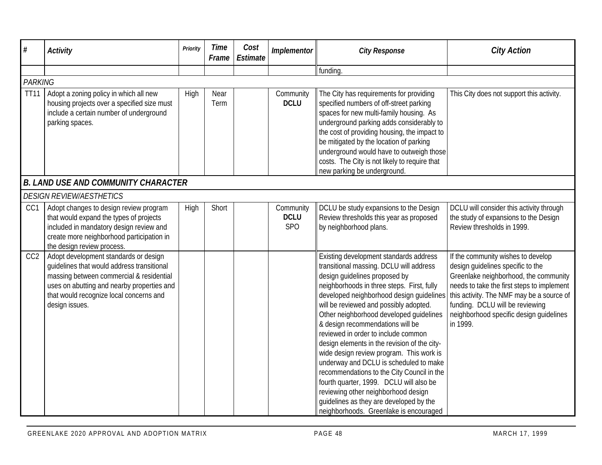| $\#$            | <b>Activity</b>                                                                                                                                                                                                                            | Priority | <b>Time</b><br>Frame | Cost<br><b>Estimate</b> | Implementor                            | <b>City Response</b>                                                                                                                                                                                                                                                                                                                                                                                                                                                                                                                                                                                                                                                                                                                    | <b>City Action</b>                                                                                                                                                                                                                                                                                    |
|-----------------|--------------------------------------------------------------------------------------------------------------------------------------------------------------------------------------------------------------------------------------------|----------|----------------------|-------------------------|----------------------------------------|-----------------------------------------------------------------------------------------------------------------------------------------------------------------------------------------------------------------------------------------------------------------------------------------------------------------------------------------------------------------------------------------------------------------------------------------------------------------------------------------------------------------------------------------------------------------------------------------------------------------------------------------------------------------------------------------------------------------------------------------|-------------------------------------------------------------------------------------------------------------------------------------------------------------------------------------------------------------------------------------------------------------------------------------------------------|
|                 |                                                                                                                                                                                                                                            |          |                      |                         |                                        | funding.                                                                                                                                                                                                                                                                                                                                                                                                                                                                                                                                                                                                                                                                                                                                |                                                                                                                                                                                                                                                                                                       |
| <b>PARKING</b>  |                                                                                                                                                                                                                                            |          |                      |                         |                                        |                                                                                                                                                                                                                                                                                                                                                                                                                                                                                                                                                                                                                                                                                                                                         |                                                                                                                                                                                                                                                                                                       |
| <b>TT11</b>     | Adopt a zoning policy in which all new<br>housing projects over a specified size must<br>include a certain number of underground<br>parking spaces.                                                                                        | High     | Near<br>Term         |                         | Community<br><b>DCLU</b>               | The City has requirements for providing<br>specified numbers of off-street parking<br>spaces for new multi-family housing. As<br>underground parking adds considerably to<br>the cost of providing housing, the impact to<br>be mitigated by the location of parking<br>underground would have to outweigh those<br>costs. The City is not likely to require that<br>new parking be underground.                                                                                                                                                                                                                                                                                                                                        | This City does not support this activity.                                                                                                                                                                                                                                                             |
|                 | <b>B. LAND USE AND COMMUNITY CHARACTER</b>                                                                                                                                                                                                 |          |                      |                         |                                        |                                                                                                                                                                                                                                                                                                                                                                                                                                                                                                                                                                                                                                                                                                                                         |                                                                                                                                                                                                                                                                                                       |
|                 | <b>DESIGN REVIEW/AESTHETICS</b>                                                                                                                                                                                                            |          |                      |                         |                                        |                                                                                                                                                                                                                                                                                                                                                                                                                                                                                                                                                                                                                                                                                                                                         |                                                                                                                                                                                                                                                                                                       |
| CC1             | Adopt changes to design review program<br>that would expand the types of projects<br>included in mandatory design review and<br>create more neighborhood participation in<br>the design review process.                                    | High     | Short                |                         | Community<br><b>DCLU</b><br><b>SPO</b> | DCLU be study expansions to the Design<br>Review thresholds this year as proposed<br>by neighborhood plans.                                                                                                                                                                                                                                                                                                                                                                                                                                                                                                                                                                                                                             | DCLU will consider this activity through<br>the study of expansions to the Design<br>Review thresholds in 1999.                                                                                                                                                                                       |
| CC <sub>2</sub> | Adopt development standards or design<br>guidelines that would address transitional<br>massing between commercial & residential<br>uses on abutting and nearby properties and<br>that would recognize local concerns and<br>design issues. |          |                      |                         |                                        | Existing development standards address<br>transitional massing. DCLU will address<br>design quidelines proposed by<br>neighborhoods in three steps. First, fully<br>developed neighborhood design guidelines<br>will be reviewed and possibly adopted.<br>Other neighborhood developed guidelines<br>& design recommendations will be<br>reviewed in order to include common<br>design elements in the revision of the city-<br>wide design review program. This work is<br>underway and DCLU is scheduled to make<br>recommendations to the City Council in the<br>fourth quarter, 1999. DCLU will also be<br>reviewing other neighborhood design<br>quidelines as they are developed by the<br>neighborhoods. Greenlake is encouraged | If the community wishes to develop<br>design guidelines specific to the<br>Greenlake neighborhood, the community<br>needs to take the first steps to implement<br>this activity. The NMF may be a source of<br>funding. DCLU will be reviewing<br>neighborhood specific design quidelines<br>in 1999. |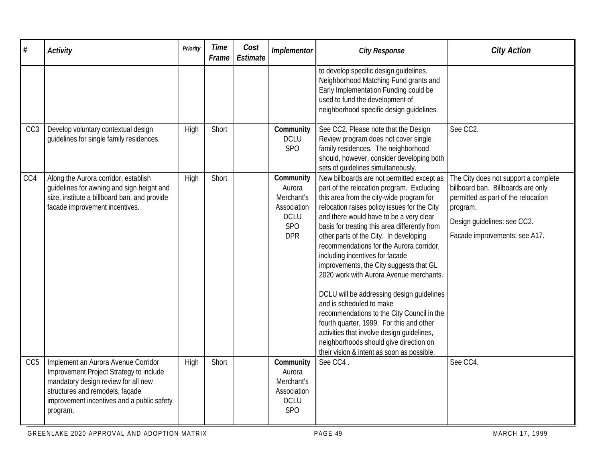| #               | <b>Activity</b>                                                                                                                                                                                                    | Priority | <b>Time</b><br>Frame | Cost<br>Estimate | Implementor                                                                                 | <b>City Response</b>                                                                                                                                                                                                                                                                                                                                                                                                                                                                                                                                                                                                                                                                                                                                                                                    | <b>City Action</b>                                                                                                                                                                            |
|-----------------|--------------------------------------------------------------------------------------------------------------------------------------------------------------------------------------------------------------------|----------|----------------------|------------------|---------------------------------------------------------------------------------------------|---------------------------------------------------------------------------------------------------------------------------------------------------------------------------------------------------------------------------------------------------------------------------------------------------------------------------------------------------------------------------------------------------------------------------------------------------------------------------------------------------------------------------------------------------------------------------------------------------------------------------------------------------------------------------------------------------------------------------------------------------------------------------------------------------------|-----------------------------------------------------------------------------------------------------------------------------------------------------------------------------------------------|
|                 |                                                                                                                                                                                                                    |          |                      |                  |                                                                                             | to develop specific design guidelines.<br>Neighborhood Matching Fund grants and<br>Early Implementation Funding could be<br>used to fund the development of<br>neighborhood specific design guidelines.                                                                                                                                                                                                                                                                                                                                                                                                                                                                                                                                                                                                 |                                                                                                                                                                                               |
| CC <sub>3</sub> | Develop voluntary contextual design<br>guidelines for single family residences.                                                                                                                                    | High     | Short                |                  | Community<br><b>DCLU</b><br><b>SPO</b>                                                      | See CC2. Please note that the Design<br>Review program does not cover single<br>family residences. The neighborhood<br>should, however, consider developing both<br>sets of guidelines simultaneously.                                                                                                                                                                                                                                                                                                                                                                                                                                                                                                                                                                                                  | See CC2.                                                                                                                                                                                      |
| CC4             | Along the Aurora corridor, establish<br>guidelines for awning and sign height and<br>size, institute a billboard ban, and provide<br>facade improvement incentives.                                                | High     | Short                |                  | Community<br>Aurora<br>Merchant's<br>Association<br><b>DCLU</b><br><b>SPO</b><br><b>DPR</b> | New billboards are not permitted except as<br>part of the relocation program. Excluding<br>this area from the city-wide program for<br>relocation raises policy issues for the City<br>and there would have to be a very clear<br>basis for treating this area differently from<br>other parts of the City. In developing<br>recommendations for the Aurora corridor,<br>including incentives for facade<br>improvements, the City suggests that GL<br>2020 work with Aurora Avenue merchants.<br>DCLU will be addressing design guidelines<br>and is scheduled to make<br>recommendations to the City Council in the<br>fourth quarter, 1999. For this and other<br>activities that involve design quidelines,<br>neighborhoods should give direction on<br>their vision & intent as soon as possible. | The City does not support a complete<br>billboard ban. Billboards are only<br>permitted as part of the relocation<br>program.<br>Design guidelines: see CC2.<br>Facade improvements: see A17. |
| CC <sub>5</sub> | Implement an Aurora Avenue Corridor<br>Improvement Project Strategy to include<br>mandatory design review for all new<br>structures and remodels, façade<br>improvement incentives and a public safety<br>program. | High     | Short                |                  | Community<br>Aurora<br>Merchant's<br>Association<br><b>DCLU</b><br>SP <sub>O</sub>          | See CC4.                                                                                                                                                                                                                                                                                                                                                                                                                                                                                                                                                                                                                                                                                                                                                                                                | See CC4.                                                                                                                                                                                      |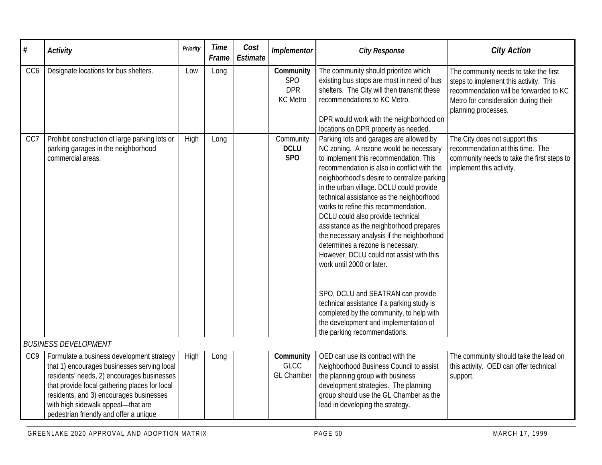| $\#$            | <b>Activity</b>                                                                                                                                                                                                                                                                                                     | Priority | <b>Time</b><br>Frame | Cost<br>Estimate | Implementor                                              | <b>City Response</b>                                                                                                                                                                                                                                                                                                                                                                                                                                                                                                                                                                                                                                                                                                                                                                                          | <b>City Action</b>                                                                                                                                                                       |
|-----------------|---------------------------------------------------------------------------------------------------------------------------------------------------------------------------------------------------------------------------------------------------------------------------------------------------------------------|----------|----------------------|------------------|----------------------------------------------------------|---------------------------------------------------------------------------------------------------------------------------------------------------------------------------------------------------------------------------------------------------------------------------------------------------------------------------------------------------------------------------------------------------------------------------------------------------------------------------------------------------------------------------------------------------------------------------------------------------------------------------------------------------------------------------------------------------------------------------------------------------------------------------------------------------------------|------------------------------------------------------------------------------------------------------------------------------------------------------------------------------------------|
| CC <sub>6</sub> | Designate locations for bus shelters.                                                                                                                                                                                                                                                                               | Low      | Long                 |                  | Community<br><b>SPO</b><br><b>DPR</b><br><b>KC</b> Metro | The community should prioritize which<br>existing bus stops are most in need of bus<br>shelters. The City will then transmit these<br>recommendations to KC Metro.<br>DPR would work with the neighborhood on<br>locations on DPR property as needed.                                                                                                                                                                                                                                                                                                                                                                                                                                                                                                                                                         | The community needs to take the first<br>steps to implement this activity. This<br>recommendation will be forwarded to KC<br>Metro for consideration during their<br>planning processes. |
| CC7             | Prohibit construction of large parking lots or<br>parking garages in the neighborhood<br>commercial areas.                                                                                                                                                                                                          | High     | Long                 |                  | Community<br><b>DCLU</b><br>SPO                          | Parking lots and garages are allowed by<br>NC zoning. A rezone would be necessary<br>to implement this recommendation. This<br>recommendation is also in conflict with the<br>neighborhood's desire to centralize parking<br>in the urban village. DCLU could provide<br>technical assistance as the neighborhood<br>works to refine this recommendation.<br>DCLU could also provide technical<br>assistance as the neighborhood prepares<br>the necessary analysis if the neighborhood<br>determines a rezone is necessary.<br>However, DCLU could not assist with this<br>work until 2000 or later.<br>SPO, DCLU and SEATRAN can provide<br>technical assistance if a parking study is<br>completed by the community, to help with<br>the development and implementation of<br>the parking recommendations. | The City does not support this<br>recommendation at this time. The<br>community needs to take the first steps to<br>implement this activity.                                             |
|                 | <b>BUSINESS DEVELOPMENT</b>                                                                                                                                                                                                                                                                                         |          |                      |                  |                                                          |                                                                                                                                                                                                                                                                                                                                                                                                                                                                                                                                                                                                                                                                                                                                                                                                               |                                                                                                                                                                                          |
| CC9             | Formulate a business development strategy<br>that 1) encourages businesses serving local<br>residents' needs, 2) encourages businesses<br>that provide focal gathering places for local<br>residents, and 3) encourages businesses<br>with high sidewalk appeal- that are<br>pedestrian friendly and offer a unique | High     | Long                 |                  | Community<br><b>GLCC</b><br><b>GL Chamber</b>            | OED can use its contract with the<br>Neighborhood Business Council to assist<br>the planning group with business<br>development strategies. The planning<br>group should use the GL Chamber as the<br>lead in developing the strategy.                                                                                                                                                                                                                                                                                                                                                                                                                                                                                                                                                                        | The community should take the lead on<br>this activity. OED can offer technical<br>support.                                                                                              |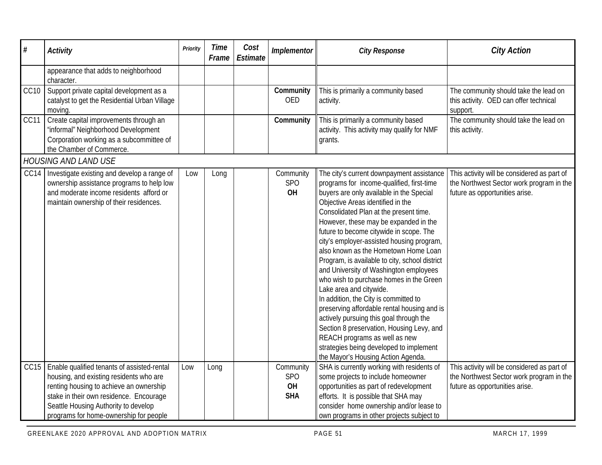| $\#$             | <b>Activity</b>                                                                                                                                                                                                                                                | Priority | <b>Time</b><br>Frame | Cost<br><b>Estimate</b> | Implementor                                 | <b>City Response</b>                                                                                                                                                                                                                                                                                                                                                                                                                                                                                                                                                                                                                                                                                                                                                                                                                                           | <b>City Action</b>                                                                                                        |
|------------------|----------------------------------------------------------------------------------------------------------------------------------------------------------------------------------------------------------------------------------------------------------------|----------|----------------------|-------------------------|---------------------------------------------|----------------------------------------------------------------------------------------------------------------------------------------------------------------------------------------------------------------------------------------------------------------------------------------------------------------------------------------------------------------------------------------------------------------------------------------------------------------------------------------------------------------------------------------------------------------------------------------------------------------------------------------------------------------------------------------------------------------------------------------------------------------------------------------------------------------------------------------------------------------|---------------------------------------------------------------------------------------------------------------------------|
|                  | appearance that adds to neighborhood<br>character.                                                                                                                                                                                                             |          |                      |                         |                                             |                                                                                                                                                                                                                                                                                                                                                                                                                                                                                                                                                                                                                                                                                                                                                                                                                                                                |                                                                                                                           |
| CC <sub>10</sub> | Support private capital development as a<br>catalyst to get the Residential Urban Village<br>moving.                                                                                                                                                           |          |                      |                         | Community<br>OED                            | This is primarily a community based<br>activity.                                                                                                                                                                                                                                                                                                                                                                                                                                                                                                                                                                                                                                                                                                                                                                                                               | The community should take the lead on<br>this activity. OED can offer technical<br>support.                               |
| CC11             | Create capital improvements through an<br>'informal" Neighborhood Development<br>Corporation working as a subcommittee of<br>the Chamber of Commerce.                                                                                                          |          |                      |                         | Community                                   | This is primarily a community based<br>activity. This activity may qualify for NMF<br>grants.                                                                                                                                                                                                                                                                                                                                                                                                                                                                                                                                                                                                                                                                                                                                                                  | The community should take the lead on<br>this activity.                                                                   |
|                  | <b>HOUSING AND LAND USE</b>                                                                                                                                                                                                                                    |          |                      |                         |                                             |                                                                                                                                                                                                                                                                                                                                                                                                                                                                                                                                                                                                                                                                                                                                                                                                                                                                |                                                                                                                           |
| CC14             | Investigate existing and develop a range of<br>ownership assistance programs to help low<br>and moderate income residents afford or<br>maintain ownership of their residences.                                                                                 | Low      | Long                 |                         | Community<br><b>SPO</b><br>OH               | The city's current downpayment assistance<br>programs for income-qualified, first-time<br>buyers are only available in the Special<br>Objective Areas identified in the<br>Consolidated Plan at the present time.<br>However, these may be expanded in the<br>future to become citywide in scope. The<br>city's employer-assisted housing program,<br>also known as the Hometown Home Loan<br>Program, is available to city, school district<br>and University of Washington employees<br>who wish to purchase homes in the Green<br>Lake area and citywide.<br>In addition, the City is committed to<br>preserving affordable rental housing and is<br>actively pursuing this goal through the<br>Section 8 preservation, Housing Levy, and<br>REACH programs as well as new<br>strategies being developed to implement<br>the Mayor's Housing Action Agenda. | This activity will be considered as part of<br>the Northwest Sector work program in the<br>future as opportunities arise. |
| CC15             | Enable qualified tenants of assisted-rental<br>housing, and existing residents who are<br>renting housing to achieve an ownership<br>stake in their own residence. Encourage<br>Seattle Housing Authority to develop<br>programs for home-ownership for people | Low      | Long                 |                         | Community<br><b>SPO</b><br>OH<br><b>SHA</b> | SHA is currently working with residents of<br>some projects to include homeowner<br>opportunities as part of redevelopment<br>efforts. It is possible that SHA may<br>consider home ownership and/or lease to<br>own programs in other projects subject to                                                                                                                                                                                                                                                                                                                                                                                                                                                                                                                                                                                                     | This activity will be considered as part of<br>the Northwest Sector work program in the<br>future as opportunities arise. |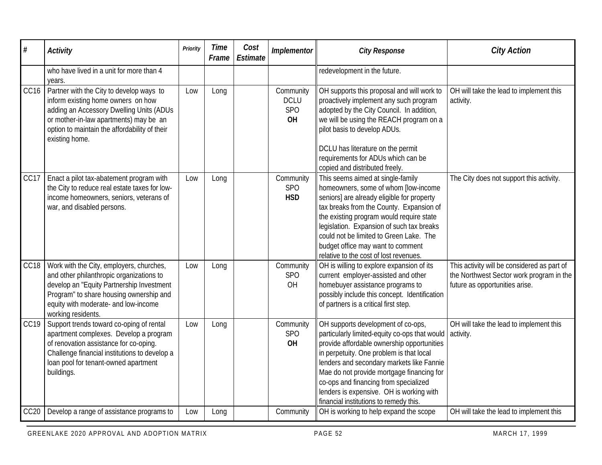| #                | <b>Activity</b>                                                                                                                                                                                                                            | Priority | <b>Time</b><br>Frame | Cost<br>Estimate | Implementor                           | <b>City Response</b>                                                                                                                                                                                                                                                                                                                                                                                   | <b>City Action</b>                                                                                                        |
|------------------|--------------------------------------------------------------------------------------------------------------------------------------------------------------------------------------------------------------------------------------------|----------|----------------------|------------------|---------------------------------------|--------------------------------------------------------------------------------------------------------------------------------------------------------------------------------------------------------------------------------------------------------------------------------------------------------------------------------------------------------------------------------------------------------|---------------------------------------------------------------------------------------------------------------------------|
|                  | who have lived in a unit for more than 4<br>years.                                                                                                                                                                                         |          |                      |                  |                                       | redevelopment in the future.                                                                                                                                                                                                                                                                                                                                                                           |                                                                                                                           |
| CC <sub>16</sub> | Partner with the City to develop ways to<br>inform existing home owners on how<br>adding an Accessory Dwelling Units (ADUs<br>or mother-in-law apartments) may be an<br>option to maintain the affordability of their<br>existing home.    | Low      | Long                 |                  | Community<br><b>DCLU</b><br>SPO<br>OH | OH supports this proposal and will work to<br>proactively implement any such program<br>adopted by the City Council. In addition,<br>we will be using the REACH program on a<br>pilot basis to develop ADUs.<br>DCLU has literature on the permit<br>requirements for ADUs which can be<br>copied and distributed freely.                                                                              | OH will take the lead to implement this<br>activity.                                                                      |
| CC17             | Enact a pilot tax-abatement program with<br>the City to reduce real estate taxes for low-<br>income homeowners, seniors, veterans of<br>war, and disabled persons.                                                                         | Low      | Long                 |                  | Community<br><b>SPO</b><br><b>HSD</b> | This seems aimed at single-family<br>homeowners, some of whom [low-income<br>seniors] are already eligible for property<br>tax breaks from the County. Expansion of<br>the existing program would require state<br>legislation. Expansion of such tax breaks<br>could not be limited to Green Lake. The<br>budget office may want to comment<br>relative to the cost of lost revenues.                 | The City does not support this activity.                                                                                  |
| CC18             | Work with the City, employers, churches,<br>and other philanthropic organizations to<br>develop an "Equity Partnership Investment<br>Program" to share housing ownership and<br>equity with moderate- and low-income<br>working residents. | Low      | Long                 |                  | Community<br><b>SPO</b><br>OH         | OH is willing to explore expansion of its<br>current employer-assisted and other<br>homebuyer assistance programs to<br>possibly include this concept. Identification<br>of partners is a critical first step.                                                                                                                                                                                         | This activity will be considered as part of<br>the Northwest Sector work program in the<br>future as opportunities arise. |
| CC19             | Support trends toward co-oping of rental<br>apartment complexes. Develop a program<br>of renovation assistance for co-oping.<br>Challenge financial institutions to develop a<br>loan pool for tenant-owned apartment<br>buildings.        | Low      | Long                 |                  | Community<br><b>SPO</b><br>OH         | OH supports development of co-ops,<br>particularly limited-equity co-ops that would<br>provide affordable ownership opportunities<br>in perpetuity. One problem is that local<br>lenders and secondary markets like Fannie<br>Mae do not provide mortgage financing for<br>co-ops and financing from specialized<br>lenders is expensive. OH is working with<br>financial institutions to remedy this. | OH will take the lead to implement this<br>activity.                                                                      |
| CC20             | Develop a range of assistance programs to                                                                                                                                                                                                  | Low      | Long                 |                  | Community                             | OH is working to help expand the scope                                                                                                                                                                                                                                                                                                                                                                 | OH will take the lead to implement this                                                                                   |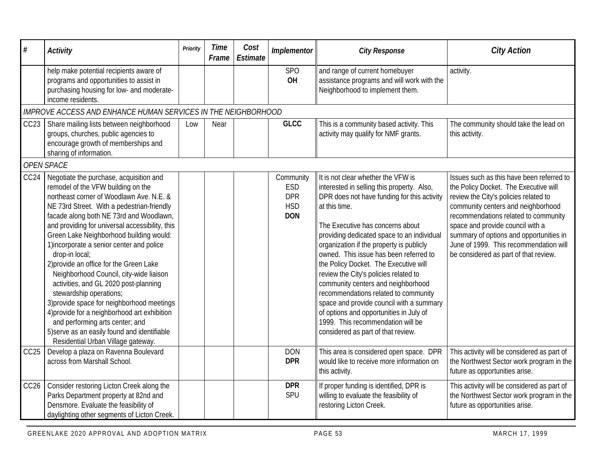| #                | <b>Activity</b>                                                                                                                                                                                                                                                                                                                                                                                                                                                                                                                                                                                                                                                                                                                                                 | Priority | <b>Time</b><br>Frame | Cost<br>Estimate | Implementor                                                       | <b>City Response</b>                                                                                                                                                                                                                                                                                                                                                                                                                                                                                                                                                                                                                                       | <b>City Action</b>                                                                                                                                                                                                                                                                                                                                                          |  |  |  |  |
|------------------|-----------------------------------------------------------------------------------------------------------------------------------------------------------------------------------------------------------------------------------------------------------------------------------------------------------------------------------------------------------------------------------------------------------------------------------------------------------------------------------------------------------------------------------------------------------------------------------------------------------------------------------------------------------------------------------------------------------------------------------------------------------------|----------|----------------------|------------------|-------------------------------------------------------------------|------------------------------------------------------------------------------------------------------------------------------------------------------------------------------------------------------------------------------------------------------------------------------------------------------------------------------------------------------------------------------------------------------------------------------------------------------------------------------------------------------------------------------------------------------------------------------------------------------------------------------------------------------------|-----------------------------------------------------------------------------------------------------------------------------------------------------------------------------------------------------------------------------------------------------------------------------------------------------------------------------------------------------------------------------|--|--|--|--|
|                  | help make potential recipients aware of<br>programs and opportunities to assist in<br>purchasing housing for low- and moderate-<br>income residents.                                                                                                                                                                                                                                                                                                                                                                                                                                                                                                                                                                                                            |          |                      |                  | <b>SPO</b><br>OH                                                  | and range of current homebuyer<br>assistance programs and will work with the<br>Neighborhood to implement them.                                                                                                                                                                                                                                                                                                                                                                                                                                                                                                                                            | activity.                                                                                                                                                                                                                                                                                                                                                                   |  |  |  |  |
|                  | IMPROVE ACCESS AND ENHANCE HUMAN SERVICES IN THE NEIGHBORHOOD                                                                                                                                                                                                                                                                                                                                                                                                                                                                                                                                                                                                                                                                                                   |          |                      |                  |                                                                   |                                                                                                                                                                                                                                                                                                                                                                                                                                                                                                                                                                                                                                                            |                                                                                                                                                                                                                                                                                                                                                                             |  |  |  |  |
| CC <sub>23</sub> | Share mailing lists between neighborhood<br>groups, churches, public agencies to<br>encourage growth of memberships and<br>sharing of information.                                                                                                                                                                                                                                                                                                                                                                                                                                                                                                                                                                                                              | Low      | Near                 |                  | <b>GLCC</b>                                                       | This is a community based activity. This<br>activity may qualify for NMF grants.                                                                                                                                                                                                                                                                                                                                                                                                                                                                                                                                                                           | The community should take the lead on<br>this activity.                                                                                                                                                                                                                                                                                                                     |  |  |  |  |
|                  | <b>OPEN SPACE</b>                                                                                                                                                                                                                                                                                                                                                                                                                                                                                                                                                                                                                                                                                                                                               |          |                      |                  |                                                                   |                                                                                                                                                                                                                                                                                                                                                                                                                                                                                                                                                                                                                                                            |                                                                                                                                                                                                                                                                                                                                                                             |  |  |  |  |
| CC24             | Negotiate the purchase, acquisition and<br>remodel of the VFW building on the<br>northeast corner of Woodlawn Ave. N.E. &<br>NE 73rd Street. With a pedestrian-friendly<br>facade along both NE 73rd and Woodlawn,<br>and providing for universal accessibility, this<br>Green Lake Neighborhood building would:<br>1)incorporate a senior center and police<br>drop-in local;<br>2) provide an office for the Green Lake<br>Neighborhood Council, city-wide liaison<br>activities, and GL 2020 post-planning<br>stewardship operations;<br>3) provide space for neighborhood meetings<br>4) provide for a neighborhood art exhibition<br>and performing arts center; and<br>5) serve as an easily found and identifiable<br>Residential Urban Village gateway. |          |                      |                  | Community<br><b>ESD</b><br><b>DPR</b><br><b>HSD</b><br><b>DON</b> | It is not clear whether the VFW is<br>interested in selling this property. Also,<br>DPR does not have funding for this activity<br>at this time.<br>The Executive has concerns about<br>providing dedicated space to an individual<br>organization if the property is publicly<br>owned. This issue has been referred to<br>the Policy Docket. The Executive will<br>review the City's policies related to<br>community centers and neighborhood<br>recommendations related to community<br>space and provide council with a summary<br>of options and opportunities in July of<br>1999. This recommendation will be<br>considered as part of that review. | Issues such as this have been referred to<br>the Policy Docket. The Executive will<br>review the City's policies related to<br>community centers and neighborhood<br>recommendations related to community<br>space and provide council with a<br>summary of options and opportunities in<br>June of 1999. This recommendation will<br>be considered as part of that review. |  |  |  |  |
| CC <sub>25</sub> | Develop a plaza on Ravenna Boulevard<br>across from Marshall School.                                                                                                                                                                                                                                                                                                                                                                                                                                                                                                                                                                                                                                                                                            |          |                      |                  | <b>DON</b><br><b>DPR</b>                                          | This area is considered open space. DPR<br>would like to receive more information on<br>this activity.                                                                                                                                                                                                                                                                                                                                                                                                                                                                                                                                                     | This activity will be considered as part of<br>the Northwest Sector work program in the<br>future as opportunities arise.                                                                                                                                                                                                                                                   |  |  |  |  |
| CC <sub>26</sub> | Consider restoring Licton Creek along the<br>Parks Department property at 82nd and<br>Densmore. Evaluate the feasibility of<br>daylighting other segments of Licton Creek.                                                                                                                                                                                                                                                                                                                                                                                                                                                                                                                                                                                      |          |                      |                  | <b>DPR</b><br>SPU                                                 | If proper funding is identified, DPR is<br>willing to evaluate the feasibility of<br>restoring Licton Creek.                                                                                                                                                                                                                                                                                                                                                                                                                                                                                                                                               | This activity will be considered as part of<br>the Northwest Sector work program in the<br>future as opportunities arise.                                                                                                                                                                                                                                                   |  |  |  |  |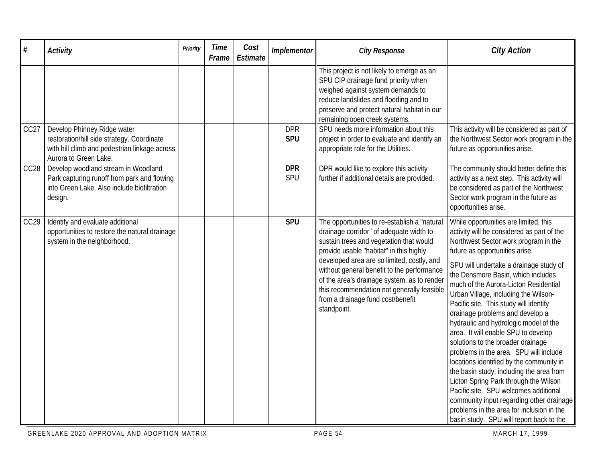| #                | <b>Activity</b>                                                                                                                                     | Priority | <b>Time</b><br>Frame | Cost<br>Estimate | Implementor              | <b>City Response</b>                                                                                                                                                                                                                                                                                                                                                                                                       | <b>City Action</b>                                                                                                                                                                                                                                                                                                                                                                                                                                                                                                                                                                                                                                                                                                                                                                                                                                                                        |
|------------------|-----------------------------------------------------------------------------------------------------------------------------------------------------|----------|----------------------|------------------|--------------------------|----------------------------------------------------------------------------------------------------------------------------------------------------------------------------------------------------------------------------------------------------------------------------------------------------------------------------------------------------------------------------------------------------------------------------|-------------------------------------------------------------------------------------------------------------------------------------------------------------------------------------------------------------------------------------------------------------------------------------------------------------------------------------------------------------------------------------------------------------------------------------------------------------------------------------------------------------------------------------------------------------------------------------------------------------------------------------------------------------------------------------------------------------------------------------------------------------------------------------------------------------------------------------------------------------------------------------------|
|                  |                                                                                                                                                     |          |                      |                  |                          | This project is not likely to emerge as an<br>SPU CIP drainage fund priority when<br>weighed against system demands to<br>reduce landslides and flooding and to<br>preserve and protect natural habitat in our<br>remaining open creek systems.                                                                                                                                                                            |                                                                                                                                                                                                                                                                                                                                                                                                                                                                                                                                                                                                                                                                                                                                                                                                                                                                                           |
| CC <sub>27</sub> | Develop Phinney Ridge water<br>restoration/hill side strategy. Coordinate<br>with hill climb and pedestrian linkage across<br>Aurora to Green Lake. |          |                      |                  | <b>DPR</b><br><b>SPU</b> | SPU needs more information about this<br>project in order to evaluate and identify an<br>appropriate role for the Utilities.                                                                                                                                                                                                                                                                                               | This activity will be considered as part of<br>the Northwest Sector work program in the<br>future as opportunities arise.                                                                                                                                                                                                                                                                                                                                                                                                                                                                                                                                                                                                                                                                                                                                                                 |
| CC <sub>28</sub> | Develop woodland stream in Woodland<br>Park capturing runoff from park and flowing<br>into Green Lake. Also include biofiltration<br>design.        |          |                      |                  | <b>DPR</b><br>SPU        | DPR would like to explore this activity<br>further if additional details are provided.                                                                                                                                                                                                                                                                                                                                     | The community should better define this<br>activity as a next step. This activity will<br>be considered as part of the Northwest<br>Sector work program in the future as<br>opportunities arise.                                                                                                                                                                                                                                                                                                                                                                                                                                                                                                                                                                                                                                                                                          |
| CC <sub>29</sub> | Identify and evaluate additional<br>opportunities to restore the natural drainage<br>system in the neighborhood.                                    |          |                      |                  | <b>SPU</b>               | The opportunities to re-establish a "natural<br>drainage corridor" of adequate width to<br>sustain trees and vegetation that would<br>provide usable "habitat" in this highly<br>developed area are so limited, costly, and<br>without general benefit to the performance<br>of the area's drainage system, as to render<br>this recommendation not generally feasible<br>from a drainage fund cost/benefit<br>standpoint. | While opportunities are limited, this<br>activity will be considered as part of the<br>Northwest Sector work program in the<br>future as opportunities arise.<br>SPU will undertake a drainage study of<br>the Densmore Basin, which includes<br>much of the Aurora-Licton Residential<br>Urban Village, including the Wilson-<br>Pacific site. This study will identify<br>drainage problems and develop a<br>hydraulic and hydrologic model of the<br>area. It will enable SPU to develop<br>solutions to the broader drainage<br>problems in the area. SPU will include<br>locations identified by the community in<br>the basin study, including the area from<br>Licton Spring Park through the Wilson<br>Pacific site. SPU welcomes additional<br>community input regarding other drainage<br>problems in the area for inclusion in the<br>basin study. SPU will report back to the |